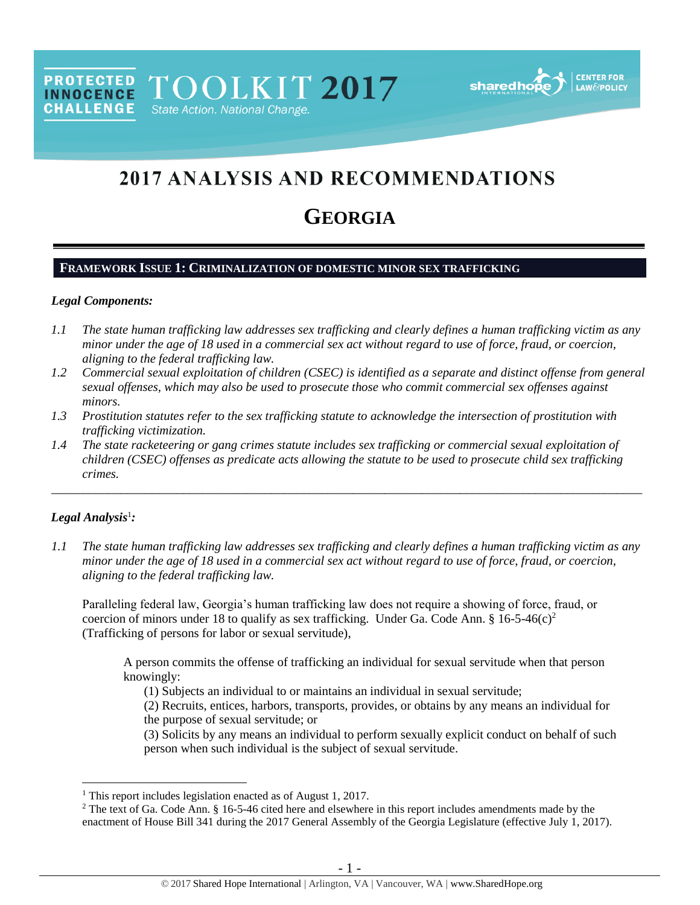**PROTECTED** TOOLKIT 2017 **INNOCENCE CHALLENGE** State Action. National Change.



# 2017 ANALYSIS AND RECOMMENDATIONS

## **GEORGIA**

## **FRAMEWORK ISSUE 1: CRIMINALIZATION OF DOMESTIC MINOR SEX TRAFFICKING**

#### *Legal Components:*

- *1.1 The state human trafficking law addresses sex trafficking and clearly defines a human trafficking victim as any minor under the age of 18 used in a commercial sex act without regard to use of force, fraud, or coercion, aligning to the federal trafficking law.*
- *1.2 Commercial sexual exploitation of children (CSEC) is identified as a separate and distinct offense from general sexual offenses, which may also be used to prosecute those who commit commercial sex offenses against minors.*
- *1.3 Prostitution statutes refer to the sex trafficking statute to acknowledge the intersection of prostitution with trafficking victimization.*
- *1.4 The state racketeering or gang crimes statute includes sex trafficking or commercial sexual exploitation of children (CSEC) offenses as predicate acts allowing the statute to be used to prosecute child sex trafficking crimes.*

\_\_\_\_\_\_\_\_\_\_\_\_\_\_\_\_\_\_\_\_\_\_\_\_\_\_\_\_\_\_\_\_\_\_\_\_\_\_\_\_\_\_\_\_\_\_\_\_\_\_\_\_\_\_\_\_\_\_\_\_\_\_\_\_\_\_\_\_\_\_\_\_\_\_\_\_\_\_\_\_\_\_\_\_\_\_\_\_\_\_\_\_\_\_

#### *Legal Analysis*<sup>1</sup> *:*

 $\overline{a}$ 

*1.1 The state human trafficking law addresses sex trafficking and clearly defines a human trafficking victim as any minor under the age of 18 used in a commercial sex act without regard to use of force, fraud, or coercion, aligning to the federal trafficking law.*

Paralleling federal law, Georgia's human trafficking law does not require a showing of force, fraud, or coercion of minors under 18 to qualify as sex trafficking. Under Ga. Code Ann. § 16-5-46(c)<sup>2</sup> (Trafficking of persons for labor or sexual servitude),

A person commits the offense of trafficking an individual for sexual servitude when that person knowingly:

<span id="page-0-0"></span>(1) Subjects an individual to or maintains an individual in sexual servitude;

(2) Recruits, entices, harbors, transports, provides, or obtains by any means an individual for the purpose of sexual servitude; or

(3) Solicits by any means an individual to perform sexually explicit conduct on behalf of such person when such individual is the subject of sexual servitude.

<sup>&</sup>lt;sup>1</sup> This report includes legislation enacted as of August 1, 2017.

<sup>&</sup>lt;sup>2</sup> The text of Ga. Code Ann. § 16-5-46 cited here and elsewhere in this report includes amendments made by the enactment of House Bill 341 during the 2017 General Assembly of the Georgia Legislature (effective July 1, 2017).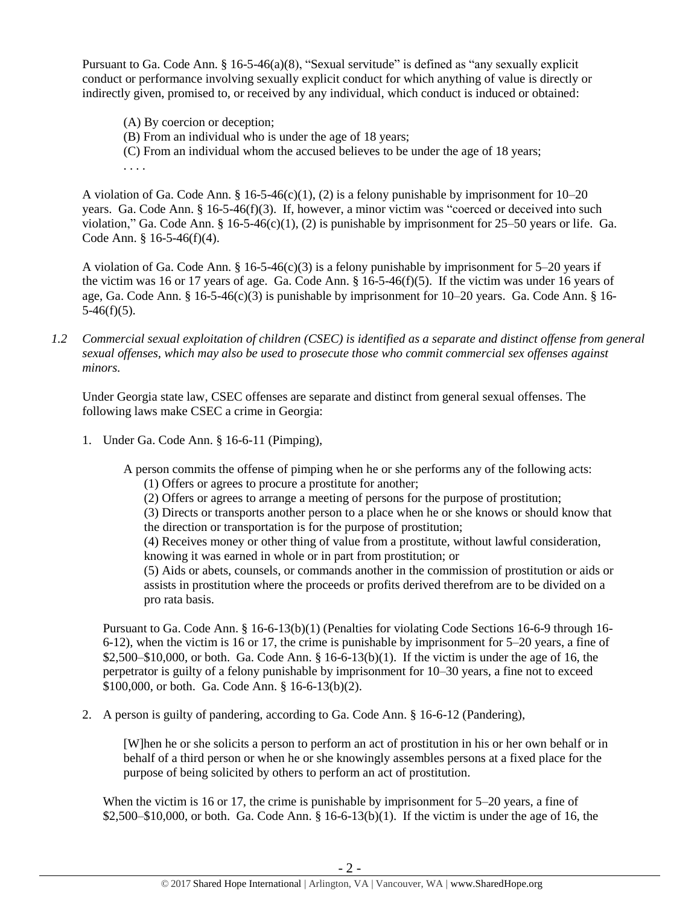Pursuant to Ga. Code Ann.  $\S 16-5-46(a)(8)$ , "Sexual servitude" is defined as "any sexually explicit conduct or performance involving sexually explicit conduct for which anything of value is directly or indirectly given, promised to, or received by any individual, which conduct is induced or obtained:

(A) By coercion or deception;

. . . .

- (B) From an individual who is under the age of 18 years;
- (C) From an individual whom the accused believes to be under the age of 18 years;

A violation of Ga. Code Ann. § 16-5-46(c)(1), (2) is a felony punishable by imprisonment for 10–20 years. Ga. Code Ann. § 16-5-46(f)(3). If, however, a minor victim was "coerced or deceived into such violation," Ga. Code Ann. §  $16-5-46(c)(1)$ , (2) is punishable by imprisonment for 25–50 years or life. Ga. Code Ann. § 16-5-46(f)(4).

A violation of Ga. Code Ann. § 16-5-46(c)(3) is a felony punishable by imprisonment for 5–20 years if the victim was 16 or 17 years of age. Ga. Code Ann.  $\S$  16-5-46(f)(5). If the victim was under 16 years of age, Ga. Code Ann. § 16-5-46(c)(3) is punishable by imprisonment for 10–20 years. Ga. Code Ann. § 16-  $5-46(f)(5)$ .

*1.2 Commercial sexual exploitation of children (CSEC) is identified as a separate and distinct offense from general sexual offenses, which may also be used to prosecute those who commit commercial sex offenses against minors.*

Under Georgia state law, CSEC offenses are separate and distinct from general sexual offenses. The following laws make CSEC a crime in Georgia:

1. Under Ga. Code Ann. § 16-6-11 (Pimping),

A person commits the offense of pimping when he or she performs any of the following acts:

- (1) Offers or agrees to procure a prostitute for another;
- (2) Offers or agrees to arrange a meeting of persons for the purpose of prostitution;
- (3) Directs or transports another person to a place when he or she knows or should know that the direction or transportation is for the purpose of prostitution;
- (4) Receives money or other thing of value from a prostitute, without lawful consideration, knowing it was earned in whole or in part from prostitution; or

(5) Aids or abets, counsels, or commands another in the commission of prostitution or aids or assists in prostitution where the proceeds or profits derived therefrom are to be divided on a pro rata basis.

Pursuant to Ga. Code Ann. § 16-6-13(b)(1) (Penalties for violating Code Sections 16-6-9 through 16- 6-12), when the victim is 16 or 17, the crime is punishable by imprisonment for 5–20 years, a fine of  $$2,500–$10,000$ , or both. Ga. Code Ann. §  $16-6-13(b)(1)$ . If the victim is under the age of 16, the perpetrator is guilty of a felony punishable by imprisonment for 10–30 years, a fine not to exceed \$100,000, or both. Ga. Code Ann. § 16-6-13(b)(2).

2. A person is guilty of pandering, according to Ga. Code Ann. § 16-6-12 (Pandering),

[W]hen he or she solicits a person to perform an act of prostitution in his or her own behalf or in behalf of a third person or when he or she knowingly assembles persons at a fixed place for the purpose of being solicited by others to perform an act of prostitution.

When the victim is 16 or 17, the crime is punishable by imprisonment for 5–20 years, a fine of \$2,500–\$10,000, or both. Ga. Code Ann. § 16-6-13(b)(1). If the victim is under the age of 16, the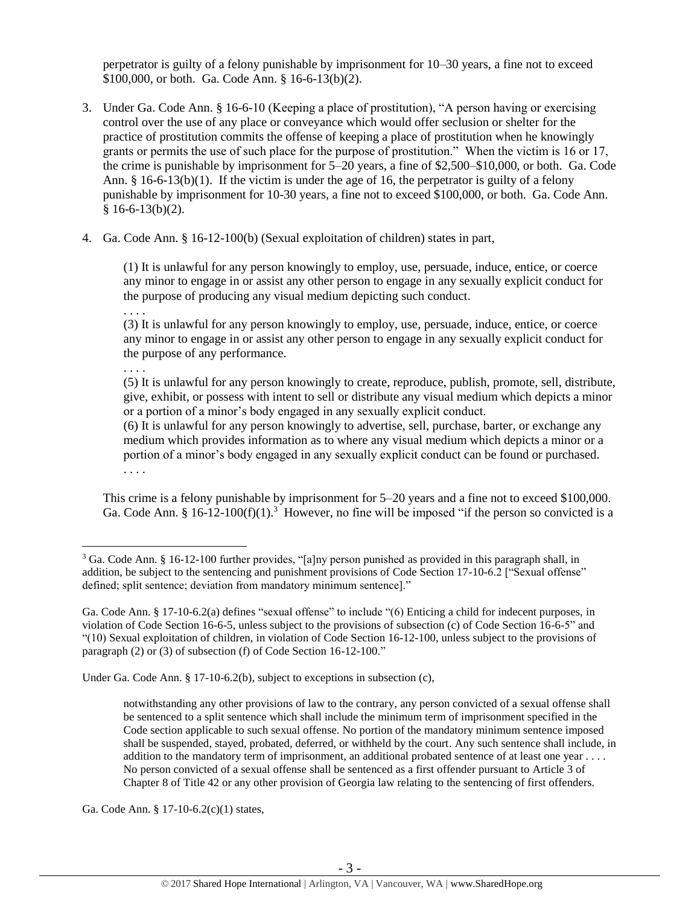perpetrator is guilty of a felony punishable by imprisonment for 10–30 years, a fine not to exceed \$100,000, or both. Ga. Code Ann. § 16-6-13(b)(2).

- 3. Under Ga. Code Ann. § 16-6-10 (Keeping a place of prostitution), "A person having or exercising control over the use of any place or conveyance which would offer seclusion or shelter for the practice of prostitution commits the offense of keeping a place of prostitution when he knowingly grants or permits the use of such place for the purpose of prostitution." When the victim is 16 or 17, the crime is punishable by imprisonment for 5–20 years, a fine of \$2,500–\$10,000, or both. Ga. Code Ann.  $\S$  16-6-13(b)(1). If the victim is under the age of 16, the perpetrator is guilty of a felony punishable by imprisonment for 10-30 years, a fine not to exceed \$100,000, or both. Ga. Code Ann.  $§ 16-6-13(b)(2).$
- 4. Ga. Code Ann. § 16-12-100(b) (Sexual exploitation of children) states in part,

(1) It is unlawful for any person knowingly to employ, use, persuade, induce, entice, or coerce any minor to engage in or assist any other person to engage in any sexually explicit conduct for the purpose of producing any visual medium depicting such conduct.

. . . .

(3) It is unlawful for any person knowingly to employ, use, persuade, induce, entice, or coerce any minor to engage in or assist any other person to engage in any sexually explicit conduct for the purpose of any performance.

. . . .

 $\overline{a}$ 

(5) It is unlawful for any person knowingly to create, reproduce, publish, promote, sell, distribute, give, exhibit, or possess with intent to sell or distribute any visual medium which depicts a minor or a portion of a minor's body engaged in any sexually explicit conduct.

(6) It is unlawful for any person knowingly to advertise, sell, purchase, barter, or exchange any medium which provides information as to where any visual medium which depicts a minor or a portion of a minor's body engaged in any sexually explicit conduct can be found or purchased. . . . .

<span id="page-2-0"></span>This crime is a felony punishable by imprisonment for 5–20 years and a fine not to exceed \$100,000. Ga. Code Ann. § 16-12-100(f)(1).<sup>3</sup> However, no fine will be imposed "if the person so convicted is a

Under Ga. Code Ann. § 17-10-6.2(b), subject to exceptions in subsection (c),

notwithstanding any other provisions of law to the contrary, any person convicted of a sexual offense shall be sentenced to a split sentence which shall include the minimum term of imprisonment specified in the Code section applicable to such sexual offense. No portion of the mandatory minimum sentence imposed shall be suspended, stayed, probated, deferred, or withheld by the court. Any such sentence shall include, in addition to the mandatory term of imprisonment, an additional probated sentence of at least one year . . . . No person convicted of a sexual offense shall be sentenced as a first offender pursuant to Article 3 of Chapter 8 of Title 42 or any other provision of Georgia law relating to the sentencing of first offenders.

Ga. Code Ann. § 17-10-6.2(c)(1) states,

<sup>3</sup> Ga. Code Ann. § 16-12-100 further provides, "[a]ny person punished as provided in this paragraph shall, in addition, be subject to the sentencing and punishment provisions of Code Section 17-10-6.2 ["Sexual offense" defined; split sentence; deviation from mandatory minimum sentence]."

Ga. Code Ann. § 17-10-6.2(a) defines "sexual offense" to include "(6) Enticing a child for indecent purposes, in violation of Code Section 16-6-5, unless subject to the provisions of subsection (c) of Code Section 16-6-5" and "(10) Sexual exploitation of children, in violation of Code Section 16-12-100, unless subject to the provisions of paragraph (2) or (3) of subsection (f) of Code Section 16-12-100."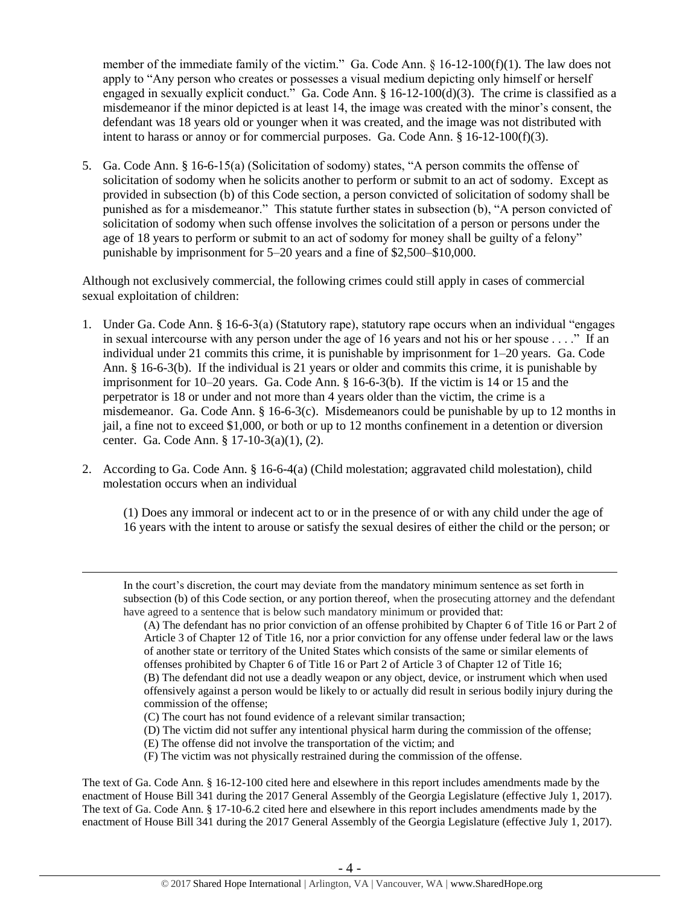member of the immediate family of the victim." Ga. Code Ann.  $\S$  16-12-100(f)(1). The law does not apply to "Any person who creates or possesses a visual medium depicting only himself or herself engaged in sexually explicit conduct." Ga. Code Ann.  $\S 16-12-100(d)(3)$ . The crime is classified as a misdemeanor if the minor depicted is at least 14, the image was created with the minor's consent, the defendant was 18 years old or younger when it was created, and the image was not distributed with intent to harass or annoy or for commercial purposes. Ga. Code Ann.  $\S 16-12-100(f)(3)$ .

5. Ga. Code Ann. § 16-6-15(a) (Solicitation of sodomy) states, "A person commits the offense of solicitation of sodomy when he solicits another to perform or submit to an act of sodomy. Except as provided in subsection (b) of this Code section, a person convicted of solicitation of sodomy shall be punished as for a misdemeanor." This statute further states in subsection (b), "A person convicted of solicitation of sodomy when such offense involves the solicitation of a person or persons under the age of 18 years to perform or submit to an act of sodomy for money shall be guilty of a felony" punishable by imprisonment for 5–20 years and a fine of \$2,500–\$10,000.

Although not exclusively commercial, the following crimes could still apply in cases of commercial sexual exploitation of children:

- 1. Under Ga. Code Ann. § 16-6-3(a) (Statutory rape), statutory rape occurs when an individual "engages in sexual intercourse with any person under the age of 16 years and not his or her spouse . . . ." If an individual under 21 commits this crime, it is punishable by imprisonment for 1–20 years. Ga. Code Ann. § 16-6-3(b). If the individual is 21 years or older and commits this crime, it is punishable by imprisonment for 10–20 years. Ga. Code Ann. § 16-6-3(b). If the victim is 14 or 15 and the perpetrator is 18 or under and not more than 4 years older than the victim, the crime is a misdemeanor. Ga. Code Ann.  $\S$  16-6-3(c). Misdemeanors could be punishable by up to 12 months in jail, a fine not to exceed \$1,000, or both or up to 12 months confinement in a detention or diversion center. Ga. Code Ann. § 17-10-3(a)(1), (2).
- 2. According to Ga. Code Ann. § 16-6-4(a) (Child molestation; aggravated child molestation), child molestation occurs when an individual

(1) Does any immoral or indecent act to or in the presence of or with any child under the age of 16 years with the intent to arouse or satisfy the sexual desires of either the child or the person; or

(E) The offense did not involve the transportation of the victim; and

 $\overline{a}$ 

(F) The victim was not physically restrained during the commission of the offense.

The text of Ga. Code Ann. § 16-12-100 cited here and elsewhere in this report includes amendments made by the enactment of House Bill 341 during the 2017 General Assembly of the Georgia Legislature (effective July 1, 2017). The text of Ga. Code Ann. § 17-10-6.2 cited here and elsewhere in this report includes amendments made by the enactment of House Bill 341 during the 2017 General Assembly of the Georgia Legislature (effective July 1, 2017).

In the court's discretion, the court may deviate from the mandatory minimum sentence as set forth in subsection (b) of this Code section, or any portion thereof, when the prosecuting attorney and the defendant have agreed to a sentence that is below such mandatory minimum or provided that:

<sup>(</sup>A) The defendant has no prior conviction of an offense prohibited by Chapter 6 of Title 16 or Part 2 of Article 3 of Chapter 12 of Title 16, nor a prior conviction for any offense under federal law or the laws of another state or territory of the United States which consists of the same or similar elements of offenses prohibited by Chapter 6 of Title 16 or Part 2 of Article 3 of Chapter 12 of Title 16; (B) The defendant did not use a deadly weapon or any object, device, or instrument which when used offensively against a person would be likely to or actually did result in serious bodily injury during the commission of the offense;

<sup>(</sup>C) The court has not found evidence of a relevant similar transaction;

<sup>(</sup>D) The victim did not suffer any intentional physical harm during the commission of the offense;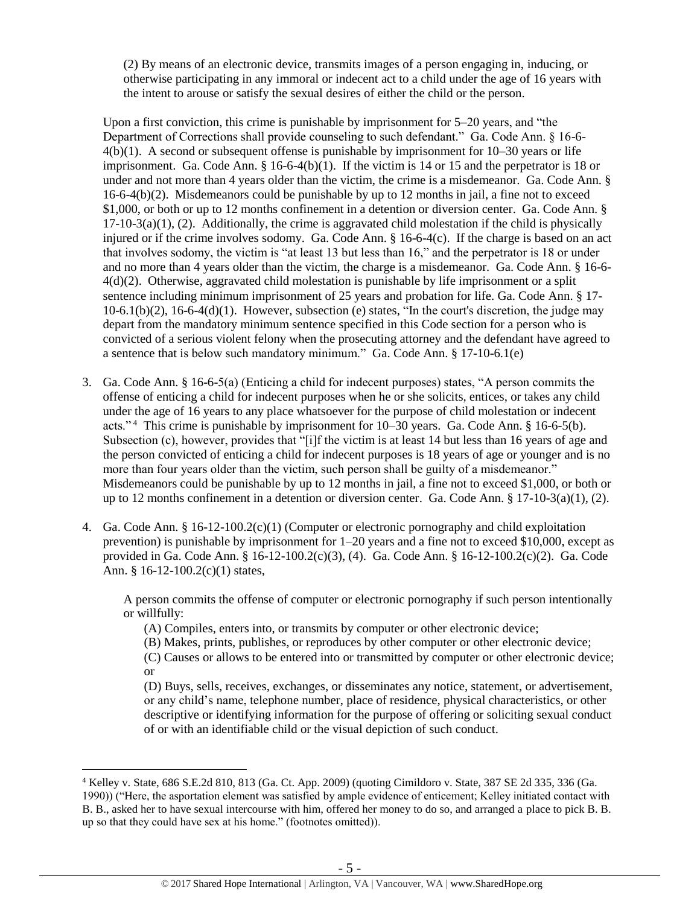(2) By means of an electronic device, transmits images of a person engaging in, inducing, or otherwise participating in any immoral or indecent act to a child under the age of 16 years with the intent to arouse or satisfy the sexual desires of either the child or the person.

Upon a first conviction, this crime is punishable by imprisonment for 5–20 years, and "the Department of Corrections shall provide counseling to such defendant." Ga. Code Ann. § 16-6- 4(b)(1). A second or subsequent offense is punishable by imprisonment for 10–30 years or life imprisonment. Ga. Code Ann.  $\S$  16-6-4(b)(1). If the victim is 14 or 15 and the perpetrator is 18 or under and not more than 4 years older than the victim, the crime is a misdemeanor. Ga. Code Ann. §  $16-6-4(b)(2)$ . Misdemeanors could be punishable by up to 12 months in jail, a fine not to exceed \$1,000, or both or up to 12 months confinement in a detention or diversion center. Ga. Code Ann. §  $17-10-3(a)(1)$ , (2). Additionally, the crime is aggravated child molestation if the child is physically injured or if the crime involves sodomy. Ga. Code Ann. § 16-6-4(c). If the charge is based on an act that involves sodomy, the victim is "at least 13 but less than 16," and the perpetrator is 18 or under and no more than 4 years older than the victim, the charge is a misdemeanor. Ga. Code Ann. § 16-6- 4(d)(2). Otherwise, aggravated child molestation is punishable by life imprisonment or a split sentence including minimum imprisonment of 25 years and probation for life. Ga. Code Ann. § 17-  $10-6.1(b)(2)$ ,  $16-6-4(d)(1)$ . However, subsection (e) states, "In the court's discretion, the judge may depart from the mandatory minimum sentence specified in this Code section for a person who is convicted of a serious violent felony when the prosecuting attorney and the defendant have agreed to a sentence that is below such mandatory minimum." Ga. Code Ann. § 17-10-6.1(e)

- 3. Ga. Code Ann. § 16-6-5(a) (Enticing a child for indecent purposes) states, "A person commits the offense of enticing a child for indecent purposes when he or she solicits, entices, or takes any child under the age of 16 years to any place whatsoever for the purpose of child molestation or indecent acts."<sup>4</sup> This crime is punishable by imprisonment for 10–30 years. Ga. Code Ann. § 16-6-5(b). Subsection (c), however, provides that "[i]f the victim is at least 14 but less than 16 years of age and the person convicted of enticing a child for indecent purposes is 18 years of age or younger and is no more than four years older than the victim, such person shall be guilty of a misdemeanor." Misdemeanors could be punishable by up to 12 months in jail, a fine not to exceed \$1,000, or both or up to 12 months confinement in a detention or diversion center. Ga. Code Ann.  $\S 17$ -10-3(a)(1), (2).
- 4. Ga. Code Ann. § 16-12-100.2(c)(1) (Computer or electronic pornography and child exploitation prevention) is punishable by imprisonment for 1–20 years and a fine not to exceed \$10,000, except as provided in Ga. Code Ann. § 16-12-100.2(c)(3), (4). Ga. Code Ann. § 16-12-100.2(c)(2). Ga. Code Ann. § 16-12-100.2(c)(1) states,

A person commits the offense of computer or electronic pornography if such person intentionally or willfully:

(A) Compiles, enters into, or transmits by computer or other electronic device;

(B) Makes, prints, publishes, or reproduces by other computer or other electronic device;

(C) Causes or allows to be entered into or transmitted by computer or other electronic device; or

(D) Buys, sells, receives, exchanges, or disseminates any notice, statement, or advertisement, or any child's name, telephone number, place of residence, physical characteristics, or other descriptive or identifying information for the purpose of offering or soliciting sexual conduct of or with an identifiable child or the visual depiction of such conduct.

<sup>4</sup> Kelley v. State, 686 S.E.2d 810, 813 (Ga. Ct. App. 2009) (quoting Cimildoro v. State, 387 SE 2d 335, 336 (Ga. 1990)) ("Here, the asportation element was satisfied by ample evidence of enticement; Kelley initiated contact with B. B., asked her to have sexual intercourse with him, offered her money to do so, and arranged a place to pick B. B. up so that they could have sex at his home." (footnotes omitted)).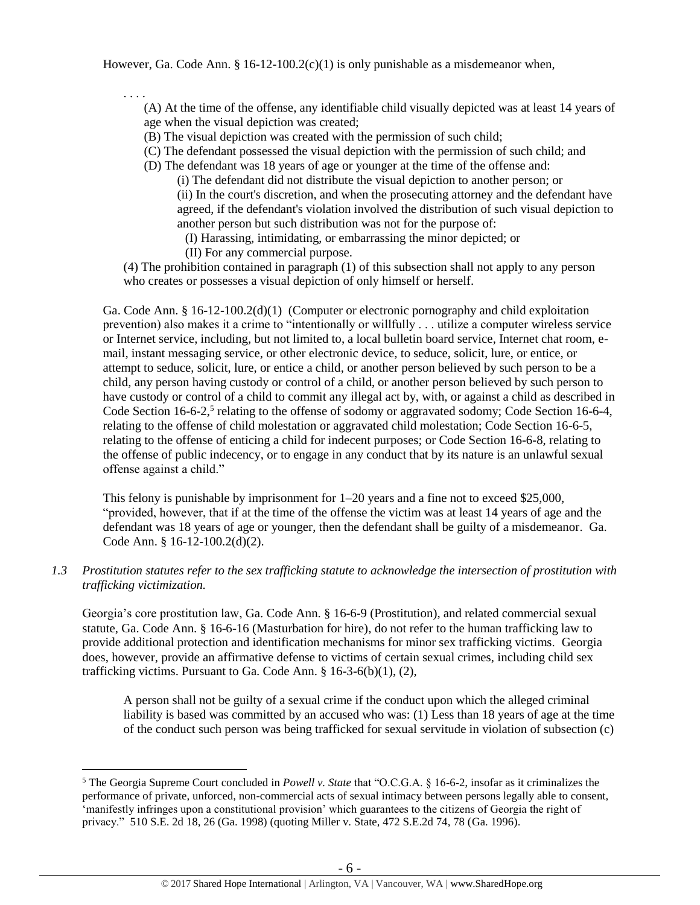However, Ga. Code Ann. §  $16-12-100.2(c)(1)$  is only punishable as a misdemeanor when,

. . . .

 $\overline{a}$ 

(A) At the time of the offense, any identifiable child visually depicted was at least 14 years of age when the visual depiction was created;

(B) The visual depiction was created with the permission of such child;

(C) The defendant possessed the visual depiction with the permission of such child; and

(D) The defendant was 18 years of age or younger at the time of the offense and:

(i) The defendant did not distribute the visual depiction to another person; or (ii) In the court's discretion, and when the prosecuting attorney and the defendant have agreed, if the defendant's violation involved the distribution of such visual depiction to another person but such distribution was not for the purpose of:

(I) Harassing, intimidating, or embarrassing the minor depicted; or

(II) For any commercial purpose.

(4) The prohibition contained in paragraph (1) of this subsection shall not apply to any person who creates or possesses a visual depiction of only himself or herself.

Ga. Code Ann. § 16-12-100.2(d)(1) (Computer or electronic pornography and child exploitation prevention) also makes it a crime to "intentionally or willfully . . . utilize a computer wireless service or Internet service, including, but not limited to, a local bulletin board service, Internet chat room, email, instant messaging service, or other electronic device, to seduce, solicit, lure, or entice, or attempt to seduce, solicit, lure, or entice a child, or another person believed by such person to be a child, any person having custody or control of a child, or another person believed by such person to have custody or control of a child to commit any illegal act by, with, or against a child as described in Code Section 16-6-2,<sup>5</sup> relating to the offense of sodomy or aggravated sodomy; Code Section 16-6-4, relating to the offense of child molestation or aggravated child molestation; Code Section 16-6-5, relating to the offense of enticing a child for indecent purposes; or Code Section 16-6-8, relating to the offense of public indecency, or to engage in any conduct that by its nature is an unlawful sexual offense against a child."

<span id="page-5-0"></span>This felony is punishable by imprisonment for  $1-20$  years and a fine not to exceed \$25,000, "provided, however, that if at the time of the offense the victim was at least 14 years of age and the defendant was 18 years of age or younger, then the defendant shall be guilty of a misdemeanor. Ga. Code Ann. § 16-12-100.2(d)(2).

## *1.3 Prostitution statutes refer to the sex trafficking statute to acknowledge the intersection of prostitution with trafficking victimization.*

Georgia's core prostitution law, Ga. Code Ann. § 16-6-9 (Prostitution), and related commercial sexual statute, Ga. Code Ann. § 16-6-16 (Masturbation for hire), do not refer to the human trafficking law to provide additional protection and identification mechanisms for minor sex trafficking victims. Georgia does, however, provide an affirmative defense to victims of certain sexual crimes, including child sex trafficking victims. Pursuant to Ga. Code Ann. § 16-3-6(b)(1), (2),

A person shall not be guilty of a sexual crime if the conduct upon which the alleged criminal liability is based was committed by an accused who was: (1) Less than 18 years of age at the time of the conduct such person was being trafficked for sexual servitude in violation of subsection (c)

<sup>5</sup> The Georgia Supreme Court concluded in *Powell v. State* that "O.C.G.A. § 16-6-2, insofar as it criminalizes the performance of private, unforced, non-commercial acts of sexual intimacy between persons legally able to consent, 'manifestly infringes upon a constitutional provision' which guarantees to the citizens of Georgia the right of privacy." 510 S.E. 2d 18, 26 (Ga. 1998) (quoting Miller v. State, 472 S.E.2d 74, 78 (Ga. 1996).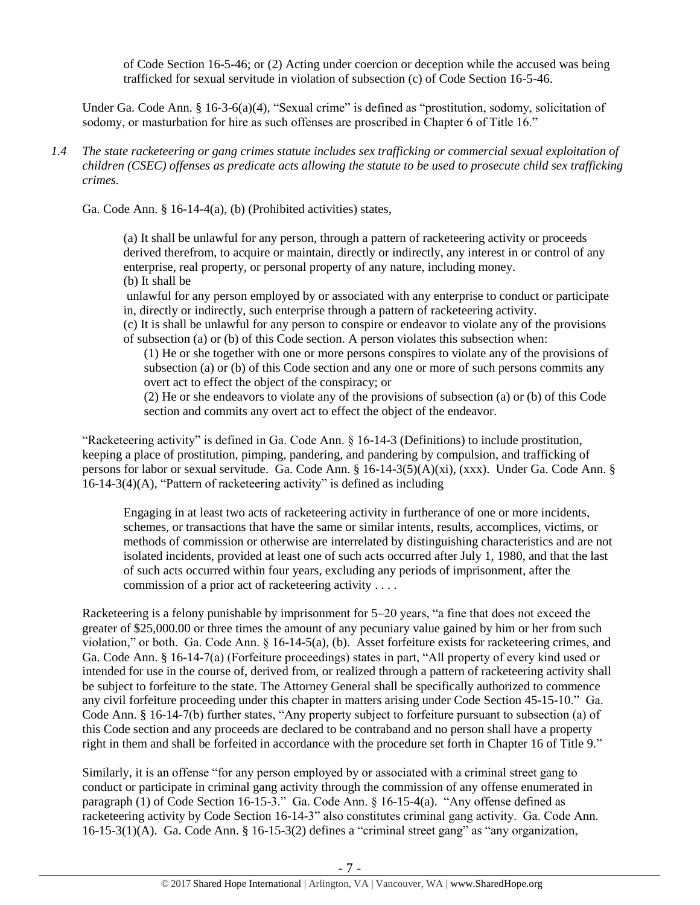of Code Section 16-5-46; or (2) Acting under coercion or deception while the accused was being trafficked for sexual servitude in violation of subsection (c) of Code Section 16-5-46.

Under Ga. Code Ann. § 16-3-6(a)(4), "Sexual crime" is defined as "prostitution, sodomy, solicitation of sodomy, or masturbation for hire as such offenses are proscribed in Chapter 6 of Title 16."

*1.4 The state racketeering or gang crimes statute includes sex trafficking or commercial sexual exploitation of children (CSEC) offenses as predicate acts allowing the statute to be used to prosecute child sex trafficking crimes.* 

Ga. Code Ann. § 16-14-4(a), (b) (Prohibited activities) states,

(a) It shall be unlawful for any person, through a pattern of racketeering activity or proceeds derived therefrom, to acquire or maintain, directly or indirectly, any interest in or control of any enterprise, real property, or personal property of any nature, including money. (b) It shall be

unlawful for any person employed by or associated with any enterprise to conduct or participate in, directly or indirectly, such enterprise through a pattern of racketeering activity.

(c) It is shall be unlawful for any person to conspire or endeavor to violate any of the provisions of subsection (a) or (b) of this Code section. A person violates this subsection when:

(1) He or she together with one or more persons conspires to violate any of the provisions of subsection (a) or (b) of this Code section and any one or more of such persons commits any overt act to effect the object of the conspiracy; or

(2) He or she endeavors to violate any of the provisions of subsection (a) or (b) of this Code section and commits any overt act to effect the object of the endeavor.

"Racketeering activity" is defined in Ga. Code Ann. § 16-14-3 (Definitions) to include prostitution, keeping a place of prostitution, pimping, pandering, and pandering by compulsion, and trafficking of persons for labor or sexual servitude. Ga. Code Ann. § 16-14-3(5)(A)(xi), (xxx). Under Ga. Code Ann. § 16-14-3(4)(A), "Pattern of racketeering activity" is defined as including

Engaging in at least two acts of racketeering activity in furtherance of one or more incidents, schemes, or transactions that have the same or similar intents, results, accomplices, victims, or methods of commission or otherwise are interrelated by distinguishing characteristics and are not isolated incidents, provided at least one of such acts occurred after July 1, 1980, and that the last of such acts occurred within four years, excluding any periods of imprisonment, after the commission of a prior act of racketeering activity . . . .

Racketeering is a felony punishable by imprisonment for 5–20 years, "a fine that does not exceed the greater of \$25,000.00 or three times the amount of any pecuniary value gained by him or her from such violation," or both. Ga. Code Ann. § 16-14-5(a), (b). Asset forfeiture exists for racketeering crimes, and Ga. Code Ann. § 16-14-7(a) (Forfeiture proceedings) states in part, "All property of every kind used or intended for use in the course of, derived from, or realized through a pattern of racketeering activity shall be subject to forfeiture to the state. The Attorney General shall be specifically authorized to commence any civil forfeiture proceeding under this chapter in matters arising under Code Section 45-15-10." Ga. Code Ann. § 16-14-7(b) further states, "Any property subject to forfeiture pursuant to subsection (a) of this Code section and any proceeds are declared to be contraband and no person shall have a property right in them and shall be forfeited in accordance with the procedure set forth in Chapter 16 of Title 9."

Similarly, it is an offense "for any person employed by or associated with a criminal street gang to conduct or participate in criminal gang activity through the commission of any offense enumerated in paragraph (1) of Code Section 16-15-3." Ga. Code Ann. § 16-15-4(a). "Any offense defined as racketeering activity by Code Section 16-14-3" also constitutes criminal gang activity. Ga. Code Ann. 16-15-3(1)(A). Ga. Code Ann. § 16-15-3(2) defines a "criminal street gang" as "any organization,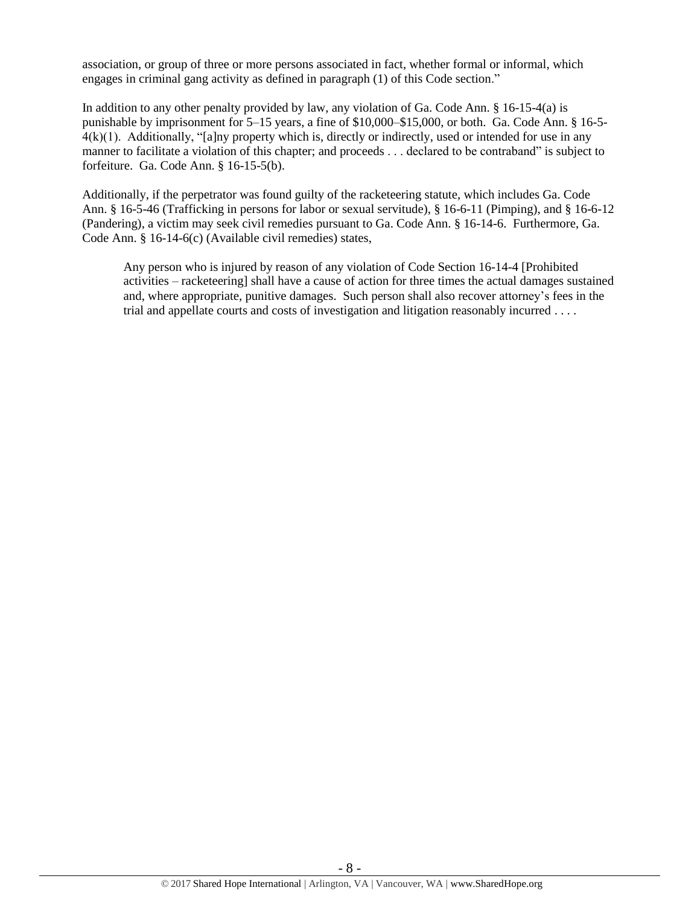association, or group of three or more persons associated in fact, whether formal or informal, which engages in criminal gang activity as defined in paragraph (1) of this Code section."

In addition to any other penalty provided by law, any violation of Ga. Code Ann. § 16-15-4(a) is punishable by imprisonment for 5–15 years, a fine of \$10,000–\$15,000, or both. Ga. Code Ann. § 16-5-  $4(k)(1)$ . Additionally, "[a]ny property which is, directly or indirectly, used or intended for use in any manner to facilitate a violation of this chapter; and proceeds . . . declared to be contraband" is subject to forfeiture. Ga. Code Ann. § 16-15-5(b).

Additionally, if the perpetrator was found guilty of the racketeering statute, which includes Ga. Code Ann. § 16-5-46 (Trafficking in persons for labor or sexual servitude), § 16-6-11 (Pimping), and § 16-6-12 (Pandering), a victim may seek civil remedies pursuant to Ga. Code Ann. § 16-14-6. Furthermore, Ga. Code Ann. § 16-14-6(c) (Available civil remedies) states,

Any person who is injured by reason of any violation of Code Section 16-14-4 [Prohibited activities – racketeering] shall have a cause of action for three times the actual damages sustained and, where appropriate, punitive damages. Such person shall also recover attorney's fees in the trial and appellate courts and costs of investigation and litigation reasonably incurred . . . .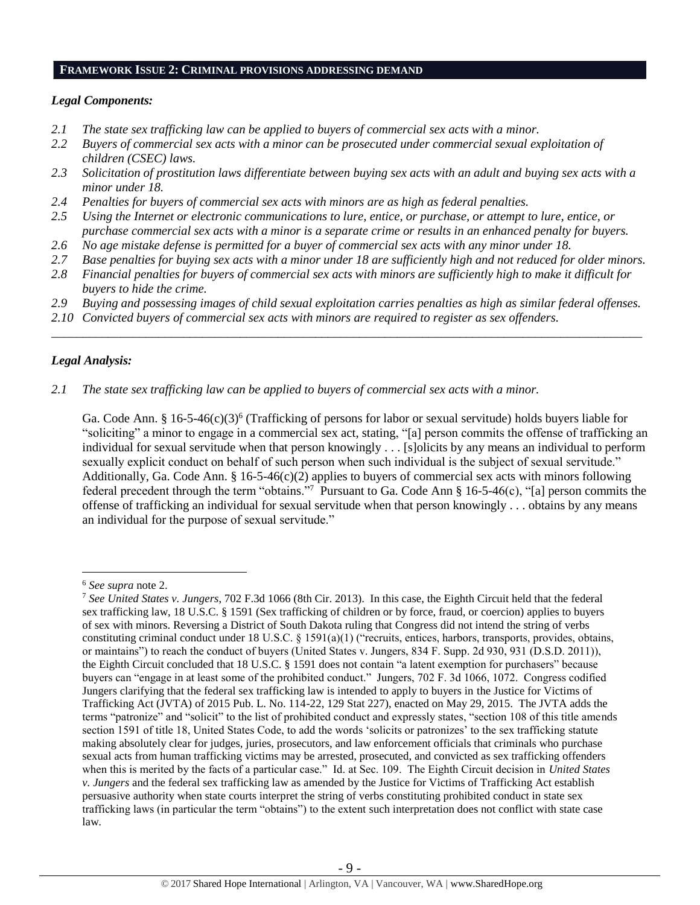#### **FRAMEWORK ISSUE 2: CRIMINAL PROVISIONS ADDRESSING DEMAND**

#### *Legal Components:*

- *2.1 The state sex trafficking law can be applied to buyers of commercial sex acts with a minor.*
- *2.2 Buyers of commercial sex acts with a minor can be prosecuted under commercial sexual exploitation of children (CSEC) laws.*
- *2.3 Solicitation of prostitution laws differentiate between buying sex acts with an adult and buying sex acts with a minor under 18.*
- *2.4 Penalties for buyers of commercial sex acts with minors are as high as federal penalties.*
- *2.5 Using the Internet or electronic communications to lure, entice, or purchase, or attempt to lure, entice, or purchase commercial sex acts with a minor is a separate crime or results in an enhanced penalty for buyers.*
- *2.6 No age mistake defense is permitted for a buyer of commercial sex acts with any minor under 18.*
- *2.7 Base penalties for buying sex acts with a minor under 18 are sufficiently high and not reduced for older minors.*
- *2.8 Financial penalties for buyers of commercial sex acts with minors are sufficiently high to make it difficult for buyers to hide the crime.*
- *2.9 Buying and possessing images of child sexual exploitation carries penalties as high as similar federal offenses.*

\_\_\_\_\_\_\_\_\_\_\_\_\_\_\_\_\_\_\_\_\_\_\_\_\_\_\_\_\_\_\_\_\_\_\_\_\_\_\_\_\_\_\_\_\_\_\_\_\_\_\_\_\_\_\_\_\_\_\_\_\_\_\_\_\_\_\_\_\_\_\_\_\_\_\_\_\_\_\_\_\_\_\_\_\_\_\_\_\_\_\_\_\_\_

*2.10 Convicted buyers of commercial sex acts with minors are required to register as sex offenders.*

## *Legal Analysis:*

*2.1 The state sex trafficking law can be applied to buyers of commercial sex acts with a minor.* 

Ga. Code Ann. §  $16-5-46(c)(3)^6$  (Trafficking of persons for labor or sexual servitude) holds buyers liable for "soliciting" a minor to engage in a commercial sex act, stating, "[a] person commits the offense of trafficking an individual for sexual servitude when that person knowingly . . . [s]olicits by any means an individual to perform sexually explicit conduct on behalf of such person when such individual is the subject of sexual servitude." Additionally, Ga. Code Ann. § 16-5-46(c)(2) applies to buyers of commercial sex acts with minors following federal precedent through the term "obtains."<sup>7</sup> Pursuant to Ga. Code Ann § 16-5-46(c), "[a] person commits the offense of trafficking an individual for sexual servitude when that person knowingly . . . obtains by any means an individual for the purpose of sexual servitude."

<sup>6</sup> *See supra* note [2.](#page-0-0)

<sup>7</sup> *See United States v. Jungers*, 702 F.3d 1066 (8th Cir. 2013). In this case, the Eighth Circuit held that the federal sex trafficking law, 18 U.S.C. § 1591 (Sex trafficking of children or by force, fraud, or coercion) applies to buyers of sex with minors. Reversing a District of South Dakota ruling that Congress did not intend the string of verbs constituting criminal conduct under 18 U.S.C. § 1591(a)(1) ("recruits, entices, harbors, transports, provides, obtains, or maintains") to reach the conduct of buyers (United States v. Jungers, 834 F. Supp. 2d 930, 931 (D.S.D. 2011)), the Eighth Circuit concluded that 18 U.S.C. § 1591 does not contain "a latent exemption for purchasers" because buyers can "engage in at least some of the prohibited conduct." Jungers, 702 F. 3d 1066, 1072. Congress codified Jungers clarifying that the federal sex trafficking law is intended to apply to buyers in the Justice for Victims of Trafficking Act (JVTA) of 2015 Pub. L. No. 114-22, 129 Stat 227), enacted on May 29, 2015. The JVTA adds the terms "patronize" and "solicit" to the list of prohibited conduct and expressly states, "section 108 of this title amends section 1591 of title 18, United States Code, to add the words 'solicits or patronizes' to the sex trafficking statute making absolutely clear for judges, juries, prosecutors, and law enforcement officials that criminals who purchase sexual acts from human trafficking victims may be arrested, prosecuted, and convicted as sex trafficking offenders when this is merited by the facts of a particular case." Id. at Sec. 109. The Eighth Circuit decision in *United States v. Jungers* and the federal sex trafficking law as amended by the Justice for Victims of Trafficking Act establish persuasive authority when state courts interpret the string of verbs constituting prohibited conduct in state sex trafficking laws (in particular the term "obtains") to the extent such interpretation does not conflict with state case law.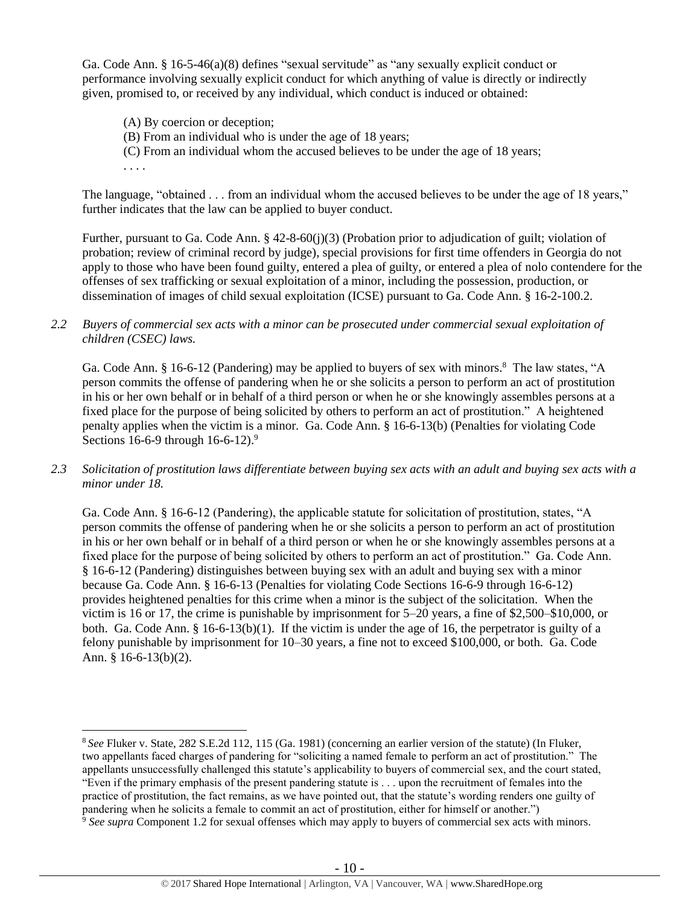Ga. Code Ann. § 16-5-46(a)(8) defines "sexual servitude" as "any sexually explicit conduct or performance involving sexually explicit conduct for which anything of value is directly or indirectly given, promised to, or received by any individual, which conduct is induced or obtained:

(A) By coercion or deception;

. . . .

- (B) From an individual who is under the age of 18 years;
- (C) From an individual whom the accused believes to be under the age of 18 years;

The language, "obtained . . . from an individual whom the accused believes to be under the age of 18 years," further indicates that the law can be applied to buyer conduct.

Further, pursuant to Ga. Code Ann. § 42-8-60(j)(3) (Probation prior to adjudication of guilt; violation of probation; review of criminal record by judge), special provisions for first time offenders in Georgia do not apply to those who have been found guilty, entered a plea of guilty, or entered a plea of nolo contendere for the offenses of sex trafficking or sexual exploitation of a minor, including the possession, production, or dissemination of images of child sexual exploitation (ICSE) pursuant to Ga. Code Ann. § 16-2-100.2.

*2.2 Buyers of commercial sex acts with a minor can be prosecuted under commercial sexual exploitation of children (CSEC) laws.*

Ga. Code Ann. § 16-6-12 (Pandering) may be applied to buyers of sex with minors.<sup>8</sup> The law states, "A person commits the offense of pandering when he or she solicits a person to perform an act of prostitution in his or her own behalf or in behalf of a third person or when he or she knowingly assembles persons at a fixed place for the purpose of being solicited by others to perform an act of prostitution." A heightened penalty applies when the victim is a minor. Ga. Code Ann. § 16-6-13(b) (Penalties for violating Code Sections 16-6-9 through 16-6-12).<sup>9</sup>

*2.3 Solicitation of prostitution laws differentiate between buying sex acts with an adult and buying sex acts with a minor under 18.*

Ga. Code Ann. § 16-6-12 (Pandering), the applicable statute for solicitation of prostitution, states, "A person commits the offense of pandering when he or she solicits a person to perform an act of prostitution in his or her own behalf or in behalf of a third person or when he or she knowingly assembles persons at a fixed place for the purpose of being solicited by others to perform an act of prostitution." Ga. Code Ann. § 16-6-12 (Pandering) distinguishes between buying sex with an adult and buying sex with a minor because Ga. Code Ann. § 16-6-13 (Penalties for violating Code Sections 16-6-9 through 16-6-12) provides heightened penalties for this crime when a minor is the subject of the solicitation. When the victim is 16 or 17, the crime is punishable by imprisonment for 5–20 years, a fine of \$2,500–\$10,000, or both. Ga. Code Ann. § 16-6-13(b)(1). If the victim is under the age of 16, the perpetrator is guilty of a felony punishable by imprisonment for 10–30 years, a fine not to exceed \$100,000, or both. Ga. Code Ann. § 16-6-13(b)(2).

 $\overline{a}$ <sup>8</sup> *See* Fluker v. State, 282 S.E.2d 112, 115 (Ga. 1981) (concerning an earlier version of the statute) (In Fluker, two appellants faced charges of pandering for "soliciting a named female to perform an act of prostitution." The appellants unsuccessfully challenged this statute's applicability to buyers of commercial sex, and the court stated, "Even if the primary emphasis of the present pandering statute is . . . upon the recruitment of females into the practice of prostitution, the fact remains, as we have pointed out, that the statute's wording renders one guilty of pandering when he solicits a female to commit an act of prostitution, either for himself or another.")

<sup>9</sup> *See supra* Component 1.2 for sexual offenses which may apply to buyers of commercial sex acts with minors.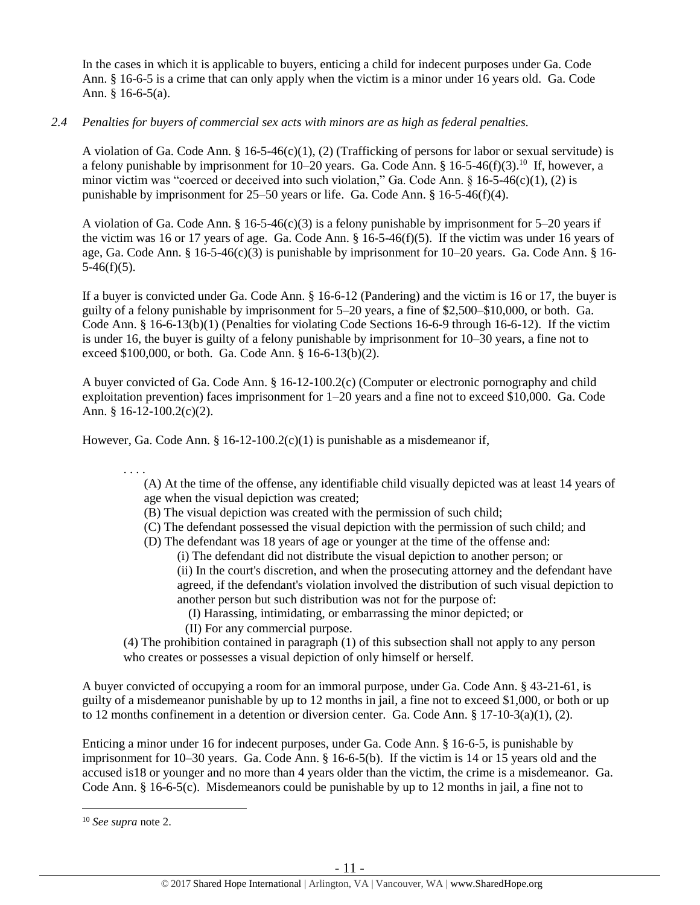In the cases in which it is applicable to buyers, enticing a child for indecent purposes under Ga. Code Ann. § 16-6-5 is a crime that can only apply when the victim is a minor under 16 years old. Ga. Code Ann. § 16-6-5(a).

## *2.4 Penalties for buyers of commercial sex acts with minors are as high as federal penalties.*

A violation of Ga. Code Ann. § 16-5-46(c)(1), (2) (Trafficking of persons for labor or sexual servitude) is a felony punishable by imprisonment for 10–20 years. Ga. Code Ann. § 16-5-46(f)(3).<sup>10</sup> If, however, a minor victim was "coerced or deceived into such violation," Ga. Code Ann.  $\S 16-5-46(c)(1)$ , (2) is punishable by imprisonment for 25–50 years or life. Ga. Code Ann. § 16-5-46(f)(4).

A violation of Ga. Code Ann. § 16-5-46(c)(3) is a felony punishable by imprisonment for 5–20 years if the victim was 16 or 17 years of age. Ga. Code Ann.  $\S$  16-5-46(f)(5). If the victim was under 16 years of age, Ga. Code Ann. § 16-5-46(c)(3) is punishable by imprisonment for 10–20 years. Ga. Code Ann. § 16-  $5-46(f)(5)$ .

If a buyer is convicted under Ga. Code Ann. § 16-6-12 (Pandering) and the victim is 16 or 17, the buyer is guilty of a felony punishable by imprisonment for 5–20 years, a fine of \$2,500–\$10,000, or both. Ga. Code Ann. § 16-6-13(b)(1) (Penalties for violating Code Sections 16-6-9 through 16-6-12). If the victim is under 16, the buyer is guilty of a felony punishable by imprisonment for 10–30 years, a fine not to exceed \$100,000, or both. Ga. Code Ann. § 16-6-13(b)(2).

A buyer convicted of Ga. Code Ann. § 16-12-100.2(c) (Computer or electronic pornography and child exploitation prevention) faces imprisonment for 1–20 years and a fine not to exceed \$10,000. Ga. Code Ann. § 16-12-100.2(c)(2).

However, Ga. Code Ann. §  $16-12-100.2(c)(1)$  is punishable as a misdemeanor if,

. . . . (A) At the time of the offense, any identifiable child visually depicted was at least 14 years of age when the visual depiction was created;

- (B) The visual depiction was created with the permission of such child;
- (C) The defendant possessed the visual depiction with the permission of such child; and
- (D) The defendant was 18 years of age or younger at the time of the offense and:

(i) The defendant did not distribute the visual depiction to another person; or (ii) In the court's discretion, and when the prosecuting attorney and the defendant have agreed, if the defendant's violation involved the distribution of such visual depiction to another person but such distribution was not for the purpose of:

- (I) Harassing, intimidating, or embarrassing the minor depicted; or
- (II) For any commercial purpose.

(4) The prohibition contained in paragraph (1) of this subsection shall not apply to any person who creates or possesses a visual depiction of only himself or herself.

A buyer convicted of occupying a room for an immoral purpose, under Ga. Code Ann. § 43-21-61, is guilty of a misdemeanor punishable by up to 12 months in jail, a fine not to exceed \$1,000, or both or up to 12 months confinement in a detention or diversion center. Ga. Code Ann.  $\S 17$ -10-3(a)(1), (2).

Enticing a minor under 16 for indecent purposes, under Ga. Code Ann. § 16-6-5, is punishable by imprisonment for 10–30 years. Ga. Code Ann. § 16-6-5(b). If the victim is 14 or 15 years old and the accused is18 or younger and no more than 4 years older than the victim, the crime is a misdemeanor. Ga. Code Ann. § 16-6-5(c). Misdemeanors could be punishable by up to 12 months in jail, a fine not to

<sup>10</sup> *See supra* note [2.](#page-0-0)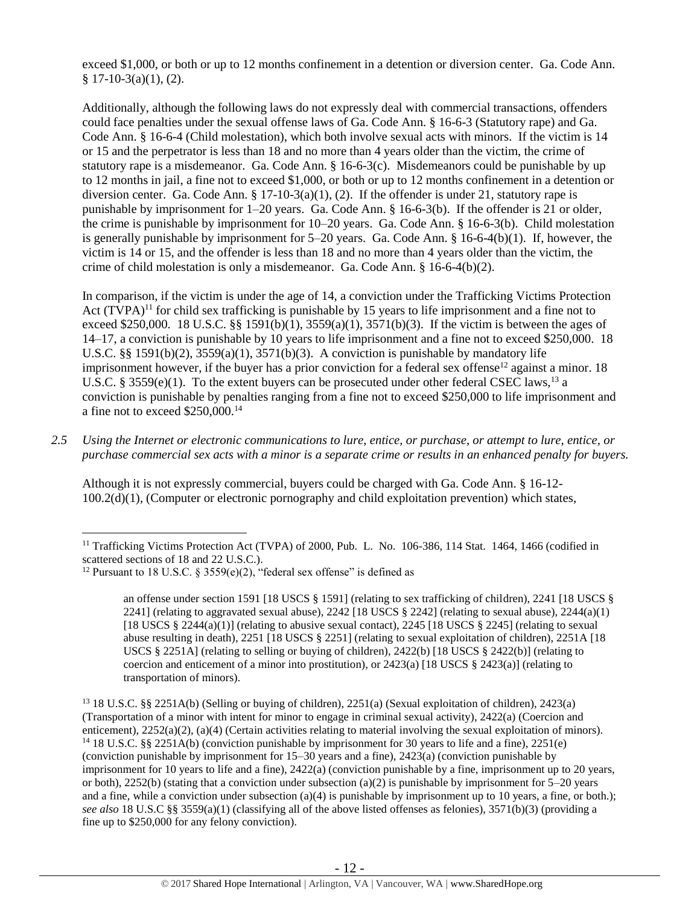exceed \$1,000, or both or up to 12 months confinement in a detention or diversion center. Ga. Code Ann.  $§ 17-10-3(a)(1), (2).$ 

Additionally, although the following laws do not expressly deal with commercial transactions, offenders could face penalties under the sexual offense laws of Ga. Code Ann. § 16-6-3 (Statutory rape) and Ga. Code Ann. § 16-6-4 (Child molestation), which both involve sexual acts with minors. If the victim is 14 or 15 and the perpetrator is less than 18 and no more than 4 years older than the victim, the crime of statutory rape is a misdemeanor. Ga. Code Ann. § 16-6-3(c). Misdemeanors could be punishable by up to 12 months in jail, a fine not to exceed \$1,000, or both or up to 12 months confinement in a detention or diversion center. Ga. Code Ann. §  $17-10-3(a)(1)$ , (2). If the offender is under 21, statutory rape is punishable by imprisonment for 1–20 years. Ga. Code Ann. § 16-6-3(b). If the offender is 21 or older, the crime is punishable by imprisonment for 10–20 years. Ga. Code Ann. § 16-6-3(b). Child molestation is generally punishable by imprisonment for 5–20 years. Ga. Code Ann. § 16-6-4(b)(1). If, however, the victim is 14 or 15, and the offender is less than 18 and no more than 4 years older than the victim, the crime of child molestation is only a misdemeanor. Ga. Code Ann. § 16-6-4(b)(2).

<span id="page-11-1"></span><span id="page-11-0"></span>In comparison, if the victim is under the age of 14, a conviction under the Trafficking Victims Protection Act (TVPA)<sup>11</sup> for child sex trafficking is punishable by 15 years to life imprisonment and a fine not to exceed \$250,000. 18 U.S.C. §§ 1591(b)(1),  $3559(a)(1)$ ,  $3571(b)(3)$ . If the victim is between the ages of 14–17, a conviction is punishable by 10 years to life imprisonment and a fine not to exceed \$250,000. 18 U.S.C. §§ 1591(b)(2),  $3559(a)(1)$ ,  $3571(b)(3)$ . A conviction is punishable by mandatory life imprisonment however, if the buyer has a prior conviction for a federal sex offense<sup>12</sup> against a minor. 18 U.S.C. § 3559(e)(1). To the extent buyers can be prosecuted under other federal CSEC laws,<sup>13</sup> a conviction is punishable by penalties ranging from a fine not to exceed \$250,000 to life imprisonment and a fine not to exceed \$250,000.<sup>14</sup>

*2.5 Using the Internet or electronic communications to lure, entice, or purchase, or attempt to lure, entice, or purchase commercial sex acts with a minor is a separate crime or results in an enhanced penalty for buyers.*

Although it is not expressly commercial, buyers could be charged with Ga. Code Ann. § 16-12- 100.2(d)(1), (Computer or electronic pornography and child exploitation prevention) which states,

 $\overline{a}$ 

an offense under section 1591 [18 USCS § 1591] (relating to sex trafficking of children), 2241 [18 USCS § 2241] (relating to aggravated sexual abuse),  $2242$  [18 USCS § 2242] (relating to sexual abuse),  $2244(a)(1)$ [18 USCS  $\S 2244(a)(1)$ ] (relating to abusive sexual contact), 2245 [18 USCS  $\S 2245$ ] (relating to sexual abuse resulting in death), 2251 [18 USCS § 2251] (relating to sexual exploitation of children), 2251A [18 USCS § 2251A] (relating to selling or buying of children), 2422(b) [18 USCS § 2422(b)] (relating to coercion and enticement of a minor into prostitution), or  $2423(a)$  [18 USCS §  $2423(a)$ ] (relating to transportation of minors).

<sup>&</sup>lt;sup>11</sup> Trafficking Victims Protection Act (TVPA) of 2000, Pub. L. No. 106-386, 114 Stat. 1464, 1466 (codified in scattered sections of 18 and 22 U.S.C.).

<sup>&</sup>lt;sup>12</sup> Pursuant to 18 U.S.C. § 3559(e)(2), "federal sex offense" is defined as

<sup>13</sup> 18 U.S.C. §§ 2251A(b) (Selling or buying of children), 2251(a) (Sexual exploitation of children), 2423(a) (Transportation of a minor with intent for minor to engage in criminal sexual activity), 2422(a) (Coercion and enticement), 2252(a)(2), (a)(4) (Certain activities relating to material involving the sexual exploitation of minors). <sup>14</sup> 18 U.S.C. §§ 2251A(b) (conviction punishable by imprisonment for 30 years to life and a fine), 2251(e) (conviction punishable by imprisonment for 15–30 years and a fine), 2423(a) (conviction punishable by imprisonment for 10 years to life and a fine), 2422(a) (conviction punishable by a fine, imprisonment up to 20 years, or both), 2252(b) (stating that a conviction under subsection (a)(2) is punishable by imprisonment for  $5-20$  years and a fine, while a conviction under subsection (a)(4) is punishable by imprisonment up to 10 years, a fine, or both.); *see also* 18 U.S.C §§ 3559(a)(1) (classifying all of the above listed offenses as felonies), 3571(b)(3) (providing a fine up to \$250,000 for any felony conviction).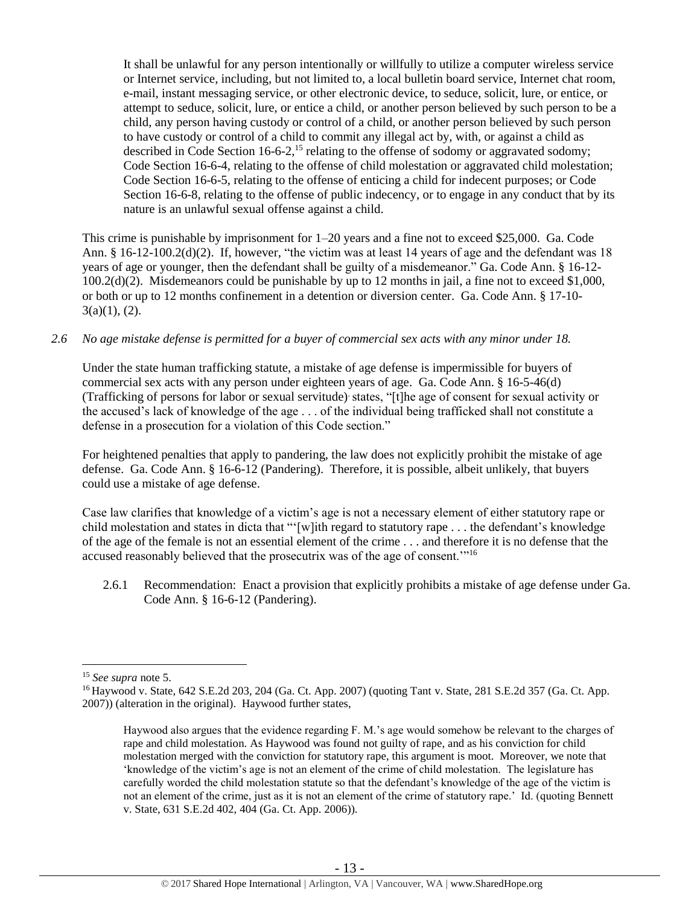It shall be unlawful for any person intentionally or willfully to utilize a computer wireless service or Internet service, including, but not limited to, a local bulletin board service, Internet chat room, e-mail, instant messaging service, or other electronic device, to seduce, solicit, lure, or entice, or attempt to seduce, solicit, lure, or entice a child, or another person believed by such person to be a child, any person having custody or control of a child, or another person believed by such person to have custody or control of a child to commit any illegal act by, with, or against a child as described in Code Section  $16-6-2$ ,<sup>15</sup> relating to the offense of sodomy or aggravated sodomy; Code Section 16-6-4, relating to the offense of child molestation or aggravated child molestation; Code Section 16-6-5, relating to the offense of enticing a child for indecent purposes; or Code Section 16-6-8, relating to the offense of public indecency, or to engage in any conduct that by its nature is an unlawful sexual offense against a child.

This crime is punishable by imprisonment for 1–20 years and a fine not to exceed \$25,000. Ga. Code Ann. § 16-12-100.2(d)(2). If, however, "the victim was at least 14 years of age and the defendant was 18 years of age or younger, then the defendant shall be guilty of a misdemeanor." Ga. Code Ann. § 16-12- 100.2(d)(2). Misdemeanors could be punishable by up to 12 months in jail, a fine not to exceed \$1,000, or both or up to 12 months confinement in a detention or diversion center. Ga. Code Ann. § 17-10-  $3(a)(1)$ , (2).

#### *2.6 No age mistake defense is permitted for a buyer of commercial sex acts with any minor under 18.*

Under the state human trafficking statute, a mistake of age defense is impermissible for buyers of commercial sex acts with any person under eighteen years of age. Ga. Code Ann. § 16-5-46(d) (Trafficking of persons for labor or sexual servitude). states, "[t]he age of consent for sexual activity or the accused's lack of knowledge of the age . . . of the individual being trafficked shall not constitute a defense in a prosecution for a violation of this Code section."

For heightened penalties that apply to pandering, the law does not explicitly prohibit the mistake of age defense. Ga. Code Ann. § 16-6-12 (Pandering). Therefore, it is possible, albeit unlikely, that buyers could use a mistake of age defense.

Case law clarifies that knowledge of a victim's age is not a necessary element of either statutory rape or child molestation and states in dicta that "'[w]ith regard to statutory rape . . . the defendant's knowledge of the age of the female is not an essential element of the crime . . . and therefore it is no defense that the accused reasonably believed that the prosecutrix was of the age of consent.'"<sup>16</sup>

2.6.1 Recommendation: Enact a provision that explicitly prohibits a mistake of age defense under Ga. Code Ann. § 16-6-12 (Pandering).

<sup>15</sup> *See supra* note [5.](#page-5-0)

<sup>16</sup> Haywood v. State, 642 S.E.2d 203, 204 (Ga. Ct. App. 2007) (quoting Tant v. State, 281 S.E.2d 357 (Ga. Ct. App. 2007)) (alteration in the original). Haywood further states,

Haywood also argues that the evidence regarding F. M.'s age would somehow be relevant to the charges of rape and child molestation. As Haywood was found not guilty of rape, and as his conviction for child molestation merged with the conviction for statutory rape, this argument is moot. Moreover, we note that 'knowledge of the victim's age is not an element of the crime of child molestation. The legislature has carefully worded the child molestation statute so that the defendant's knowledge of the age of the victim is not an element of the crime, just as it is not an element of the crime of statutory rape.' Id. (quoting Bennett v. State, 631 S.E.2d 402, 404 (Ga. Ct. App. 2006)).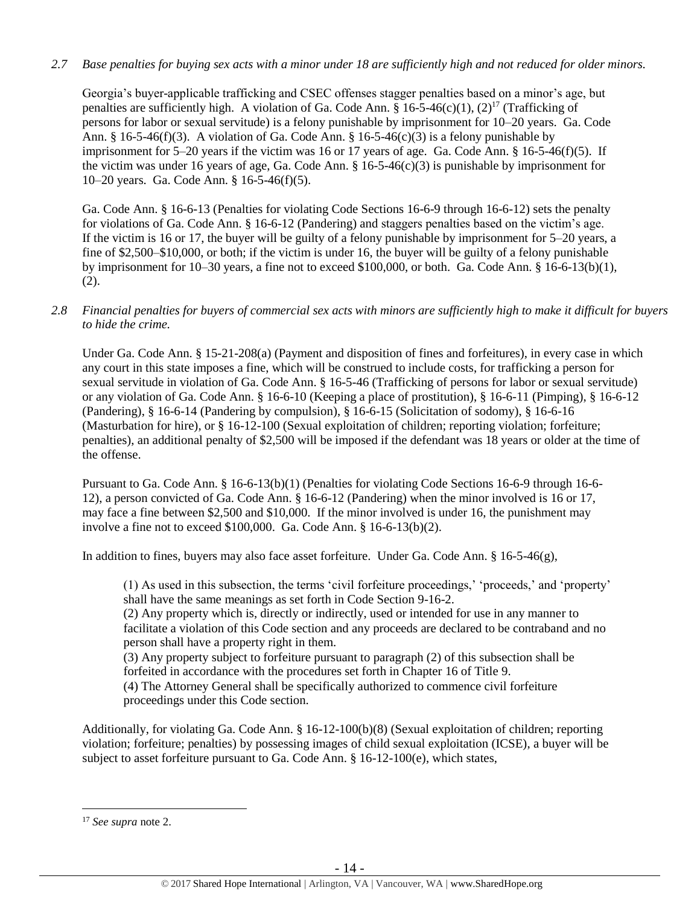### *2.7 Base penalties for buying sex acts with a minor under 18 are sufficiently high and not reduced for older minors.*

Georgia's buyer-applicable trafficking and CSEC offenses stagger penalties based on a minor's age, but penalties are sufficiently high. A violation of Ga. Code Ann. §  $16-5-46(c)(1)$ ,  $(2)^{17}$  (Trafficking of persons for labor or sexual servitude) is a felony punishable by imprisonment for 10–20 years. Ga. Code Ann. § 16-5-46(f)(3). A violation of Ga. Code Ann. § 16-5-46(c)(3) is a felony punishable by imprisonment for 5–20 years if the victim was 16 or 17 years of age. Ga. Code Ann. § 16-5-46(f)(5). If the victim was under 16 years of age, Ga. Code Ann.  $\S$  16-5-46(c)(3) is punishable by imprisonment for 10–20 years. Ga. Code Ann. § 16-5-46(f)(5).

Ga. Code Ann. § 16-6-13 (Penalties for violating Code Sections 16-6-9 through 16-6-12) sets the penalty for violations of Ga. Code Ann. § 16-6-12 (Pandering) and staggers penalties based on the victim's age. If the victim is 16 or 17, the buyer will be guilty of a felony punishable by imprisonment for 5–20 years, a fine of \$2,500–\$10,000, or both; if the victim is under 16, the buyer will be guilty of a felony punishable by imprisonment for 10–30 years, a fine not to exceed \$100,000, or both. Ga. Code Ann. § 16-6-13(b)(1), (2).

### *2.8 Financial penalties for buyers of commercial sex acts with minors are sufficiently high to make it difficult for buyers to hide the crime.*

Under Ga. Code Ann. § 15-21-208(a) (Payment and disposition of fines and forfeitures), in every case in which any court in this state imposes a fine, which will be construed to include costs, for trafficking a person for sexual servitude in violation of Ga. Code Ann. § 16-5-46 (Trafficking of persons for labor or sexual servitude) or any violation of Ga. Code Ann. § 16-6-10 (Keeping a place of prostitution), § 16-6-11 (Pimping), § 16-6-12 (Pandering), § 16-6-14 (Pandering by compulsion), § 16-6-15 (Solicitation of sodomy), § 16-6-16 (Masturbation for hire), or § 16-12-100 (Sexual exploitation of children; reporting violation; forfeiture; penalties), an additional penalty of \$2,500 will be imposed if the defendant was 18 years or older at the time of the offense.

Pursuant to Ga. Code Ann. § 16-6-13(b)(1) (Penalties for violating Code Sections 16-6-9 through 16-6- 12), a person convicted of Ga. Code Ann. § 16-6-12 (Pandering) when the minor involved is 16 or 17, may face a fine between \$2,500 and \$10,000. If the minor involved is under 16, the punishment may involve a fine not to exceed \$100,000. Ga. Code Ann. § 16-6-13(b)(2).

In addition to fines, buyers may also face asset forfeiture. Under Ga. Code Ann. § 16-5-46(g),

(1) As used in this subsection, the terms 'civil forfeiture proceedings,' 'proceeds,' and 'property' shall have the same meanings as set forth in Code Section 9-16-2.

(2) Any property which is, directly or indirectly, used or intended for use in any manner to facilitate a violation of this Code section and any proceeds are declared to be contraband and no person shall have a property right in them.

(3) Any property subject to forfeiture pursuant to paragraph (2) of this subsection shall be forfeited in accordance with the procedures set forth in Chapter 16 of Title 9.

(4) The Attorney General shall be specifically authorized to commence civil forfeiture proceedings under this Code section.

Additionally, for violating Ga. Code Ann. § 16-12-100(b)(8) (Sexual exploitation of children; reporting violation; forfeiture; penalties) by possessing images of child sexual exploitation (ICSE), a buyer will be subject to asset forfeiture pursuant to Ga. Code Ann. § 16-12-100(e), which states,

<sup>17</sup> *See supra* note [2.](#page-0-0)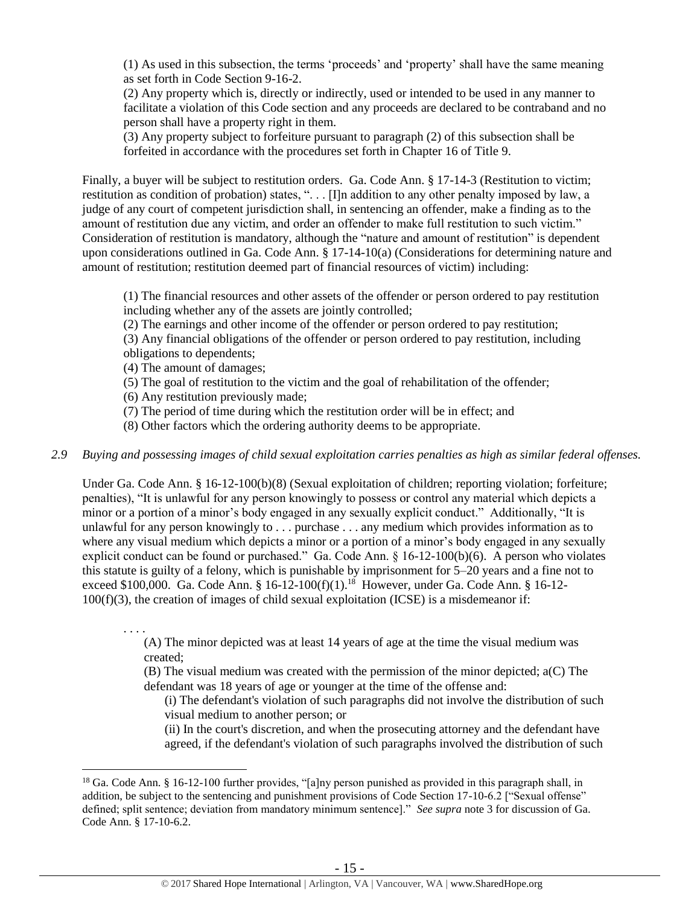(1) As used in this subsection, the terms 'proceeds' and 'property' shall have the same meaning as set forth in Code Section 9-16-2.

(2) Any property which is, directly or indirectly, used or intended to be used in any manner to facilitate a violation of this Code section and any proceeds are declared to be contraband and no person shall have a property right in them.

(3) Any property subject to forfeiture pursuant to paragraph (2) of this subsection shall be forfeited in accordance with the procedures set forth in Chapter 16 of Title 9.

Finally, a buyer will be subject to restitution orders. Ga. Code Ann. § 17-14-3 (Restitution to victim; restitution as condition of probation) states, ". . . [I]n addition to any other penalty imposed by law, a judge of any court of competent jurisdiction shall, in sentencing an offender, make a finding as to the amount of restitution due any victim, and order an offender to make full restitution to such victim." Consideration of restitution is mandatory, although the "nature and amount of restitution" is dependent upon considerations outlined in Ga. Code Ann. § 17-14-10(a) (Considerations for determining nature and amount of restitution; restitution deemed part of financial resources of victim) including:

(1) The financial resources and other assets of the offender or person ordered to pay restitution including whether any of the assets are jointly controlled;

(2) The earnings and other income of the offender or person ordered to pay restitution;

(3) Any financial obligations of the offender or person ordered to pay restitution, including obligations to dependents;

- (4) The amount of damages;
- (5) The goal of restitution to the victim and the goal of rehabilitation of the offender;
- (6) Any restitution previously made;
- (7) The period of time during which the restitution order will be in effect; and
- (8) Other factors which the ordering authority deems to be appropriate.
- *2.9 Buying and possessing images of child sexual exploitation carries penalties as high as similar federal offenses.*

Under Ga. Code Ann. § 16-12-100(b)(8) (Sexual exploitation of children; reporting violation; forfeiture; penalties), "It is unlawful for any person knowingly to possess or control any material which depicts a minor or a portion of a minor's body engaged in any sexually explicit conduct." Additionally, "It is unlawful for any person knowingly to . . . purchase . . . any medium which provides information as to where any visual medium which depicts a minor or a portion of a minor's body engaged in any sexually explicit conduct can be found or purchased." Ga. Code Ann. § 16-12-100(b)(6). A person who violates this statute is guilty of a felony, which is punishable by imprisonment for 5–20 years and a fine not to exceed \$100,000. Ga. Code Ann. § 16-12-100(f)(1).<sup>18</sup> However, under Ga. Code Ann. § 16-12-100(f)(3), the creation of images of child sexual exploitation (ICSE) is a misdemeanor if:

. . . .

 $\overline{a}$ 

(A) The minor depicted was at least 14 years of age at the time the visual medium was created;

(B) The visual medium was created with the permission of the minor depicted; a(C) The defendant was 18 years of age or younger at the time of the offense and:

(i) The defendant's violation of such paragraphs did not involve the distribution of such visual medium to another person; or

(ii) In the court's discretion, and when the prosecuting attorney and the defendant have agreed, if the defendant's violation of such paragraphs involved the distribution of such

<sup>&</sup>lt;sup>18</sup> Ga. Code Ann. § 16-12-100 further provides, "[a]ny person punished as provided in this paragraph shall, in addition, be subject to the sentencing and punishment provisions of Code Section 17-10-6.2 ["Sexual offense" defined; split sentence; deviation from mandatory minimum sentence]." *See supra* note [3](#page-2-0) for discussion of Ga. Code Ann. § 17-10-6.2.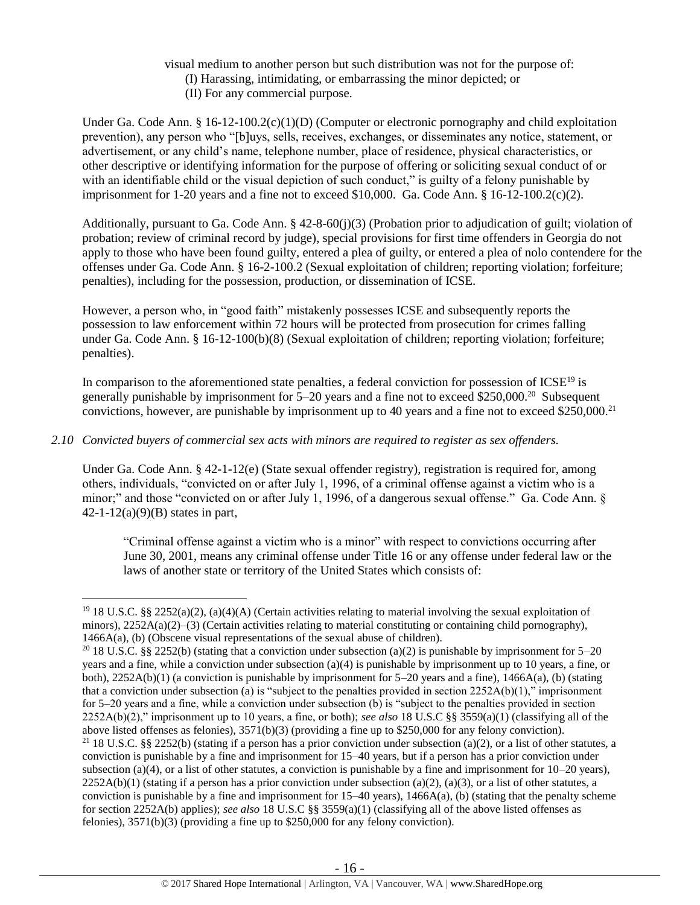- visual medium to another person but such distribution was not for the purpose of:
	- (I) Harassing, intimidating, or embarrassing the minor depicted; or
	- (II) For any commercial purpose.

Under Ga. Code Ann. § 16-12-100.2(c)(1)(D) (Computer or electronic pornography and child exploitation prevention), any person who "[b]uys, sells, receives, exchanges, or disseminates any notice, statement, or advertisement, or any child's name, telephone number, place of residence, physical characteristics, or other descriptive or identifying information for the purpose of offering or soliciting sexual conduct of or with an identifiable child or the visual depiction of such conduct," is guilty of a felony punishable by imprisonment for 1-20 years and a fine not to exceed \$10,000. Ga. Code Ann.  $\S$  16-12-100.2(c)(2).

Additionally, pursuant to Ga. Code Ann. § 42-8-60(j)(3) (Probation prior to adjudication of guilt; violation of probation; review of criminal record by judge), special provisions for first time offenders in Georgia do not apply to those who have been found guilty, entered a plea of guilty, or entered a plea of nolo contendere for the offenses under Ga. Code Ann. § 16-2-100.2 (Sexual exploitation of children; reporting violation; forfeiture; penalties), including for the possession, production, or dissemination of ICSE.

However, a person who, in "good faith" mistakenly possesses ICSE and subsequently reports the possession to law enforcement within 72 hours will be protected from prosecution for crimes falling under Ga. Code Ann. § 16-12-100(b)(8) (Sexual exploitation of children; reporting violation; forfeiture; penalties).

In comparison to the aforementioned state penalties, a federal conviction for possession of ICSE<sup>19</sup> is generally punishable by imprisonment for 5–20 years and a fine not to exceed \$250,000.<sup>20</sup> Subsequent convictions, however, are punishable by imprisonment up to 40 years and a fine not to exceed \$250,000.<sup>21</sup>

## *2.10 Convicted buyers of commercial sex acts with minors are required to register as sex offenders.*

Under Ga. Code Ann. § 42-1-12(e) (State sexual offender registry), registration is required for, among others, individuals, "convicted on or after July 1, 1996, of a criminal offense against a victim who is a minor;" and those "convicted on or after July 1, 1996, of a dangerous sexual offense." Ga. Code Ann. §  $42 - 1 - 12(a)(9)(B)$  states in part,

"Criminal offense against a victim who is a minor" with respect to convictions occurring after June 30, 2001, means any criminal offense under Title 16 or any offense under federal law or the laws of another state or territory of the United States which consists of:

 $\overline{a}$ <sup>19</sup> 18 U.S.C. §§ 2252(a)(2), (a)(4)(A) (Certain activities relating to material involving the sexual exploitation of minors), 2252A(a)(2)–(3) (Certain activities relating to material constituting or containing child pornography), 1466A(a), (b) (Obscene visual representations of the sexual abuse of children).

<sup>&</sup>lt;sup>20</sup> 18 U.S.C. §§ 2252(b) (stating that a conviction under subsection (a)(2) is punishable by imprisonment for 5–20 years and a fine, while a conviction under subsection (a)(4) is punishable by imprisonment up to 10 years, a fine, or both),  $2252A(b)(1)$  (a conviction is punishable by imprisonment for  $5-20$  years and a fine),  $1466A(a)$ , (b) (stating that a conviction under subsection (a) is "subject to the penalties provided in section  $2252A(b)(1)$ ," imprisonment for 5–20 years and a fine, while a conviction under subsection (b) is "subject to the penalties provided in section 2252A(b)(2)," imprisonment up to 10 years, a fine, or both); *see also* 18 U.S.C §§ 3559(a)(1) (classifying all of the above listed offenses as felonies), 3571(b)(3) (providing a fine up to \$250,000 for any felony conviction). <sup>21</sup> 18 U.S.C. §§ 2252(b) (stating if a person has a prior conviction under subsection (a)(2), or a list of other statutes, a

conviction is punishable by a fine and imprisonment for 15–40 years, but if a person has a prior conviction under subsection (a)(4), or a list of other statutes, a conviction is punishable by a fine and imprisonment for  $10-20$  years),  $2252A(b)(1)$  (stating if a person has a prior conviction under subsection (a)(2), (a)(3), or a list of other statutes, a conviction is punishable by a fine and imprisonment for  $15-40$  years),  $1466A(a)$ , (b) (stating that the penalty scheme for section 2252A(b) applies); *see also* 18 U.S.C §§ 3559(a)(1) (classifying all of the above listed offenses as felonies), 3571(b)(3) (providing a fine up to \$250,000 for any felony conviction).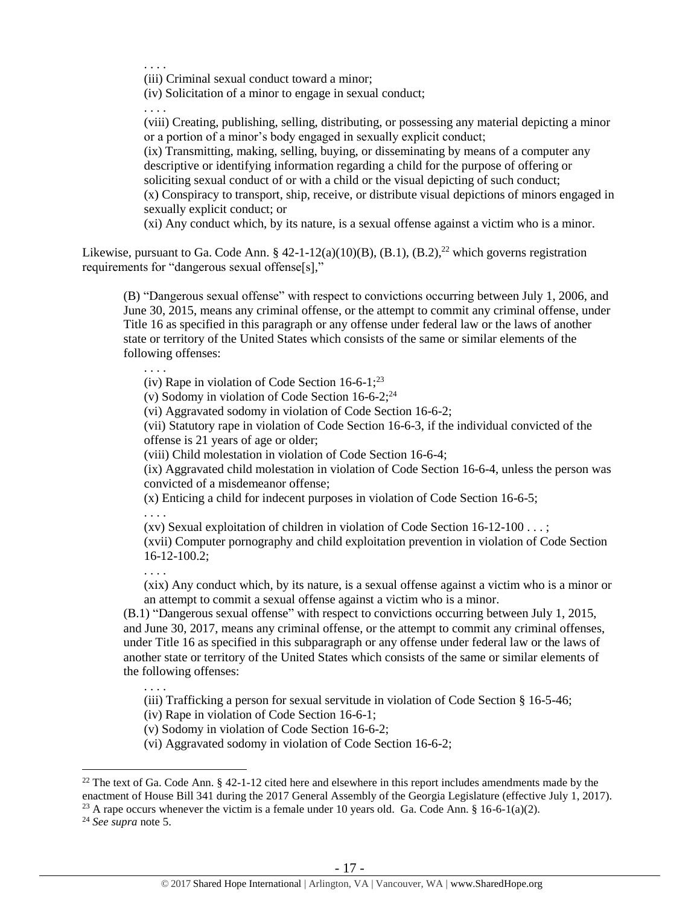. . . . (iii) Criminal sexual conduct toward a minor;

(iv) Solicitation of a minor to engage in sexual conduct;

. . . .

(viii) Creating, publishing, selling, distributing, or possessing any material depicting a minor or a portion of a minor's body engaged in sexually explicit conduct;

(ix) Transmitting, making, selling, buying, or disseminating by means of a computer any descriptive or identifying information regarding a child for the purpose of offering or soliciting sexual conduct of or with a child or the visual depicting of such conduct;

(x) Conspiracy to transport, ship, receive, or distribute visual depictions of minors engaged in sexually explicit conduct; or

<span id="page-16-0"></span>(xi) Any conduct which, by its nature, is a sexual offense against a victim who is a minor.

Likewise, pursuant to Ga. Code Ann. § 42-1-12(a)(10)(B), (B.1), (B.2),<sup>22</sup> which governs registration requirements for "dangerous sexual offense[s],"

(B) "Dangerous sexual offense" with respect to convictions occurring between July 1, 2006, and June 30, 2015, means any criminal offense, or the attempt to commit any criminal offense, under Title 16 as specified in this paragraph or any offense under federal law or the laws of another state or territory of the United States which consists of the same or similar elements of the following offenses:

. . . . (iv) Rape in violation of Code Section  $16-6-1$ ;<sup>23</sup>

<span id="page-16-1"></span>(v) Sodomy in violation of Code Section  $16-6-2$ ;<sup>24</sup>

(vi) Aggravated sodomy in violation of Code Section 16-6-2;

(vii) Statutory rape in violation of Code Section 16-6-3, if the individual convicted of the offense is 21 years of age or older;

(viii) Child molestation in violation of Code Section 16-6-4;

(ix) Aggravated child molestation in violation of Code Section 16-6-4, unless the person was convicted of a misdemeanor offense;

(x) Enticing a child for indecent purposes in violation of Code Section 16-6-5;

. . . .

(xv) Sexual exploitation of children in violation of Code Section 16-12-100 . . . ;

(xvii) Computer pornography and child exploitation prevention in violation of Code Section 16-12-100.2;

. . . .

. . . .

(xix) Any conduct which, by its nature, is a sexual offense against a victim who is a minor or an attempt to commit a sexual offense against a victim who is a minor.

(B.1) "Dangerous sexual offense" with respect to convictions occurring between July 1, 2015, and June 30, 2017, means any criminal offense, or the attempt to commit any criminal offenses, under Title 16 as specified in this subparagraph or any offense under federal law or the laws of another state or territory of the United States which consists of the same or similar elements of the following offenses:

(iii) Trafficking a person for sexual servitude in violation of Code Section § 16-5-46;

(iv) Rape in violation of Code Section 16-6-1;

(v) Sodomy in violation of Code Section 16-6-2;

(vi) Aggravated sodomy in violation of Code Section 16-6-2;

<sup>24</sup> *See supra* note [5.](#page-5-0)

 $22$  The text of Ga. Code Ann. § 42-1-12 cited here and elsewhere in this report includes amendments made by the enactment of House Bill 341 during the 2017 General Assembly of the Georgia Legislature (effective July 1, 2017). <sup>23</sup> A rape occurs whenever the victim is a female under 10 years old. Ga. Code Ann. § 16-6-1(a)(2).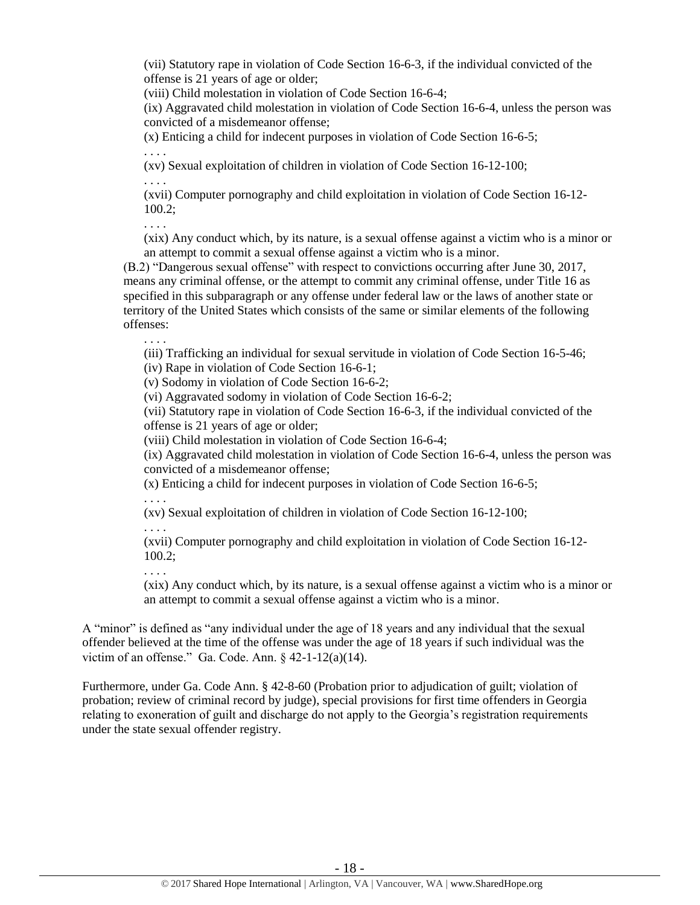(vii) Statutory rape in violation of Code Section 16-6-3, if the individual convicted of the offense is 21 years of age or older;

(viii) Child molestation in violation of Code Section 16-6-4;

(ix) Aggravated child molestation in violation of Code Section 16-6-4, unless the person was convicted of a misdemeanor offense;

(x) Enticing a child for indecent purposes in violation of Code Section 16-6-5;

. . . .

(xv) Sexual exploitation of children in violation of Code Section 16-12-100;

. . . .

(xvii) Computer pornography and child exploitation in violation of Code Section 16-12- 100.2;

. . . .

(xix) Any conduct which, by its nature, is a sexual offense against a victim who is a minor or an attempt to commit a sexual offense against a victim who is a minor.

(B.2) "Dangerous sexual offense" with respect to convictions occurring after June 30, 2017, means any criminal offense, or the attempt to commit any criminal offense, under Title 16 as specified in this subparagraph or any offense under federal law or the laws of another state or territory of the United States which consists of the same or similar elements of the following offenses:

. . . .

(iii) Trafficking an individual for sexual servitude in violation of Code Section 16-5-46;

(iv) Rape in violation of Code Section 16-6-1;

(v) Sodomy in violation of Code Section 16-6-2;

(vi) Aggravated sodomy in violation of Code Section 16-6-2;

(vii) Statutory rape in violation of Code Section 16-6-3, if the individual convicted of the offense is 21 years of age or older;

(viii) Child molestation in violation of Code Section 16-6-4;

(ix) Aggravated child molestation in violation of Code Section 16-6-4, unless the person was convicted of a misdemeanor offense;

(x) Enticing a child for indecent purposes in violation of Code Section 16-6-5;

. . . .

(xv) Sexual exploitation of children in violation of Code Section 16-12-100;

. . . .

(xvii) Computer pornography and child exploitation in violation of Code Section 16-12- 100.2;

. . . .

(xix) Any conduct which, by its nature, is a sexual offense against a victim who is a minor or an attempt to commit a sexual offense against a victim who is a minor.

A "minor" is defined as "any individual under the age of 18 years and any individual that the sexual offender believed at the time of the offense was under the age of 18 years if such individual was the victim of an offense." Ga. Code. Ann.  $\S$  42-1-12(a)(14).

Furthermore, under Ga. Code Ann. § 42-8-60 (Probation prior to adjudication of guilt; violation of probation; review of criminal record by judge), special provisions for first time offenders in Georgia relating to exoneration of guilt and discharge do not apply to the Georgia's registration requirements under the state sexual offender registry.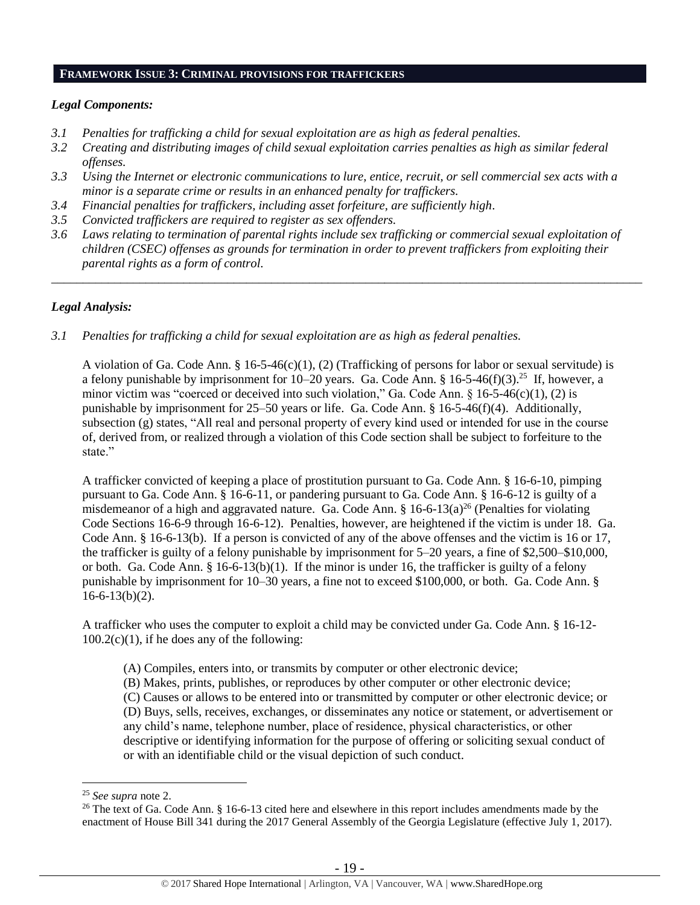#### **FRAMEWORK ISSUE 3: CRIMINAL PROVISIONS FOR TRAFFICKERS**

#### *Legal Components:*

- *3.1 Penalties for trafficking a child for sexual exploitation are as high as federal penalties.*
- *3.2 Creating and distributing images of child sexual exploitation carries penalties as high as similar federal offenses.*
- *3.3 Using the Internet or electronic communications to lure, entice, recruit, or sell commercial sex acts with a minor is a separate crime or results in an enhanced penalty for traffickers.*
- *3.4 Financial penalties for traffickers, including asset forfeiture, are sufficiently high*.
- *3.5 Convicted traffickers are required to register as sex offenders.*
- *3.6 Laws relating to termination of parental rights include sex trafficking or commercial sexual exploitation of children (CSEC) offenses as grounds for termination in order to prevent traffickers from exploiting their parental rights as a form of control.*

\_\_\_\_\_\_\_\_\_\_\_\_\_\_\_\_\_\_\_\_\_\_\_\_\_\_\_\_\_\_\_\_\_\_\_\_\_\_\_\_\_\_\_\_\_\_\_\_\_\_\_\_\_\_\_\_\_\_\_\_\_\_\_\_\_\_\_\_\_\_\_\_\_\_\_\_\_\_\_\_\_\_\_\_\_\_\_\_\_\_\_\_\_\_

#### *Legal Analysis:*

*3.1 Penalties for trafficking a child for sexual exploitation are as high as federal penalties.* 

A violation of Ga. Code Ann. § 16-5-46(c)(1), (2) (Trafficking of persons for labor or sexual servitude) is a felony punishable by imprisonment for  $10-20$  years. Ga. Code Ann. §  $16-5-46(f)(3)$ .<sup>25</sup> If, however, a minor victim was "coerced or deceived into such violation," Ga. Code Ann. § 16-5-46(c)(1), (2) is punishable by imprisonment for 25–50 years or life. Ga. Code Ann. § 16-5-46(f)(4). Additionally, subsection (g) states, "All real and personal property of every kind used or intended for use in the course of, derived from, or realized through a violation of this Code section shall be subject to forfeiture to the state."

A trafficker convicted of keeping a place of prostitution pursuant to Ga. Code Ann. § 16-6-10, pimping pursuant to Ga. Code Ann. § 16-6-11, or pandering pursuant to Ga. Code Ann. § 16-6-12 is guilty of a misdemeanor of a high and aggravated nature. Ga. Code Ann.  $\S$  16-6-13(a)<sup>26</sup> (Penalties for violating Code Sections 16-6-9 through 16-6-12). Penalties, however, are heightened if the victim is under 18. Ga. Code Ann. § 16-6-13(b). If a person is convicted of any of the above offenses and the victim is 16 or 17, the trafficker is guilty of a felony punishable by imprisonment for 5–20 years, a fine of \$2,500–\$10,000, or both. Ga. Code Ann. § 16-6-13(b)(1). If the minor is under 16, the trafficker is guilty of a felony punishable by imprisonment for 10–30 years, a fine not to exceed \$100,000, or both. Ga. Code Ann. §  $16-6-13(b)(2)$ .

A trafficker who uses the computer to exploit a child may be convicted under Ga. Code Ann. § 16-12-  $100.2(c)(1)$ , if he does any of the following:

- <span id="page-18-0"></span>(A) Compiles, enters into, or transmits by computer or other electronic device;
- (B) Makes, prints, publishes, or reproduces by other computer or other electronic device;
- (C) Causes or allows to be entered into or transmitted by computer or other electronic device; or

(D) Buys, sells, receives, exchanges, or disseminates any notice or statement, or advertisement or any child's name, telephone number, place of residence, physical characteristics, or other descriptive or identifying information for the purpose of offering or soliciting sexual conduct of or with an identifiable child or the visual depiction of such conduct.

<sup>25</sup> *See supra* note [2.](#page-0-0)

<sup>&</sup>lt;sup>26</sup> The text of Ga. Code Ann.  $\S 16$ -6-13 cited here and elsewhere in this report includes amendments made by the enactment of House Bill 341 during the 2017 General Assembly of the Georgia Legislature (effective July 1, 2017).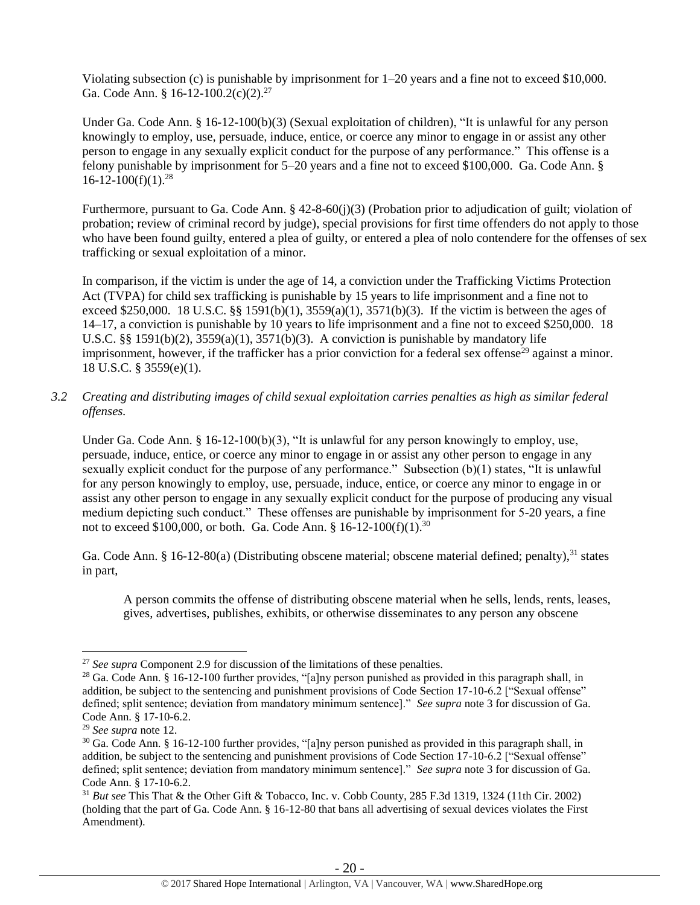Violating subsection (c) is punishable by imprisonment for 1–20 years and a fine not to exceed \$10,000. Ga. Code Ann. § 16-12-100.2(c)(2).<sup>27</sup>

Under Ga. Code Ann. § 16-12-100(b)(3) (Sexual exploitation of children), "It is unlawful for any person knowingly to employ, use, persuade, induce, entice, or coerce any minor to engage in or assist any other person to engage in any sexually explicit conduct for the purpose of any performance." This offense is a felony punishable by imprisonment for 5–20 years and a fine not to exceed \$100,000. Ga. Code Ann. §  $16-12-100(f)(1).^{28}$ 

Furthermore, pursuant to Ga. Code Ann. § 42-8-60(j)(3) (Probation prior to adjudication of guilt; violation of probation; review of criminal record by judge), special provisions for first time offenders do not apply to those who have been found guilty, entered a plea of guilty, or entered a plea of nolo contendere for the offenses of sex trafficking or sexual exploitation of a minor.

In comparison, if the victim is under the age of 14, a conviction under the Trafficking Victims Protection Act (TVPA) for child sex trafficking is punishable by 15 years to life imprisonment and a fine not to exceed \$250,000. 18 U.S.C. §§ 1591(b)(1),  $3559(a)(1)$ ,  $3571(b)(3)$ . If the victim is between the ages of 14–17, a conviction is punishable by 10 years to life imprisonment and a fine not to exceed \$250,000. 18 U.S.C.  $\S$ § 1591(b)(2), 3559(a)(1), 3571(b)(3). A conviction is punishable by mandatory life imprisonment, however, if the trafficker has a prior conviction for a federal sex offense<sup>29</sup> against a minor. 18 U.S.C. § 3559(e)(1).

*3.2 Creating and distributing images of child sexual exploitation carries penalties as high as similar federal offenses.*

Under Ga. Code Ann. § 16-12-100(b)(3), "It is unlawful for any person knowingly to employ, use, persuade, induce, entice, or coerce any minor to engage in or assist any other person to engage in any sexually explicit conduct for the purpose of any performance." Subsection (b)(1) states, "It is unlawful for any person knowingly to employ, use, persuade, induce, entice, or coerce any minor to engage in or assist any other person to engage in any sexually explicit conduct for the purpose of producing any visual medium depicting such conduct." These offenses are punishable by imprisonment for 5-20 years, a fine not to exceed \$100,000, or both. Ga. Code Ann. §  $16-12-100(f)(1).^{30}$ 

Ga. Code Ann. § 16-12-80(a) (Distributing obscene material; obscene material defined; penalty),<sup>31</sup> states in part,

A person commits the offense of distributing obscene material when he sells, lends, rents, leases, gives, advertises, publishes, exhibits, or otherwise disseminates to any person any obscene

<sup>&</sup>lt;sup>27</sup> *See supra* Component 2.9 for discussion of the limitations of these penalties.

<sup>28</sup> Ga. Code Ann. § 16-12-100 further provides, "[a]ny person punished as provided in this paragraph shall, in addition, be subject to the sentencing and punishment provisions of Code Section 17-10-6.2 ["Sexual offense" defined; split sentence; deviation from mandatory minimum sentence]." *See supra* note [3](#page-2-0) for discussion of Ga. Code Ann. § 17-10-6.2.

<sup>29</sup> *See supra* note [12.](#page-11-0)

<sup>30</sup> Ga. Code Ann. § 16-12-100 further provides, "[a]ny person punished as provided in this paragraph shall, in addition, be subject to the sentencing and punishment provisions of Code Section 17-10-6.2 ["Sexual offense" defined; split sentence; deviation from mandatory minimum sentence]." *See supra* note [3](#page-2-0) for discussion of Ga. Code Ann. § 17-10-6.2.

<sup>31</sup> *But see* This That & the Other Gift & Tobacco, Inc. v. Cobb County, 285 F.3d 1319, 1324 (11th Cir. 2002) (holding that the part of Ga. Code Ann. § 16-12-80 that bans all advertising of sexual devices violates the First Amendment).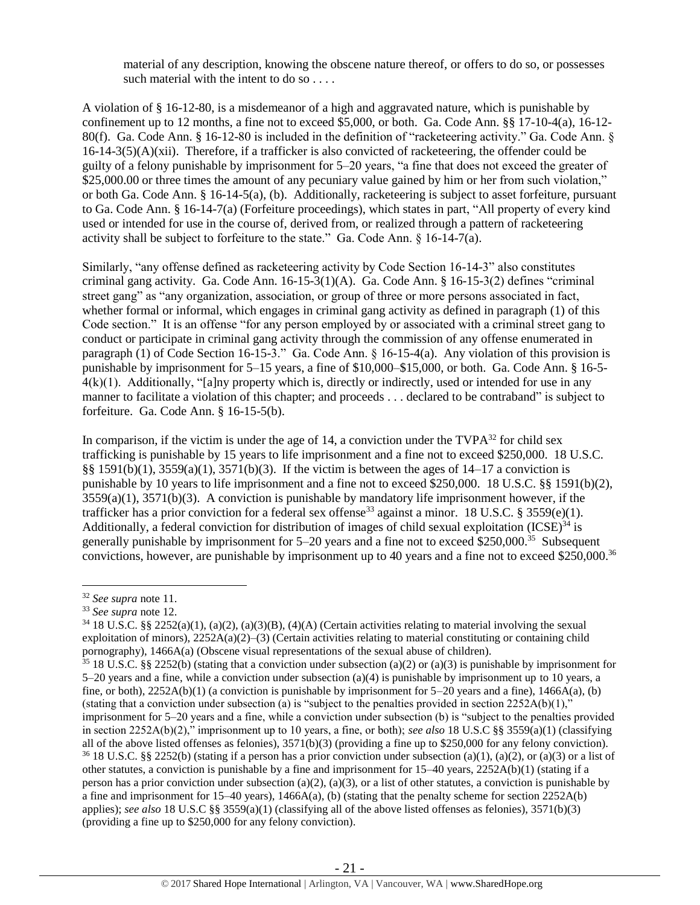material of any description, knowing the obscene nature thereof, or offers to do so, or possesses such material with the intent to do so . . . .

A violation of § 16-12-80, is a misdemeanor of a high and aggravated nature, which is punishable by confinement up to 12 months, a fine not to exceed \$5,000, or both. Ga. Code Ann. §§ 17-10-4(a), 16-12- 80(f). Ga. Code Ann. § 16-12-80 is included in the definition of "racketeering activity." Ga. Code Ann. §  $16-14-3(5)(A)(xii)$ . Therefore, if a trafficker is also convicted of racketeering, the offender could be guilty of a felony punishable by imprisonment for 5–20 years, "a fine that does not exceed the greater of \$25,000.00 or three times the amount of any pecuniary value gained by him or her from such violation," or both Ga. Code Ann. § 16-14-5(a), (b). Additionally, racketeering is subject to asset forfeiture, pursuant to Ga. Code Ann. § 16-14-7(a) (Forfeiture proceedings), which states in part, "All property of every kind used or intended for use in the course of, derived from, or realized through a pattern of racketeering activity shall be subject to forfeiture to the state." Ga. Code Ann.  $\S$  16-14-7(a).

Similarly, "any offense defined as racketeering activity by Code Section 16-14-3" also constitutes criminal gang activity. Ga. Code Ann. 16-15-3(1)(A). Ga. Code Ann. § 16-15-3(2) defines "criminal street gang" as "any organization, association, or group of three or more persons associated in fact, whether formal or informal, which engages in criminal gang activity as defined in paragraph (1) of this Code section." It is an offense "for any person employed by or associated with a criminal street gang to conduct or participate in criminal gang activity through the commission of any offense enumerated in paragraph (1) of Code Section 16-15-3." Ga. Code Ann. § 16-15-4(a). Any violation of this provision is punishable by imprisonment for 5–15 years, a fine of \$10,000–\$15,000, or both. Ga. Code Ann. § 16-5-  $4(k)(1)$ . Additionally, "[a]ny property which is, directly or indirectly, used or intended for use in any manner to facilitate a violation of this chapter; and proceeds . . . declared to be contraband" is subject to forfeiture. Ga. Code Ann. § 16-15-5(b).

In comparison, if the victim is under the age of 14, a conviction under the  $TVPA^{32}$  for child sex trafficking is punishable by 15 years to life imprisonment and a fine not to exceed \$250,000. 18 U.S.C. §§ 1591(b)(1),  $3559(a)(1)$ ,  $3571(b)(3)$ . If the victim is between the ages of 14–17 a conviction is punishable by 10 years to life imprisonment and a fine not to exceed \$250,000. 18 U.S.C. §§ 1591(b)(2), 3559(a)(1), 3571(b)(3). A conviction is punishable by mandatory life imprisonment however, if the trafficker has a prior conviction for a federal sex offense<sup>33</sup> against a minor. 18 U.S.C. § 3559(e)(1). Additionally, a federal conviction for distribution of images of child sexual exploitation  $(ICSE)^{34}$  is generally punishable by imprisonment for 5–20 years and a fine not to exceed \$250,000.<sup>35</sup> Subsequent convictions, however, are punishable by imprisonment up to 40 years and a fine not to exceed \$250,000.<sup>36</sup>

<sup>32</sup> *See supra* note [11.](#page-11-1)

<sup>33</sup> *See supra* note [12.](#page-11-0)

 $34\,18$  U.S.C. §§ 2252(a)(1), (a)(2), (a)(3)(B), (4)(A) (Certain activities relating to material involving the sexual exploitation of minors),  $2252A(a)(2)-(3)$  (Certain activities relating to material constituting or containing child pornography), 1466A(a) (Obscene visual representations of the sexual abuse of children).

<sup>&</sup>lt;sup>35</sup> 18 U.S.C. §§ 2252(b) (stating that a conviction under subsection (a)(2) or (a)(3) is punishable by imprisonment for 5–20 years and a fine, while a conviction under subsection (a)(4) is punishable by imprisonment up to 10 years, a fine, or both),  $2252A(b)(1)$  (a conviction is punishable by imprisonment for 5–20 years and a fine),  $1466A(a)$ , (b) (stating that a conviction under subsection (a) is "subject to the penalties provided in section  $2252A(b)(1)$ ," imprisonment for 5–20 years and a fine, while a conviction under subsection (b) is "subject to the penalties provided in section 2252A(b)(2)," imprisonment up to 10 years, a fine, or both); *see also* 18 U.S.C §§ 3559(a)(1) (classifying all of the above listed offenses as felonies),  $3571(b)(3)$  (providing a fine up to \$250,000 for any felony conviction).  $36\,18$  U.S.C. §§ 2252(b) (stating if a person has a prior conviction under subsection (a)(1), (a)(2), or (a)(3) or a list of other statutes, a conviction is punishable by a fine and imprisonment for  $15-40$  years,  $2252A(b)(1)$  (stating if a person has a prior conviction under subsection (a)(2), (a)(3), or a list of other statutes, a conviction is punishable by a fine and imprisonment for  $15-40$  years),  $1466A(a)$ , (b) (stating that the penalty scheme for section  $2252A(b)$ applies); *see also* 18 U.S.C §§ 3559(a)(1) (classifying all of the above listed offenses as felonies), 3571(b)(3) (providing a fine up to \$250,000 for any felony conviction).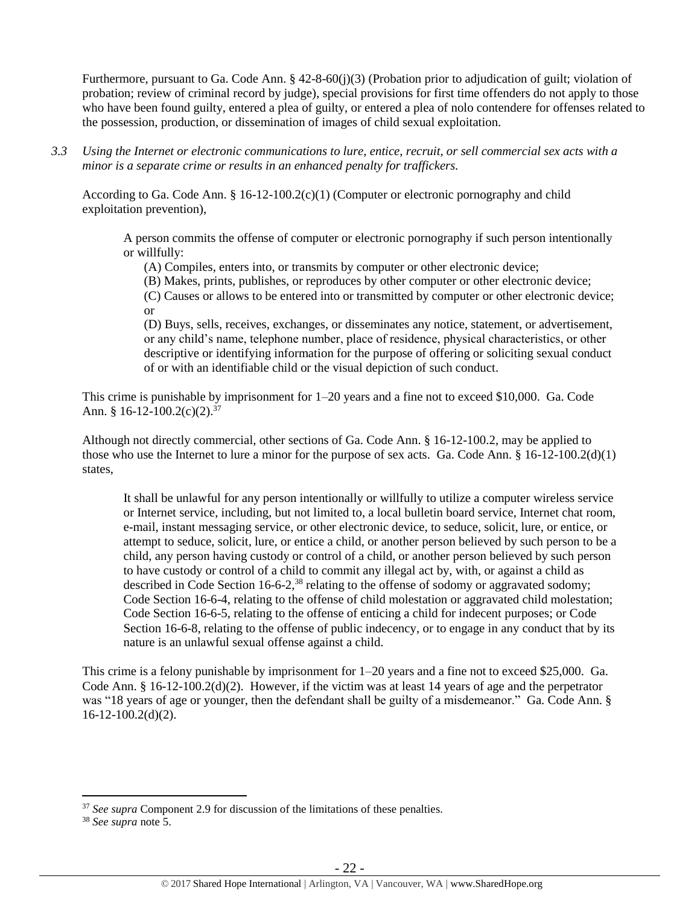Furthermore, pursuant to Ga. Code Ann. § 42-8-60(j)(3) (Probation prior to adjudication of guilt; violation of probation; review of criminal record by judge), special provisions for first time offenders do not apply to those who have been found guilty, entered a plea of guilty, or entered a plea of nolo contendere for offenses related to the possession, production, or dissemination of images of child sexual exploitation.

*3.3 Using the Internet or electronic communications to lure, entice, recruit, or sell commercial sex acts with a minor is a separate crime or results in an enhanced penalty for traffickers.*

According to Ga. Code Ann. § 16-12-100.2(c)(1) (Computer or electronic pornography and child exploitation prevention),

A person commits the offense of computer or electronic pornography if such person intentionally or willfully:

(A) Compiles, enters into, or transmits by computer or other electronic device;

(B) Makes, prints, publishes, or reproduces by other computer or other electronic device;

(C) Causes or allows to be entered into or transmitted by computer or other electronic device; or

(D) Buys, sells, receives, exchanges, or disseminates any notice, statement, or advertisement, or any child's name, telephone number, place of residence, physical characteristics, or other descriptive or identifying information for the purpose of offering or soliciting sexual conduct of or with an identifiable child or the visual depiction of such conduct.

This crime is punishable by imprisonment for 1–20 years and a fine not to exceed \$10,000. Ga. Code Ann. § 16-12-100.2(c)(2).<sup>37</sup>

Although not directly commercial, other sections of Ga. Code Ann. § 16-12-100.2, may be applied to those who use the Internet to lure a minor for the purpose of sex acts. Ga. Code Ann.  $\S 16-12-100.2(d)(1)$ states,

It shall be unlawful for any person intentionally or willfully to utilize a computer wireless service or Internet service, including, but not limited to, a local bulletin board service, Internet chat room, e-mail, instant messaging service, or other electronic device, to seduce, solicit, lure, or entice, or attempt to seduce, solicit, lure, or entice a child, or another person believed by such person to be a child, any person having custody or control of a child, or another person believed by such person to have custody or control of a child to commit any illegal act by, with, or against a child as described in Code Section 16-6-2,<sup>38</sup> relating to the offense of sodomy or aggravated sodomy; Code Section 16-6-4, relating to the offense of child molestation or aggravated child molestation; Code Section 16-6-5, relating to the offense of enticing a child for indecent purposes; or Code Section 16-6-8, relating to the offense of public indecency, or to engage in any conduct that by its nature is an unlawful sexual offense against a child.

This crime is a felony punishable by imprisonment for 1–20 years and a fine not to exceed \$25,000. Ga. Code Ann. § 16-12-100.2(d)(2). However, if the victim was at least 14 years of age and the perpetrator was "18 years of age or younger, then the defendant shall be guilty of a misdemeanor." Ga. Code Ann. §  $16-12-100.2(d)(2)$ .

<sup>&</sup>lt;sup>37</sup> *See supra* Component 2.9 for discussion of the limitations of these penalties.

<sup>38</sup> *See supra* note [5.](#page-5-0)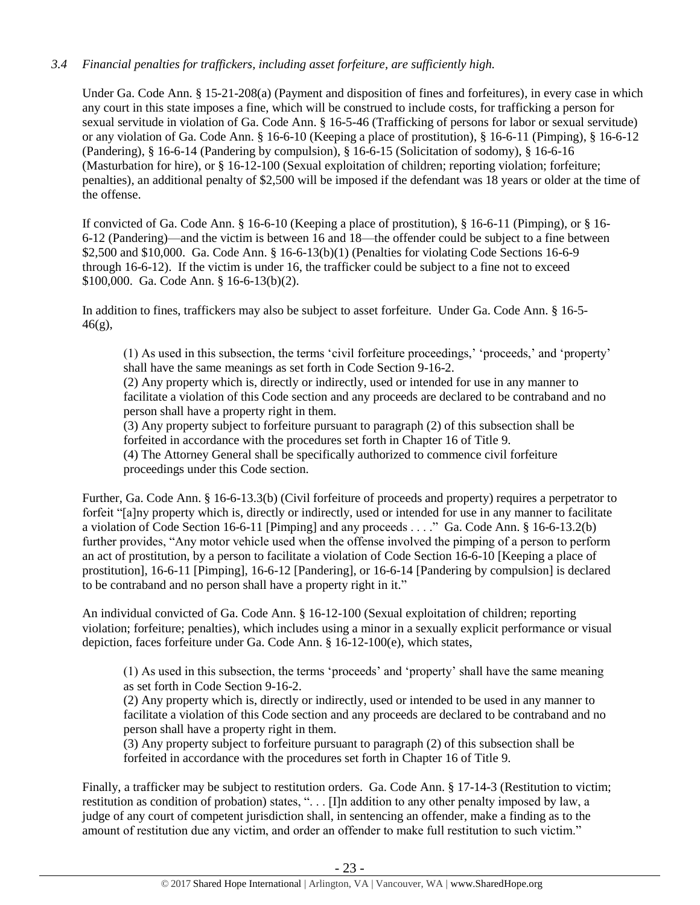## *3.4 Financial penalties for traffickers, including asset forfeiture, are sufficiently high.*

Under Ga. Code Ann. § 15-21-208(a) (Payment and disposition of fines and forfeitures), in every case in which any court in this state imposes a fine, which will be construed to include costs, for trafficking a person for sexual servitude in violation of Ga. Code Ann. § 16-5-46 (Trafficking of persons for labor or sexual servitude) or any violation of Ga. Code Ann. § 16-6-10 (Keeping a place of prostitution), § 16-6-11 (Pimping), § 16-6-12 (Pandering), § 16-6-14 (Pandering by compulsion), § 16-6-15 (Solicitation of sodomy), § 16-6-16 (Masturbation for hire), or § 16-12-100 (Sexual exploitation of children; reporting violation; forfeiture; penalties), an additional penalty of \$2,500 will be imposed if the defendant was 18 years or older at the time of the offense.

If convicted of Ga. Code Ann. § 16-6-10 (Keeping a place of prostitution), § 16-6-11 (Pimping), or § 16- 6-12 (Pandering)—and the victim is between 16 and 18—the offender could be subject to a fine between \$2,500 and \$10,000. Ga. Code Ann. § 16-6-13(b)(1) (Penalties for violating Code Sections 16-6-9 through 16-6-12). If the victim is under 16, the trafficker could be subject to a fine not to exceed \$100,000. Ga. Code Ann. § 16-6-13(b)(2).

In addition to fines, traffickers may also be subject to asset forfeiture. Under Ga. Code Ann. § 16-5-  $46(g)$ ,

(1) As used in this subsection, the terms 'civil forfeiture proceedings,' 'proceeds,' and 'property' shall have the same meanings as set forth in Code Section 9-16-2.

(2) Any property which is, directly or indirectly, used or intended for use in any manner to facilitate a violation of this Code section and any proceeds are declared to be contraband and no person shall have a property right in them.

(3) Any property subject to forfeiture pursuant to paragraph (2) of this subsection shall be forfeited in accordance with the procedures set forth in Chapter 16 of Title 9. (4) The Attorney General shall be specifically authorized to commence civil forfeiture

proceedings under this Code section.

Further, Ga. Code Ann. § 16-6-13.3(b) (Civil forfeiture of proceeds and property) requires a perpetrator to forfeit "[a]ny property which is, directly or indirectly, used or intended for use in any manner to facilitate a violation of Code Section 16-6-11 [Pimping] and any proceeds . . . ." Ga. Code Ann. § 16-6-13.2(b) further provides, "Any motor vehicle used when the offense involved the pimping of a person to perform an act of prostitution, by a person to facilitate a violation of Code Section 16-6-10 [Keeping a place of prostitution], 16-6-11 [Pimping], 16-6-12 [Pandering], or 16-6-14 [Pandering by compulsion] is declared to be contraband and no person shall have a property right in it."

An individual convicted of Ga. Code Ann. § 16-12-100 (Sexual exploitation of children; reporting violation; forfeiture; penalties), which includes using a minor in a sexually explicit performance or visual depiction, faces forfeiture under Ga. Code Ann. § 16-12-100(e), which states,

(1) As used in this subsection, the terms 'proceeds' and 'property' shall have the same meaning as set forth in Code Section 9-16-2.

(2) Any property which is, directly or indirectly, used or intended to be used in any manner to facilitate a violation of this Code section and any proceeds are declared to be contraband and no person shall have a property right in them.

(3) Any property subject to forfeiture pursuant to paragraph (2) of this subsection shall be forfeited in accordance with the procedures set forth in Chapter 16 of Title 9.

Finally, a trafficker may be subject to restitution orders. Ga. Code Ann. § 17-14-3 (Restitution to victim; restitution as condition of probation) states, ". . . [I]n addition to any other penalty imposed by law, a judge of any court of competent jurisdiction shall, in sentencing an offender, make a finding as to the amount of restitution due any victim, and order an offender to make full restitution to such victim."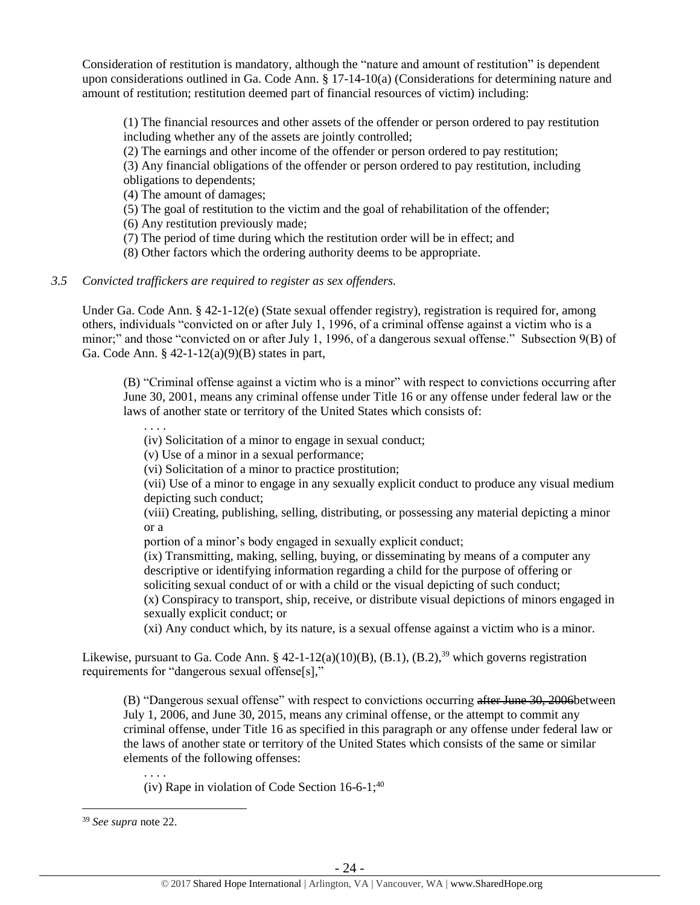Consideration of restitution is mandatory, although the "nature and amount of restitution" is dependent upon considerations outlined in Ga. Code Ann. § 17-14-10(a) (Considerations for determining nature and amount of restitution; restitution deemed part of financial resources of victim) including:

(1) The financial resources and other assets of the offender or person ordered to pay restitution including whether any of the assets are jointly controlled;

(2) The earnings and other income of the offender or person ordered to pay restitution;

(3) Any financial obligations of the offender or person ordered to pay restitution, including obligations to dependents;

(4) The amount of damages;

(5) The goal of restitution to the victim and the goal of rehabilitation of the offender;

(6) Any restitution previously made;

(7) The period of time during which the restitution order will be in effect; and

(8) Other factors which the ordering authority deems to be appropriate.

#### *3.5 Convicted traffickers are required to register as sex offenders.*

Under Ga. Code Ann. § 42-1-12(e) (State sexual offender registry), registration is required for, among others, individuals "convicted on or after July 1, 1996, of a criminal offense against a victim who is a minor;" and those "convicted on or after July 1, 1996, of a dangerous sexual offense." Subsection 9(B) of Ga. Code Ann. § 42-1-12(a)(9)(B) states in part,

(B) "Criminal offense against a victim who is a minor" with respect to convictions occurring after June 30, 2001, means any criminal offense under Title 16 or any offense under federal law or the laws of another state or territory of the United States which consists of:

. . . .

(iv) Solicitation of a minor to engage in sexual conduct;

(v) Use of a minor in a sexual performance;

(vi) Solicitation of a minor to practice prostitution;

(vii) Use of a minor to engage in any sexually explicit conduct to produce any visual medium depicting such conduct;

(viii) Creating, publishing, selling, distributing, or possessing any material depicting a minor or a

portion of a minor's body engaged in sexually explicit conduct;

(ix) Transmitting, making, selling, buying, or disseminating by means of a computer any descriptive or identifying information regarding a child for the purpose of offering or soliciting sexual conduct of or with a child or the visual depicting of such conduct;

(x) Conspiracy to transport, ship, receive, or distribute visual depictions of minors engaged in sexually explicit conduct; or

(xi) Any conduct which, by its nature, is a sexual offense against a victim who is a minor.

Likewise, pursuant to Ga. Code Ann. § 42-1-12(a)(10)(B), (B.1), (B.2),<sup>39</sup> which governs registration requirements for "dangerous sexual offense[s],"

(B) "Dangerous sexual offense" with respect to convictions occurring after June 30, 2006between July 1, 2006, and June 30, 2015, means any criminal offense, or the attempt to commit any criminal offense, under Title 16 as specified in this paragraph or any offense under federal law or the laws of another state or territory of the United States which consists of the same or similar elements of the following offenses:

. . . . (iv) Rape in violation of Code Section  $16-6-1$ ;<sup>40</sup>

<sup>39</sup> *See supra* note [22.](#page-16-0)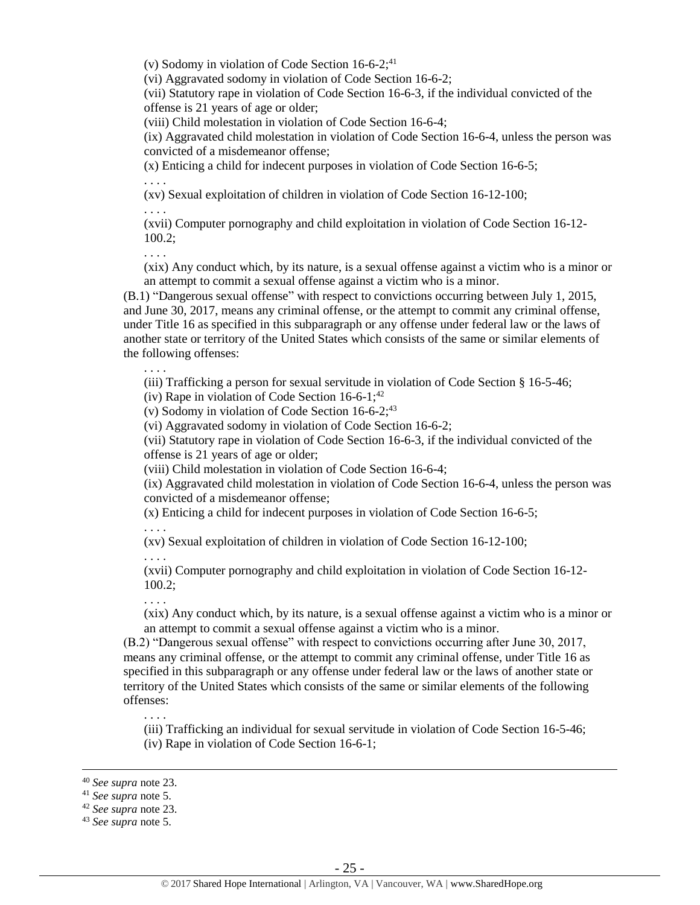(v) Sodomy in violation of Code Section  $16-6-2$ ;<sup>41</sup>

(vi) Aggravated sodomy in violation of Code Section 16-6-2;

(vii) Statutory rape in violation of Code Section 16-6-3, if the individual convicted of the offense is 21 years of age or older;

(viii) Child molestation in violation of Code Section 16-6-4;

(ix) Aggravated child molestation in violation of Code Section 16-6-4, unless the person was convicted of a misdemeanor offense;

(x) Enticing a child for indecent purposes in violation of Code Section 16-6-5;

. . . .

(xv) Sexual exploitation of children in violation of Code Section 16-12-100;

. . . .

(xvii) Computer pornography and child exploitation in violation of Code Section 16-12- 100.2;

. . . .

. . . .

(xix) Any conduct which, by its nature, is a sexual offense against a victim who is a minor or an attempt to commit a sexual offense against a victim who is a minor.

(B.1) "Dangerous sexual offense" with respect to convictions occurring between July 1, 2015, and June 30, 2017, means any criminal offense, or the attempt to commit any criminal offense, under Title 16 as specified in this subparagraph or any offense under federal law or the laws of another state or territory of the United States which consists of the same or similar elements of the following offenses:

(iii) Trafficking a person for sexual servitude in violation of Code Section § 16-5-46;

(iv) Rape in violation of Code Section  $16-6-1$ ;<sup>42</sup>

(v) Sodomy in violation of Code Section  $16-6-2$ ;<sup>43</sup>

(vi) Aggravated sodomy in violation of Code Section 16-6-2;

(vii) Statutory rape in violation of Code Section 16-6-3, if the individual convicted of the offense is 21 years of age or older;

(viii) Child molestation in violation of Code Section 16-6-4;

(ix) Aggravated child molestation in violation of Code Section 16-6-4, unless the person was convicted of a misdemeanor offense;

(x) Enticing a child for indecent purposes in violation of Code Section 16-6-5;

. . . .

(xv) Sexual exploitation of children in violation of Code Section 16-12-100;

. . . .

. . . .

(xvii) Computer pornography and child exploitation in violation of Code Section 16-12- 100.2;

(xix) Any conduct which, by its nature, is a sexual offense against a victim who is a minor or an attempt to commit a sexual offense against a victim who is a minor.

(B.2) "Dangerous sexual offense" with respect to convictions occurring after June 30, 2017, means any criminal offense, or the attempt to commit any criminal offense, under Title 16 as specified in this subparagraph or any offense under federal law or the laws of another state or territory of the United States which consists of the same or similar elements of the following offenses:

. . . .

(iii) Trafficking an individual for sexual servitude in violation of Code Section 16-5-46; (iv) Rape in violation of Code Section 16-6-1;

<sup>40</sup> *See supra* note [23.](#page-16-1)

<sup>41</sup> *See supra* note [5.](#page-5-0)

<sup>42</sup> *See supra* note [23.](#page-16-1)

<sup>43</sup> *See supra* note [5.](#page-5-0)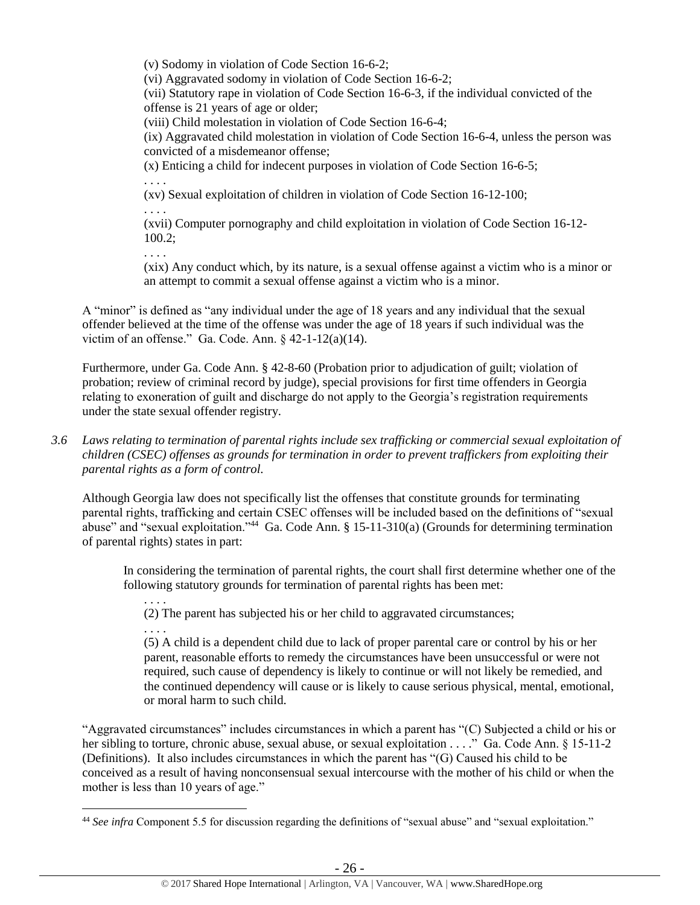(v) Sodomy in violation of Code Section 16-6-2; (vi) Aggravated sodomy in violation of Code Section 16-6-2; (vii) Statutory rape in violation of Code Section 16-6-3, if the individual convicted of the offense is 21 years of age or older; (viii) Child molestation in violation of Code Section 16-6-4; (ix) Aggravated child molestation in violation of Code Section 16-6-4, unless the person was convicted of a misdemeanor offense; (x) Enticing a child for indecent purposes in violation of Code Section 16-6-5; . . . . (xv) Sexual exploitation of children in violation of Code Section 16-12-100; . . . . (xvii) Computer pornography and child exploitation in violation of Code Section 16-12- 100.2; . . . .

(xix) Any conduct which, by its nature, is a sexual offense against a victim who is a minor or an attempt to commit a sexual offense against a victim who is a minor.

A "minor" is defined as "any individual under the age of 18 years and any individual that the sexual offender believed at the time of the offense was under the age of 18 years if such individual was the victim of an offense." Ga. Code. Ann. § 42-1-12(a)(14).

Furthermore, under Ga. Code Ann. § 42-8-60 (Probation prior to adjudication of guilt; violation of probation; review of criminal record by judge), special provisions for first time offenders in Georgia relating to exoneration of guilt and discharge do not apply to the Georgia's registration requirements under the state sexual offender registry.

*3.6 Laws relating to termination of parental rights include sex trafficking or commercial sexual exploitation of children (CSEC) offenses as grounds for termination in order to prevent traffickers from exploiting their parental rights as a form of control.* 

Although Georgia law does not specifically list the offenses that constitute grounds for terminating parental rights, trafficking and certain CSEC offenses will be included based on the definitions of "sexual abuse" and "sexual exploitation."<sup>44</sup> Ga. Code Ann. § 15-11-310(a) (Grounds for determining termination of parental rights) states in part:

In considering the termination of parental rights, the court shall first determine whether one of the following statutory grounds for termination of parental rights has been met:

. . . . (2) The parent has subjected his or her child to aggravated circumstances;

. . . .

 $\overline{a}$ 

(5) A child is a dependent child due to lack of proper parental care or control by his or her parent, reasonable efforts to remedy the circumstances have been unsuccessful or were not required, such cause of dependency is likely to continue or will not likely be remedied, and the continued dependency will cause or is likely to cause serious physical, mental, emotional, or moral harm to such child.

"Aggravated circumstances" includes circumstances in which a parent has "(C) Subjected a child or his or her sibling to torture, chronic abuse, sexual abuse, or sexual exploitation . . . ." Ga. Code Ann. § 15-11-2 (Definitions). It also includes circumstances in which the parent has "(G) Caused his child to be conceived as a result of having nonconsensual sexual intercourse with the mother of his child or when the mother is less than 10 years of age."

<sup>44</sup> *See infra* Component 5.5 for discussion regarding the definitions of "sexual abuse" and "sexual exploitation."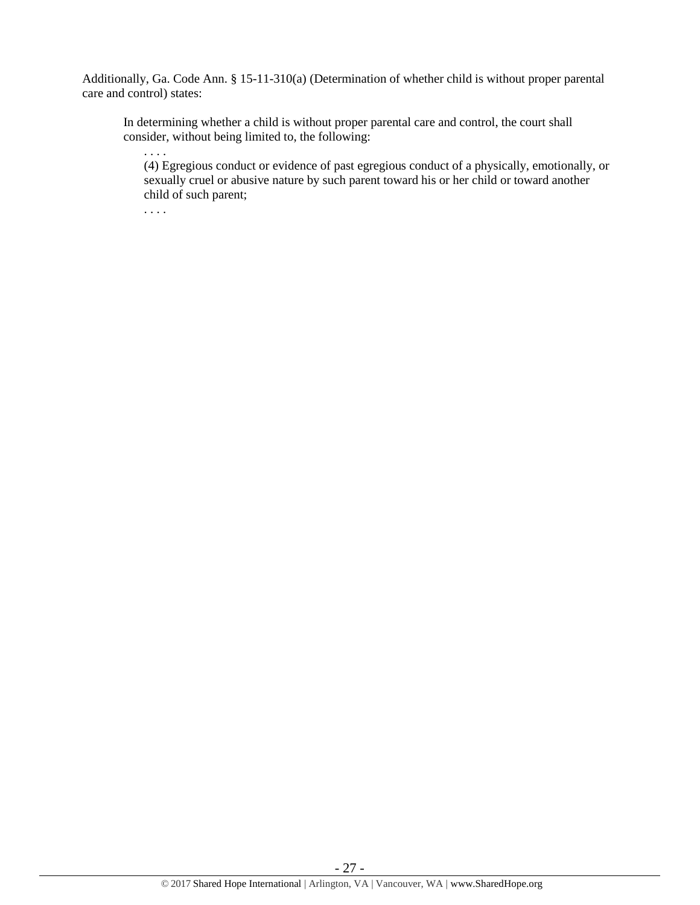Additionally, Ga. Code Ann. § 15-11-310(a) (Determination of whether child is without proper parental care and control) states:

In determining whether a child is without proper parental care and control, the court shall consider, without being limited to, the following:

. . . .

(4) Egregious conduct or evidence of past egregious conduct of a physically, emotionally, or sexually cruel or abusive nature by such parent toward his or her child or toward another child of such parent;

. . . .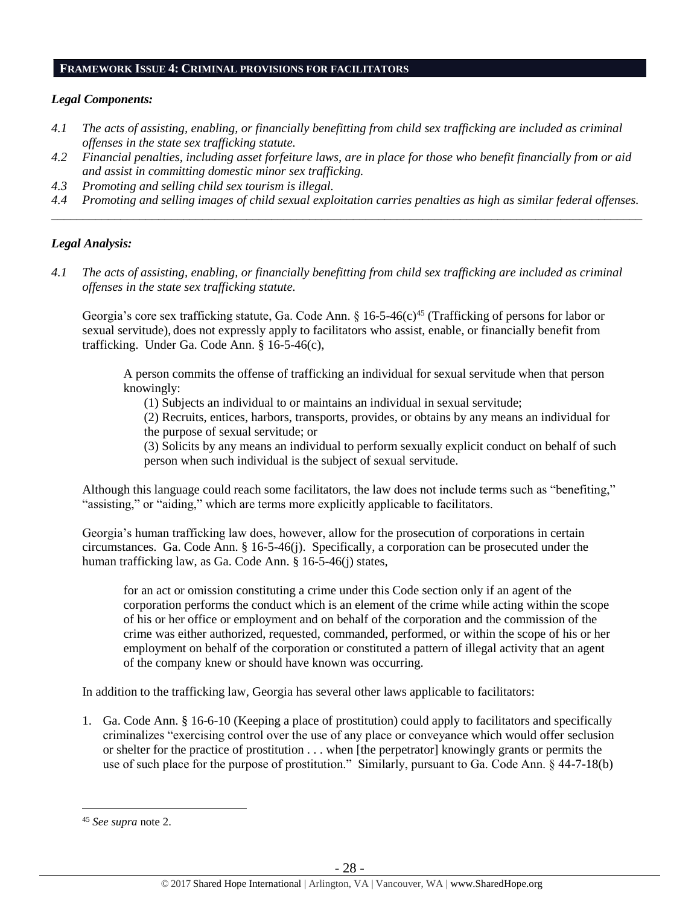#### **FRAMEWORK ISSUE 4: CRIMINAL PROVISIONS FOR FACILITATORS**

#### *Legal Components:*

- *4.1 The acts of assisting, enabling, or financially benefitting from child sex trafficking are included as criminal offenses in the state sex trafficking statute.*
- *4.2 Financial penalties, including asset forfeiture laws, are in place for those who benefit financially from or aid and assist in committing domestic minor sex trafficking.*
- *4.3 Promoting and selling child sex tourism is illegal.*
- *4.4 Promoting and selling images of child sexual exploitation carries penalties as high as similar federal offenses.* \_\_\_\_\_\_\_\_\_\_\_\_\_\_\_\_\_\_\_\_\_\_\_\_\_\_\_\_\_\_\_\_\_\_\_\_\_\_\_\_\_\_\_\_\_\_\_\_\_\_\_\_\_\_\_\_\_\_\_\_\_\_\_\_\_\_\_\_\_\_\_\_\_\_\_\_\_\_\_\_\_\_\_\_\_\_\_\_\_\_\_\_\_\_

## *Legal Analysis:*

*4.1 The acts of assisting, enabling, or financially benefitting from child sex trafficking are included as criminal offenses in the state sex trafficking statute.*

Georgia's core sex trafficking statute, Ga. Code Ann. § 16-5-46(c)<sup>45</sup> (Trafficking of persons for labor or sexual servitude), does not expressly apply to facilitators who assist, enable, or financially benefit from trafficking. Under Ga. Code Ann. § 16-5-46(c),

A person commits the offense of trafficking an individual for sexual servitude when that person knowingly:

(1) Subjects an individual to or maintains an individual in sexual servitude;

(2) Recruits, entices, harbors, transports, provides, or obtains by any means an individual for the purpose of sexual servitude; or

(3) Solicits by any means an individual to perform sexually explicit conduct on behalf of such person when such individual is the subject of sexual servitude.

Although this language could reach some facilitators, the law does not include terms such as "benefiting," "assisting," or "aiding," which are terms more explicitly applicable to facilitators.

Georgia's human trafficking law does, however, allow for the prosecution of corporations in certain circumstances. Ga. Code Ann. § 16-5-46(j). Specifically, a corporation can be prosecuted under the human trafficking law, as Ga. Code Ann. § 16-5-46(j) states,

for an act or omission constituting a crime under this Code section only if an agent of the corporation performs the conduct which is an element of the crime while acting within the scope of his or her office or employment and on behalf of the corporation and the commission of the crime was either authorized, requested, commanded, performed, or within the scope of his or her employment on behalf of the corporation or constituted a pattern of illegal activity that an agent of the company knew or should have known was occurring.

In addition to the trafficking law, Georgia has several other laws applicable to facilitators:

1. Ga. Code Ann. § 16-6-10 (Keeping a place of prostitution) could apply to facilitators and specifically criminalizes "exercising control over the use of any place or conveyance which would offer seclusion or shelter for the practice of prostitution . . . when [the perpetrator] knowingly grants or permits the use of such place for the purpose of prostitution." Similarly, pursuant to Ga. Code Ann. § 44-7-18(b)

<sup>45</sup> *See supra* note [2.](#page-0-0)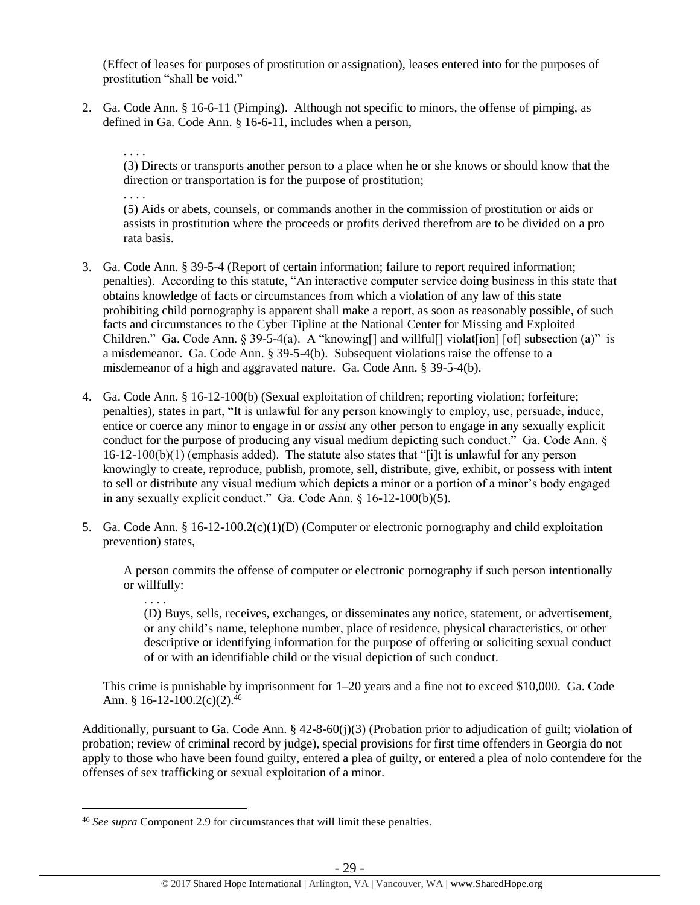(Effect of leases for purposes of prostitution or assignation), leases entered into for the purposes of prostitution "shall be void."

2. Ga. Code Ann. § 16-6-11 (Pimping). Although not specific to minors, the offense of pimping, as defined in Ga. Code Ann. § 16-6-11, includes when a person,

. . . .

. . . .

. . . .

 $\overline{a}$ 

(3) Directs or transports another person to a place when he or she knows or should know that the direction or transportation is for the purpose of prostitution;

(5) Aids or abets, counsels, or commands another in the commission of prostitution or aids or assists in prostitution where the proceeds or profits derived therefrom are to be divided on a pro rata basis.

- 3. Ga. Code Ann. § 39-5-4 (Report of certain information; failure to report required information; penalties). According to this statute, "An interactive computer service doing business in this state that obtains knowledge of facts or circumstances from which a violation of any law of this state prohibiting child pornography is apparent shall make a report, as soon as reasonably possible, of such facts and circumstances to the Cyber Tipline at the National Center for Missing and Exploited Children." Ga. Code Ann. § 39-5-4(a). A "knowing[] and willful[] violat[ion] [of] subsection (a)" is a misdemeanor. Ga. Code Ann. § 39-5-4(b). Subsequent violations raise the offense to a misdemeanor of a high and aggravated nature. Ga. Code Ann. § 39-5-4(b).
- 4. Ga. Code Ann. § 16-12-100(b) (Sexual exploitation of children; reporting violation; forfeiture; penalties), states in part, "It is unlawful for any person knowingly to employ, use, persuade, induce, entice or coerce any minor to engage in or *assist* any other person to engage in any sexually explicit conduct for the purpose of producing any visual medium depicting such conduct." Ga. Code Ann. § 16-12-100(b)(1) (emphasis added). The statute also states that "[i]t is unlawful for any person knowingly to create, reproduce, publish, promote, sell, distribute, give, exhibit, or possess with intent to sell or distribute any visual medium which depicts a minor or a portion of a minor's body engaged in any sexually explicit conduct." Ga. Code Ann. § 16-12-100(b)(5).
- 5. Ga. Code Ann. § 16-12-100.2(c)(1)(D) (Computer or electronic pornography and child exploitation prevention) states,

A person commits the offense of computer or electronic pornography if such person intentionally or willfully:

(D) Buys, sells, receives, exchanges, or disseminates any notice, statement, or advertisement, or any child's name, telephone number, place of residence, physical characteristics, or other descriptive or identifying information for the purpose of offering or soliciting sexual conduct of or with an identifiable child or the visual depiction of such conduct.

This crime is punishable by imprisonment for 1–20 years and a fine not to exceed \$10,000. Ga. Code Ann. § 16-12-100.2(c)(2).<sup>46</sup>

Additionally, pursuant to Ga. Code Ann. § 42-8-60(j)(3) (Probation prior to adjudication of guilt; violation of probation; review of criminal record by judge), special provisions for first time offenders in Georgia do not apply to those who have been found guilty, entered a plea of guilty, or entered a plea of nolo contendere for the offenses of sex trafficking or sexual exploitation of a minor.

<sup>46</sup> *See supra* Component 2.9 for circumstances that will limit these penalties.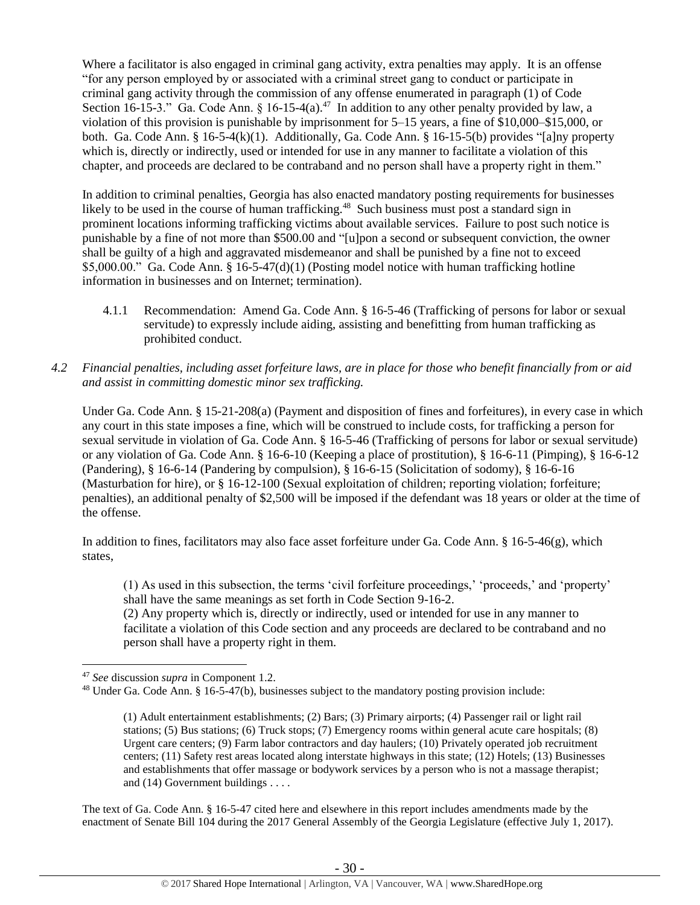Where a facilitator is also engaged in criminal gang activity, extra penalties may apply. It is an offense "for any person employed by or associated with a criminal street gang to conduct or participate in criminal gang activity through the commission of any offense enumerated in paragraph (1) of Code Section 16-15-3." Ga. Code Ann. § 16-15-4(a).<sup>47</sup> In addition to any other penalty provided by law, a violation of this provision is punishable by imprisonment for 5–15 years, a fine of \$10,000–\$15,000, or both. Ga. Code Ann. § 16-5-4(k)(1). Additionally, Ga. Code Ann. § 16-15-5(b) provides "[a]ny property which is, directly or indirectly, used or intended for use in any manner to facilitate a violation of this chapter, and proceeds are declared to be contraband and no person shall have a property right in them."

In addition to criminal penalties, Georgia has also enacted mandatory posting requirements for businesses likely to be used in the course of human trafficking.<sup>48</sup> Such business must post a standard sign in prominent locations informing trafficking victims about available services. Failure to post such notice is punishable by a fine of not more than \$500.00 and "[u]pon a second or subsequent conviction, the owner shall be guilty of a high and aggravated misdemeanor and shall be punished by a fine not to exceed \$5,000.00." Ga. Code Ann. § 16-5-47(d)(1) (Posting model notice with human trafficking hotline information in businesses and on Internet; termination).

- 4.1.1 Recommendation: Amend Ga. Code Ann. § 16-5-46 (Trafficking of persons for labor or sexual servitude) to expressly include aiding, assisting and benefitting from human trafficking as prohibited conduct.
- *4.2 Financial penalties, including asset forfeiture laws, are in place for those who benefit financially from or aid and assist in committing domestic minor sex trafficking.*

Under Ga. Code Ann. § 15-21-208(a) (Payment and disposition of fines and forfeitures), in every case in which any court in this state imposes a fine, which will be construed to include costs, for trafficking a person for sexual servitude in violation of Ga. Code Ann. § 16-5-46 (Trafficking of persons for labor or sexual servitude) or any violation of Ga. Code Ann. § 16-6-10 (Keeping a place of prostitution), § 16-6-11 (Pimping), § 16-6-12 (Pandering), § 16-6-14 (Pandering by compulsion), § 16-6-15 (Solicitation of sodomy), § 16-6-16 (Masturbation for hire), or § 16-12-100 (Sexual exploitation of children; reporting violation; forfeiture; penalties), an additional penalty of \$2,500 will be imposed if the defendant was 18 years or older at the time of the offense.

In addition to fines, facilitators may also face asset forfeiture under Ga. Code Ann. § 16-5-46(g), which states,

(1) As used in this subsection, the terms 'civil forfeiture proceedings,' 'proceeds,' and 'property' shall have the same meanings as set forth in Code Section 9-16-2.

(2) Any property which is, directly or indirectly, used or intended for use in any manner to facilitate a violation of this Code section and any proceeds are declared to be contraband and no person shall have a property right in them.

 $\overline{a}$ 

The text of Ga. Code Ann. § 16-5-47 cited here and elsewhere in this report includes amendments made by the enactment of Senate Bill 104 during the 2017 General Assembly of the Georgia Legislature (effective July 1, 2017).

<sup>47</sup> *See* discussion *supra* in Component 1.2.

<sup>48</sup> Under Ga. Code Ann. § 16-5-47(b), businesses subject to the mandatory posting provision include:

<sup>(1)</sup> Adult entertainment establishments; (2) Bars; (3) Primary airports; (4) Passenger rail or light rail stations; (5) Bus stations; (6) Truck stops; (7) Emergency rooms within general acute care hospitals; (8) Urgent care centers; (9) Farm labor contractors and day haulers; (10) Privately operated job recruitment centers; (11) Safety rest areas located along interstate highways in this state; (12) Hotels; (13) Businesses and establishments that offer massage or bodywork services by a person who is not a massage therapist; and (14) Government buildings . . . .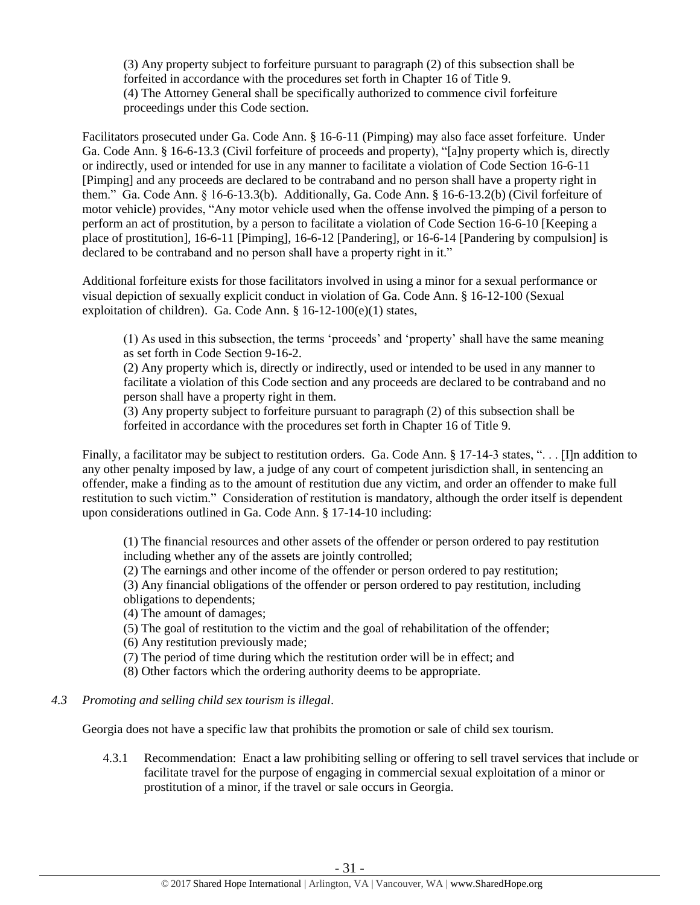(3) Any property subject to forfeiture pursuant to paragraph (2) of this subsection shall be forfeited in accordance with the procedures set forth in Chapter 16 of Title 9. (4) The Attorney General shall be specifically authorized to commence civil forfeiture proceedings under this Code section.

Facilitators prosecuted under Ga. Code Ann. § 16-6-11 (Pimping) may also face asset forfeiture. Under Ga. Code Ann. § 16-6-13.3 (Civil forfeiture of proceeds and property), "[a]ny property which is, directly or indirectly, used or intended for use in any manner to facilitate a violation of Code Section 16-6-11 [Pimping] and any proceeds are declared to be contraband and no person shall have a property right in them." Ga. Code Ann. § 16-6-13.3(b). Additionally, Ga. Code Ann. § 16-6-13.2(b) (Civil forfeiture of motor vehicle) provides, "Any motor vehicle used when the offense involved the pimping of a person to perform an act of prostitution, by a person to facilitate a violation of Code Section 16-6-10 [Keeping a place of prostitution], 16-6-11 [Pimping], 16-6-12 [Pandering], or 16-6-14 [Pandering by compulsion] is declared to be contraband and no person shall have a property right in it."

Additional forfeiture exists for those facilitators involved in using a minor for a sexual performance or visual depiction of sexually explicit conduct in violation of Ga. Code Ann. § 16-12-100 (Sexual exploitation of children). Ga. Code Ann. § 16-12-100(e)(1) states,

(1) As used in this subsection, the terms 'proceeds' and 'property' shall have the same meaning as set forth in Code Section 9-16-2.

(2) Any property which is, directly or indirectly, used or intended to be used in any manner to facilitate a violation of this Code section and any proceeds are declared to be contraband and no person shall have a property right in them.

(3) Any property subject to forfeiture pursuant to paragraph (2) of this subsection shall be forfeited in accordance with the procedures set forth in Chapter 16 of Title 9.

Finally, a facilitator may be subject to restitution orders. Ga. Code Ann. § 17-14-3 states, ". . . [I]n addition to any other penalty imposed by law, a judge of any court of competent jurisdiction shall, in sentencing an offender, make a finding as to the amount of restitution due any victim, and order an offender to make full restitution to such victim." Consideration of restitution is mandatory, although the order itself is dependent upon considerations outlined in Ga. Code Ann. § 17-14-10 including:

(1) The financial resources and other assets of the offender or person ordered to pay restitution including whether any of the assets are jointly controlled;

(2) The earnings and other income of the offender or person ordered to pay restitution;

(3) Any financial obligations of the offender or person ordered to pay restitution, including obligations to dependents;

(4) The amount of damages;

(5) The goal of restitution to the victim and the goal of rehabilitation of the offender;

(6) Any restitution previously made;

(7) The period of time during which the restitution order will be in effect; and

(8) Other factors which the ordering authority deems to be appropriate.

#### *4.3 Promoting and selling child sex tourism is illegal*.

Georgia does not have a specific law that prohibits the promotion or sale of child sex tourism.

4.3.1 Recommendation: Enact a law prohibiting selling or offering to sell travel services that include or facilitate travel for the purpose of engaging in commercial sexual exploitation of a minor or prostitution of a minor, if the travel or sale occurs in Georgia.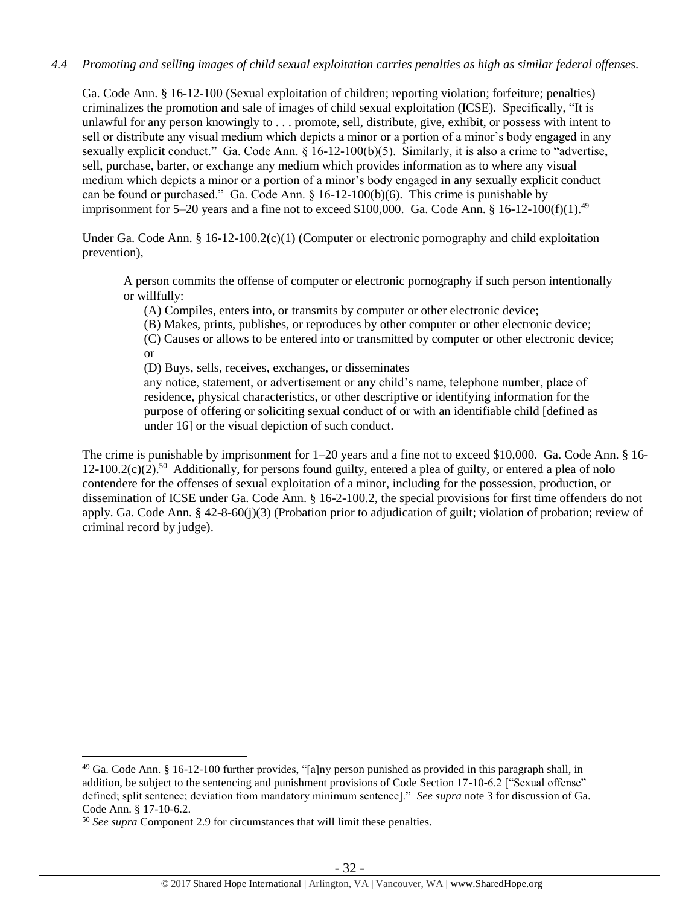#### *4.4 Promoting and selling images of child sexual exploitation carries penalties as high as similar federal offenses.*

Ga. Code Ann. § 16-12-100 (Sexual exploitation of children; reporting violation; forfeiture; penalties) criminalizes the promotion and sale of images of child sexual exploitation (ICSE). Specifically, "It is unlawful for any person knowingly to . . . promote, sell, distribute, give, exhibit, or possess with intent to sell or distribute any visual medium which depicts a minor or a portion of a minor's body engaged in any sexually explicit conduct." Ga. Code Ann. § 16-12-100(b)(5). Similarly, it is also a crime to "advertise, sell, purchase, barter, or exchange any medium which provides information as to where any visual medium which depicts a minor or a portion of a minor's body engaged in any sexually explicit conduct can be found or purchased." Ga. Code Ann. § 16-12-100(b)(6). This crime is punishable by imprisonment for 5–20 years and a fine not to exceed \$100,000. Ga. Code Ann. § 16-12-100(f)(1).<sup>49</sup>

Under Ga. Code Ann. § 16-12-100.2(c)(1) (Computer or electronic pornography and child exploitation prevention),

A person commits the offense of computer or electronic pornography if such person intentionally or willfully:

(A) Compiles, enters into, or transmits by computer or other electronic device;

(B) Makes, prints, publishes, or reproduces by other computer or other electronic device;

(C) Causes or allows to be entered into or transmitted by computer or other electronic device; or

(D) Buys, sells, receives, exchanges, or disseminates

any notice, statement, or advertisement or any child's name, telephone number, place of residence, physical characteristics, or other descriptive or identifying information for the purpose of offering or soliciting sexual conduct of or with an identifiable child [defined as under 16] or the visual depiction of such conduct.

The crime is punishable by imprisonment for 1–20 years and a fine not to exceed \$10,000. Ga. Code Ann. § 16- 12-100.2(c)(2).<sup>50</sup> Additionally, for persons found guilty, entered a plea of guilty, or entered a plea of nolo contendere for the offenses of sexual exploitation of a minor, including for the possession, production, or dissemination of ICSE under Ga. Code Ann. § 16-2-100.2, the special provisions for first time offenders do not apply. Ga. Code Ann. § 42-8-60(j)(3) (Probation prior to adjudication of guilt; violation of probation; review of criminal record by judge).

<sup>49</sup> Ga. Code Ann. § 16-12-100 further provides, "[a]ny person punished as provided in this paragraph shall, in addition, be subject to the sentencing and punishment provisions of Code Section 17-10-6.2 ["Sexual offense" defined; split sentence; deviation from mandatory minimum sentence]." *See supra* note [3](#page-2-0) for discussion of Ga. Code Ann. § 17-10-6.2.

<sup>50</sup> *See supra* Component 2.9 for circumstances that will limit these penalties.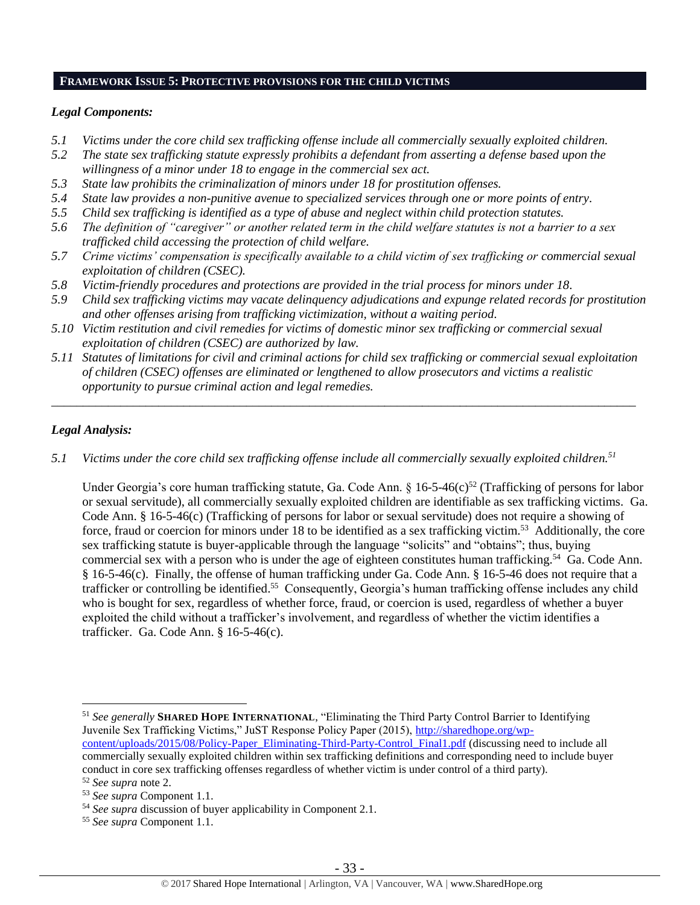#### **FRAMEWORK ISSUE 5: PROTECTIVE PROVISIONS FOR THE CHILD VICTIMS**

#### *Legal Components:*

- *5.1 Victims under the core child sex trafficking offense include all commercially sexually exploited children.*
- *5.2 The state sex trafficking statute expressly prohibits a defendant from asserting a defense based upon the willingness of a minor under 18 to engage in the commercial sex act.*
- *5.3 State law prohibits the criminalization of minors under 18 for prostitution offenses.*
- *5.4 State law provides a non-punitive avenue to specialized services through one or more points of entry.*
- *5.5 Child sex trafficking is identified as a type of abuse and neglect within child protection statutes.*
- *5.6 The definition of "caregiver" or another related term in the child welfare statutes is not a barrier to a sex trafficked child accessing the protection of child welfare.*
- *5.7 Crime victims' compensation is specifically available to a child victim of sex trafficking or commercial sexual exploitation of children (CSEC).*
- *5.8 Victim-friendly procedures and protections are provided in the trial process for minors under 18.*
- *5.9 Child sex trafficking victims may vacate delinquency adjudications and expunge related records for prostitution and other offenses arising from trafficking victimization, without a waiting period.*
- *5.10 Victim restitution and civil remedies for victims of domestic minor sex trafficking or commercial sexual exploitation of children (CSEC) are authorized by law.*
- *5.11 Statutes of limitations for civil and criminal actions for child sex trafficking or commercial sexual exploitation of children (CSEC) offenses are eliminated or lengthened to allow prosecutors and victims a realistic opportunity to pursue criminal action and legal remedies.*

*\_\_\_\_\_\_\_\_\_\_\_\_\_\_\_\_\_\_\_\_\_\_\_\_\_\_\_\_\_\_\_\_\_\_\_\_\_\_\_\_\_\_\_\_\_\_\_\_\_\_\_\_\_\_\_\_\_\_\_\_\_\_\_\_\_\_\_\_\_\_\_\_\_\_\_\_\_\_\_\_\_\_\_\_\_\_\_\_\_\_\_\_\_*

## *Legal Analysis:*

 $\overline{a}$ 

*5.1 Victims under the core child sex trafficking offense include all commercially sexually exploited children.<sup>51</sup>*

Under Georgia's core human trafficking statute, Ga. Code Ann. § 16-5-46(c)<sup>52</sup> (Trafficking of persons for labor or sexual servitude), all commercially sexually exploited children are identifiable as sex trafficking victims. Ga. Code Ann. § 16-5-46(c) (Trafficking of persons for labor or sexual servitude) does not require a showing of force, fraud or coercion for minors under 18 to be identified as a sex trafficking victim. <sup>53</sup> Additionally, the core sex trafficking statute is buyer-applicable through the language "solicits" and "obtains"; thus, buying commercial sex with a person who is under the age of eighteen constitutes human trafficking.<sup>54</sup> Ga. Code Ann. § 16-5-46(c). Finally, the offense of human trafficking under Ga. Code Ann. § 16-5-46 does not require that a trafficker or controlling be identified.<sup>55</sup> Consequently, Georgia's human trafficking offense includes any child who is bought for sex, regardless of whether force, fraud, or coercion is used, regardless of whether a buyer exploited the child without a trafficker's involvement, and regardless of whether the victim identifies a trafficker. Ga. Code Ann. § 16-5-46(c).

<sup>51</sup> *See generally* **SHARED HOPE INTERNATIONAL**, "Eliminating the Third Party Control Barrier to Identifying Juvenile Sex Trafficking Victims," JuST Response Policy Paper (2015), [http://sharedhope.org/wp](http://sharedhope.org/wp-content/uploads/2015/08/Policy-Paper_Eliminating-Third-Party-Control_Final1.pdf)[content/uploads/2015/08/Policy-Paper\\_Eliminating-Third-Party-Control\\_Final1.pdf](http://sharedhope.org/wp-content/uploads/2015/08/Policy-Paper_Eliminating-Third-Party-Control_Final1.pdf) (discussing need to include all commercially sexually exploited children within sex trafficking definitions and corresponding need to include buyer conduct in core sex trafficking offenses regardless of whether victim is under control of a third party).

<sup>52</sup> *See supra* note [2.](#page-0-0)

<sup>53</sup> *See supra* Component 1.1.

<sup>54</sup> *See supra* discussion of buyer applicability in Component 2.1.

<sup>55</sup> *See supra* Component 1.1.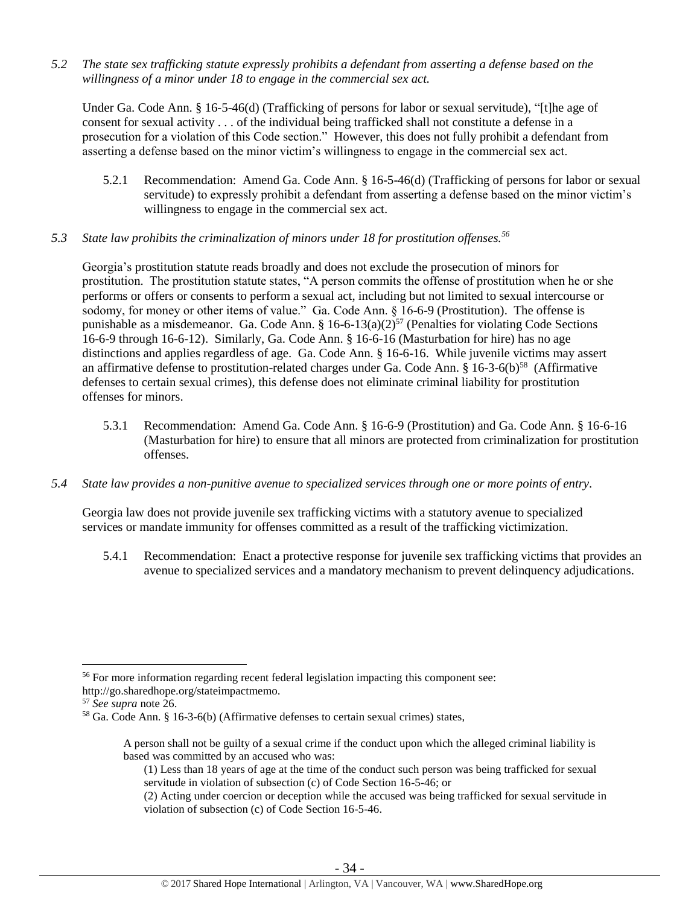*5.2 The state sex trafficking statute expressly prohibits a defendant from asserting a defense based on the willingness of a minor under 18 to engage in the commercial sex act.*

Under Ga. Code Ann. § 16-5-46(d) (Trafficking of persons for labor or sexual servitude), "[t]he age of consent for sexual activity . . . of the individual being trafficked shall not constitute a defense in a prosecution for a violation of this Code section." However, this does not fully prohibit a defendant from asserting a defense based on the minor victim's willingness to engage in the commercial sex act.

- 5.2.1 Recommendation: Amend Ga. Code Ann. § 16-5-46(d) (Trafficking of persons for labor or sexual servitude) to expressly prohibit a defendant from asserting a defense based on the minor victim's willingness to engage in the commercial sex act.
- *5.3 State law prohibits the criminalization of minors under 18 for prostitution offenses.<sup>56</sup>*

Georgia's prostitution statute reads broadly and does not exclude the prosecution of minors for prostitution. The prostitution statute states, "A person commits the offense of prostitution when he or she performs or offers or consents to perform a sexual act, including but not limited to sexual intercourse or sodomy, for money or other items of value." Ga. Code Ann. § 16-6-9 (Prostitution). The offense is punishable as a misdemeanor. Ga. Code Ann. §  $16-6-13(a)(2)^{57}$  (Penalties for violating Code Sections 16-6-9 through 16-6-12). Similarly, Ga. Code Ann. § 16-6-16 (Masturbation for hire) has no age distinctions and applies regardless of age. Ga. Code Ann. § 16-6-16. While juvenile victims may assert an affirmative defense to prostitution-related charges under Ga. Code Ann.  $\S$  16-3-6(b)<sup>58</sup> (Affirmative defenses to certain sexual crimes), this defense does not eliminate criminal liability for prostitution offenses for minors.

- 5.3.1 Recommendation: Amend Ga. Code Ann. § 16-6-9 (Prostitution) and Ga. Code Ann. § 16-6-16 (Masturbation for hire) to ensure that all minors are protected from criminalization for prostitution offenses.
- *5.4 State law provides a non-punitive avenue to specialized services through one or more points of entry.*

Georgia law does not provide juvenile sex trafficking victims with a statutory avenue to specialized services or mandate immunity for offenses committed as a result of the trafficking victimization.

5.4.1 Recommendation: Enact a protective response for juvenile sex trafficking victims that provides an avenue to specialized services and a mandatory mechanism to prevent delinquency adjudications.

<sup>56</sup> For more information regarding recent federal legislation impacting this component see: http://go.sharedhope.org/stateimpactmemo.

<sup>57</sup> *See supra* note [26.](#page-18-0)

<sup>58</sup> Ga. Code Ann. § 16-3-6(b) (Affirmative defenses to certain sexual crimes) states,

A person shall not be guilty of a sexual crime if the conduct upon which the alleged criminal liability is based was committed by an accused who was:

<sup>(1)</sup> Less than 18 years of age at the time of the conduct such person was being trafficked for sexual servitude in violation of subsection (c) of Code Section 16-5-46; or

<sup>(2)</sup> Acting under coercion or deception while the accused was being trafficked for sexual servitude in violation of subsection (c) of Code Section 16-5-46.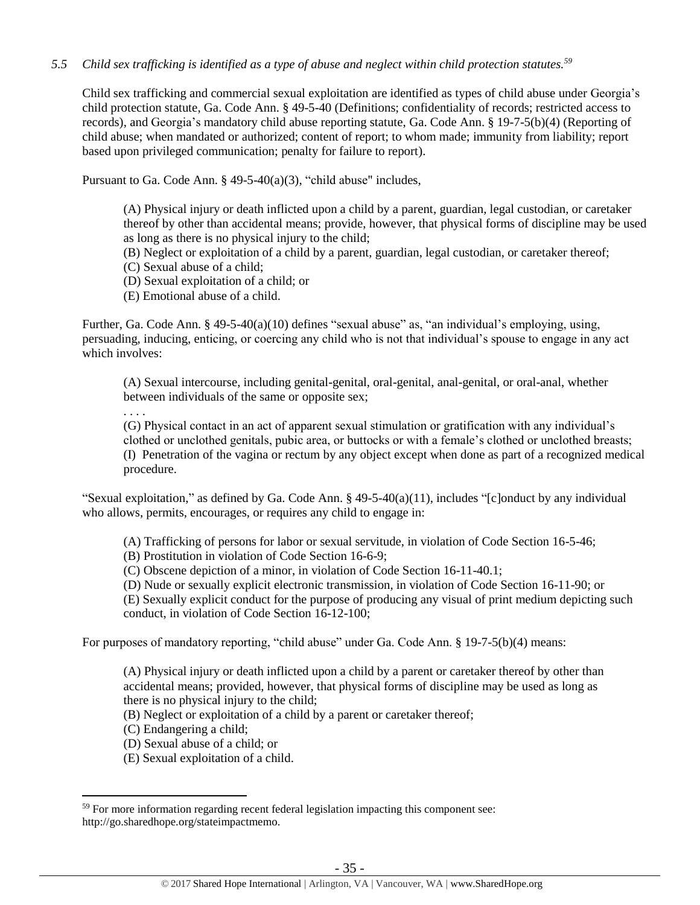## *5.5 Child sex trafficking is identified as a type of abuse and neglect within child protection statutes.<sup>59</sup>*

Child sex trafficking and commercial sexual exploitation are identified as types of child abuse under Georgia's child protection statute, Ga. Code Ann. § 49-5-40 (Definitions; confidentiality of records; restricted access to records), and Georgia's mandatory child abuse reporting statute, Ga. Code Ann. § 19-7-5(b)(4) (Reporting of child abuse; when mandated or authorized; content of report; to whom made; immunity from liability; report based upon privileged communication; penalty for failure to report).

Pursuant to Ga. Code Ann. § 49-5-40(a)(3), "child abuse" includes,

(A) Physical injury or death inflicted upon a child by a parent, guardian, legal custodian, or caretaker thereof by other than accidental means; provide, however, that physical forms of discipline may be used as long as there is no physical injury to the child;

(B) Neglect or exploitation of a child by a parent, guardian, legal custodian, or caretaker thereof;

(C) Sexual abuse of a child;

(D) Sexual exploitation of a child; or

(E) Emotional abuse of a child.

Further, Ga. Code Ann. § 49-5-40(a)(10) defines "sexual abuse" as, "an individual's employing, using, persuading, inducing, enticing, or coercing any child who is not that individual's spouse to engage in any act which involves:

(A) Sexual intercourse, including genital-genital, oral-genital, anal-genital, or oral-anal, whether between individuals of the same or opposite sex;

. . . .

(G) Physical contact in an act of apparent sexual stimulation or gratification with any individual's clothed or unclothed genitals, pubic area, or buttocks or with a female's clothed or unclothed breasts; (I) Penetration of the vagina or rectum by any object except when done as part of a recognized medical procedure.

"Sexual exploitation," as defined by Ga. Code Ann.  $\S$  49-5-40(a)(11), includes "[c]onduct by any individual who allows, permits, encourages, or requires any child to engage in:

(A) Trafficking of persons for labor or sexual servitude, in violation of Code Section 16-5-46;

(B) Prostitution in violation of Code Section 16-6-9;

(C) Obscene depiction of a minor, in violation of Code Section 16-11-40.1;

(D) Nude or sexually explicit electronic transmission, in violation of Code Section 16-11-90; or

(E) Sexually explicit conduct for the purpose of producing any visual of print medium depicting such conduct, in violation of Code Section 16-12-100;

For purposes of mandatory reporting, "child abuse" under Ga. Code Ann. § 19-7-5(b)(4) means:

(A) Physical injury or death inflicted upon a child by a parent or caretaker thereof by other than accidental means; provided, however, that physical forms of discipline may be used as long as there is no physical injury to the child;

(B) Neglect or exploitation of a child by a parent or caretaker thereof;

(C) Endangering a child;

- (D) Sexual abuse of a child; or
- (E) Sexual exploitation of a child.

<sup>&</sup>lt;sup>59</sup> For more information regarding recent federal legislation impacting this component see: http://go.sharedhope.org/stateimpactmemo.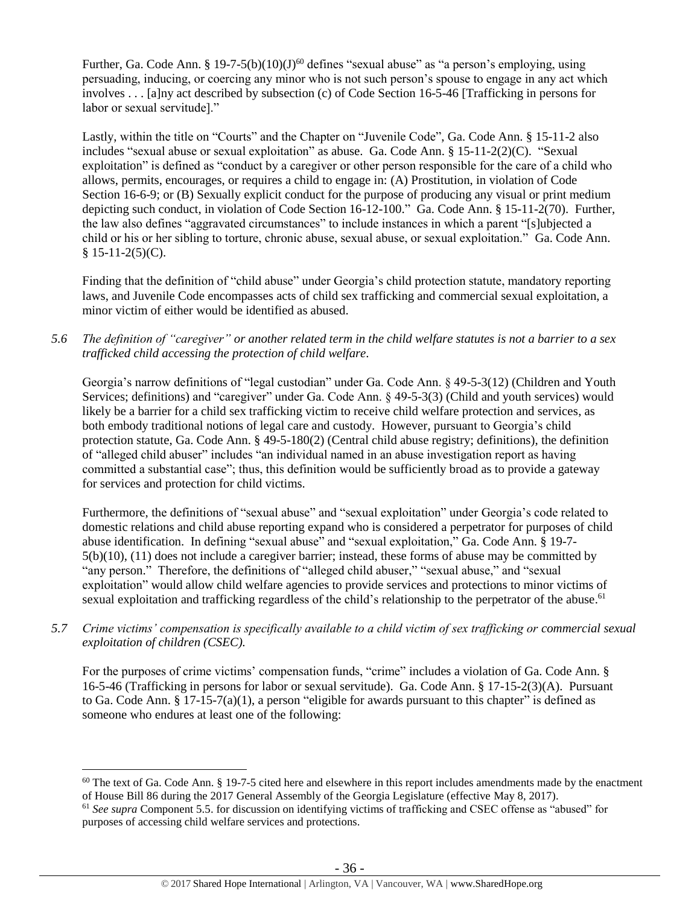Further, Ga. Code Ann. § 19-7-5(b)(10)(J)<sup>60</sup> defines "sexual abuse" as "a person's employing, using persuading, inducing, or coercing any minor who is not such person's spouse to engage in any act which involves . . . [a]ny act described by subsection (c) of Code Section 16-5-46 [Trafficking in persons for labor or sexual servitude]."

Lastly, within the title on "Courts" and the Chapter on "Juvenile Code", Ga. Code Ann. § 15-11-2 also includes "sexual abuse or sexual exploitation" as abuse. Ga. Code Ann. § 15-11-2(2)(C). "Sexual exploitation" is defined as "conduct by a caregiver or other person responsible for the care of a child who allows, permits, encourages, or requires a child to engage in: (A) Prostitution, in violation of Code Section 16-6-9; or (B) Sexually explicit conduct for the purpose of producing any visual or print medium depicting such conduct, in violation of Code Section 16-12-100." Ga. Code Ann. § 15-11-2(70). Further, the law also defines "aggravated circumstances" to include instances in which a parent "[s]ubjected a child or his or her sibling to torture, chronic abuse, sexual abuse, or sexual exploitation." Ga. Code Ann.  $$15-11-2(5)(C).$ 

Finding that the definition of "child abuse" under Georgia's child protection statute, mandatory reporting laws, and Juvenile Code encompasses acts of child sex trafficking and commercial sexual exploitation, a minor victim of either would be identified as abused.

*5.6 The definition of "caregiver" or another related term in the child welfare statutes is not a barrier to a sex trafficked child accessing the protection of child welfare.*

Georgia's narrow definitions of "legal custodian" under Ga. Code Ann. § 49-5-3(12) (Children and Youth Services; definitions) and "caregiver" under Ga. Code Ann. § 49-5-3(3) (Child and youth services) would likely be a barrier for a child sex trafficking victim to receive child welfare protection and services, as both embody traditional notions of legal care and custody. However, pursuant to Georgia's child protection statute, Ga. Code Ann. § 49-5-180(2) (Central child abuse registry; definitions), the definition of "alleged child abuser" includes "an individual named in an abuse investigation report as having committed a substantial case"; thus, this definition would be sufficiently broad as to provide a gateway for services and protection for child victims.

Furthermore, the definitions of "sexual abuse" and "sexual exploitation" under Georgia's code related to domestic relations and child abuse reporting expand who is considered a perpetrator for purposes of child abuse identification. In defining "sexual abuse" and "sexual exploitation," Ga. Code Ann. § 19-7- 5(b)(10), (11) does not include a caregiver barrier; instead, these forms of abuse may be committed by "any person." Therefore, the definitions of "alleged child abuser," "sexual abuse," and "sexual exploitation" would allow child welfare agencies to provide services and protections to minor victims of sexual exploitation and trafficking regardless of the child's relationship to the perpetrator of the abuse.<sup>61</sup>

*5.7 Crime victims' compensation is specifically available to a child victim of sex trafficking or commercial sexual exploitation of children (CSEC).*

For the purposes of crime victims' compensation funds, "crime" includes a violation of Ga. Code Ann. § 16-5-46 (Trafficking in persons for labor or sexual servitude). Ga. Code Ann. § 17-15-2(3)(A). Pursuant to Ga. Code Ann. § 17-15-7(a)(1), a person "eligible for awards pursuant to this chapter" is defined as someone who endures at least one of the following:

 $60$  The text of Ga. Code Ann. § 19-7-5 cited here and elsewhere in this report includes amendments made by the enactment of House Bill 86 during the 2017 General Assembly of the Georgia Legislature (effective May 8, 2017).

<sup>61</sup> *See supra* Component 5.5. for discussion on identifying victims of trafficking and CSEC offense as "abused" for purposes of accessing child welfare services and protections.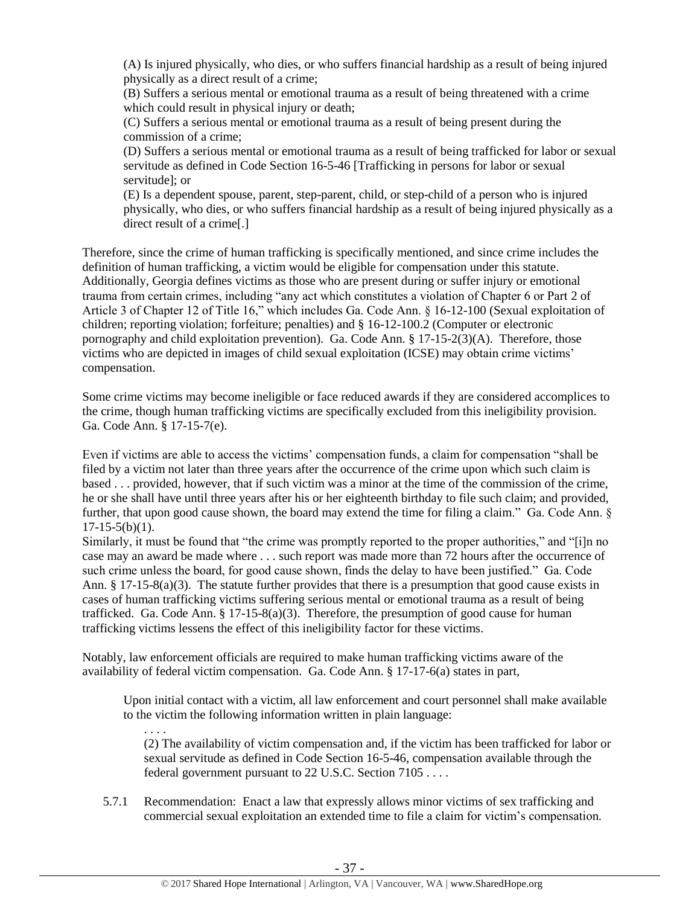(A) Is injured physically, who dies, or who suffers financial hardship as a result of being injured physically as a direct result of a crime;

(B) Suffers a serious mental or emotional trauma as a result of being threatened with a crime which could result in physical injury or death;

(C) Suffers a serious mental or emotional trauma as a result of being present during the commission of a crime;

(D) Suffers a serious mental or emotional trauma as a result of being trafficked for labor or sexual servitude as defined in Code Section 16-5-46 [Trafficking in persons for labor or sexual servitude]; or

(E) Is a dependent spouse, parent, step-parent, child, or step-child of a person who is injured physically, who dies, or who suffers financial hardship as a result of being injured physically as a direct result of a crime[.]

Therefore, since the crime of human trafficking is specifically mentioned, and since crime includes the definition of human trafficking, a victim would be eligible for compensation under this statute. Additionally, Georgia defines victims as those who are present during or suffer injury or emotional trauma from certain crimes, including "any act which constitutes a violation of Chapter 6 or Part 2 of Article 3 of Chapter 12 of Title 16," which includes Ga. Code Ann. § 16-12-100 (Sexual exploitation of children; reporting violation; forfeiture; penalties) and § 16-12-100.2 (Computer or electronic pornography and child exploitation prevention). Ga. Code Ann. § 17-15-2(3)(A). Therefore, those victims who are depicted in images of child sexual exploitation (ICSE) may obtain crime victims' compensation.

Some crime victims may become ineligible or face reduced awards if they are considered accomplices to the crime, though human trafficking victims are specifically excluded from this ineligibility provision. Ga. Code Ann. § 17-15-7(e).

Even if victims are able to access the victims' compensation funds, a claim for compensation "shall be filed by a victim not later than three years after the occurrence of the crime upon which such claim is based . . . provided, however, that if such victim was a minor at the time of the commission of the crime, he or she shall have until three years after his or her eighteenth birthday to file such claim; and provided, further, that upon good cause shown, the board may extend the time for filing a claim." Ga. Code Ann. §  $17-15-5(b)(1)$ .

Similarly, it must be found that "the crime was promptly reported to the proper authorities," and "[i]n no case may an award be made where . . . such report was made more than 72 hours after the occurrence of such crime unless the board, for good cause shown, finds the delay to have been justified." Ga. Code Ann. § 17-15-8(a)(3). The statute further provides that there is a presumption that good cause exists in cases of human trafficking victims suffering serious mental or emotional trauma as a result of being trafficked. Ga. Code Ann.  $\S 17{\text -}15{\text -}8(a)(3)$ . Therefore, the presumption of good cause for human trafficking victims lessens the effect of this ineligibility factor for these victims.

Notably, law enforcement officials are required to make human trafficking victims aware of the availability of federal victim compensation. Ga. Code Ann. § 17-17-6(a) states in part,

Upon initial contact with a victim, all law enforcement and court personnel shall make available to the victim the following information written in plain language:

. . . . (2) The availability of victim compensation and, if the victim has been trafficked for labor or sexual servitude as defined in Code Section 16-5-46, compensation available through the federal government pursuant to 22 U.S.C. Section 7105 . . . .

5.7.1 Recommendation: Enact a law that expressly allows minor victims of sex trafficking and commercial sexual exploitation an extended time to file a claim for victim's compensation.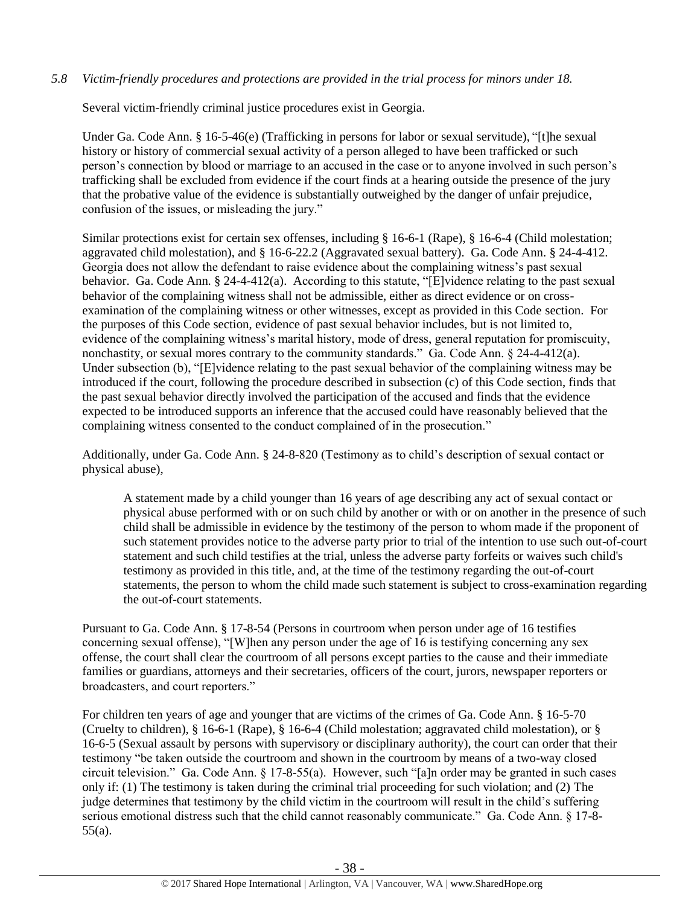## *5.8 Victim-friendly procedures and protections are provided in the trial process for minors under 18.*

Several victim-friendly criminal justice procedures exist in Georgia.

Under Ga. Code Ann. § 16-5-46(e) (Trafficking in persons for labor or sexual servitude), "[t]he sexual history or history of commercial sexual activity of a person alleged to have been trafficked or such person's connection by blood or marriage to an accused in the case or to anyone involved in such person's trafficking shall be excluded from evidence if the court finds at a hearing outside the presence of the jury that the probative value of the evidence is substantially outweighed by the danger of unfair prejudice, confusion of the issues, or misleading the jury."

Similar protections exist for certain sex offenses, including § 16-6-1 (Rape), § 16-6-4 (Child molestation; aggravated child molestation), and § 16-6-22.2 (Aggravated sexual battery). Ga. Code Ann. § 24-4-412. Georgia does not allow the defendant to raise evidence about the complaining witness's past sexual behavior. Ga. Code Ann. § 24-4-412(a). According to this statute, "[E]vidence relating to the past sexual behavior of the complaining witness shall not be admissible, either as direct evidence or on crossexamination of the complaining witness or other witnesses, except as provided in this Code section. For the purposes of this Code section, evidence of past sexual behavior includes, but is not limited to, evidence of the complaining witness's marital history, mode of dress, general reputation for promiscuity, nonchastity, or sexual mores contrary to the community standards." Ga. Code Ann.  $\S$  24-4-412(a). Under subsection (b), "[E]vidence relating to the past sexual behavior of the complaining witness may be introduced if the court, following the procedure described in subsection (c) of this Code section, finds that the past sexual behavior directly involved the participation of the accused and finds that the evidence expected to be introduced supports an inference that the accused could have reasonably believed that the complaining witness consented to the conduct complained of in the prosecution."

Additionally, under Ga. Code Ann. § 24-8-820 (Testimony as to child's description of sexual contact or physical abuse),

A statement made by a child younger than 16 years of age describing any act of sexual contact or physical abuse performed with or on such child by another or with or on another in the presence of such child shall be admissible in evidence by the testimony of the person to whom made if the proponent of such statement provides notice to the adverse party prior to trial of the intention to use such out-of-court statement and such child testifies at the trial, unless the adverse party forfeits or waives such child's testimony as provided in this title, and, at the time of the testimony regarding the out-of-court statements, the person to whom the child made such statement is subject to cross-examination regarding the out-of-court statements.

Pursuant to Ga. Code Ann. § 17-8-54 (Persons in courtroom when person under age of 16 testifies concerning sexual offense), "[W]hen any person under the age of 16 is testifying concerning any sex offense, the court shall clear the courtroom of all persons except parties to the cause and their immediate families or guardians, attorneys and their secretaries, officers of the court, jurors, newspaper reporters or broadcasters, and court reporters."

For children ten years of age and younger that are victims of the crimes of Ga. Code Ann. § 16-5-70 (Cruelty to children), § 16-6-1 (Rape), § 16-6-4 (Child molestation; aggravated child molestation), or § 16-6-5 (Sexual assault by persons with supervisory or disciplinary authority), the court can order that their testimony "be taken outside the courtroom and shown in the courtroom by means of a two-way closed circuit television." Ga. Code Ann. § 17-8-55(a). However, such "[a]n order may be granted in such cases only if: (1) The testimony is taken during the criminal trial proceeding for such violation; and (2) The judge determines that testimony by the child victim in the courtroom will result in the child's suffering serious emotional distress such that the child cannot reasonably communicate." Ga. Code Ann. § 17-8-55(a).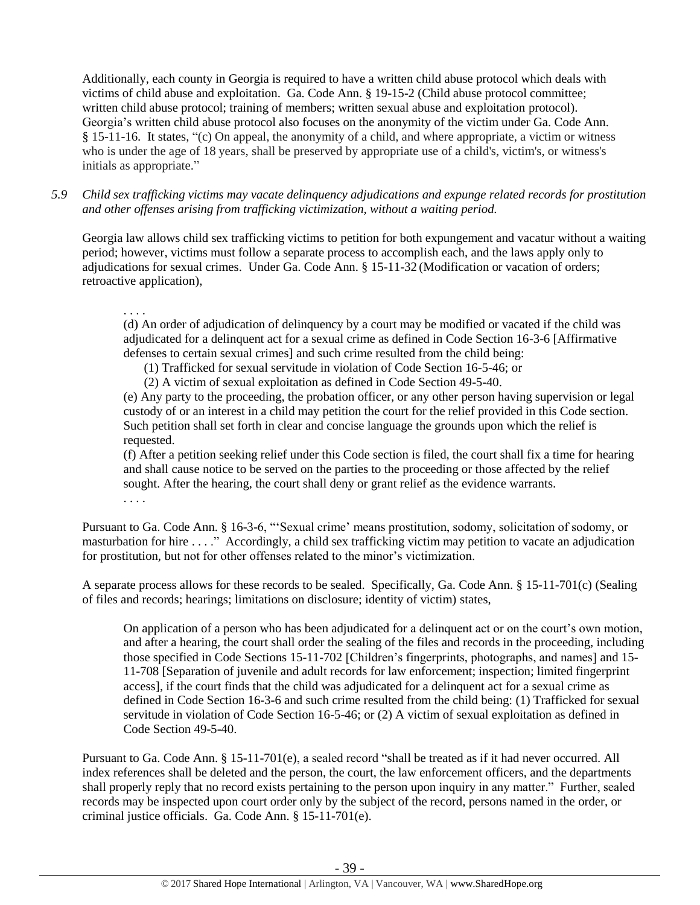Additionally, each county in Georgia is required to have a written child abuse protocol which deals with victims of child abuse and exploitation. Ga. Code Ann. § 19-15-2 (Child abuse protocol committee; written child abuse protocol; training of members; written sexual abuse and exploitation protocol). Georgia's written child abuse protocol also focuses on the anonymity of the victim under Ga. Code Ann. § 15-11-16. It states, "(c) On appeal, the anonymity of a child, and where appropriate, a victim or witness who is under the age of 18 years, shall be preserved by appropriate use of a child's, victim's, or witness's initials as appropriate."

*5.9 Child sex trafficking victims may vacate delinquency adjudications and expunge related records for prostitution and other offenses arising from trafficking victimization, without a waiting period.*

Georgia law allows child sex trafficking victims to petition for both expungement and vacatur without a waiting period; however, victims must follow a separate process to accomplish each, and the laws apply only to adjudications for sexual crimes. Under Ga. Code Ann. § 15-11-32 (Modification or vacation of orders; retroactive application),

## . . . .

(d) An order of adjudication of delinquency by a court may be modified or vacated if the child was adjudicated for a delinquent act for a sexual crime as defined in Code Section 16-3-6 [Affirmative defenses to certain sexual crimes] and such crime resulted from the child being:

(1) Trafficked for sexual servitude in violation of Code Section 16-5-46; or

(2) A victim of sexual exploitation as defined in Code Section 49-5-40.

(e) Any party to the proceeding, the probation officer, or any other person having supervision or legal custody of or an interest in a child may petition the court for the relief provided in this Code section. Such petition shall set forth in clear and concise language the grounds upon which the relief is requested.

(f) After a petition seeking relief under this Code section is filed, the court shall fix a time for hearing and shall cause notice to be served on the parties to the proceeding or those affected by the relief sought. After the hearing, the court shall deny or grant relief as the evidence warrants. . . . .

Pursuant to Ga. Code Ann. § 16-3-6, "'Sexual crime' means prostitution, sodomy, solicitation of sodomy, or masturbation for hire . . . ." Accordingly, a child sex trafficking victim may petition to vacate an adjudication for prostitution, but not for other offenses related to the minor's victimization.

A separate process allows for these records to be sealed. Specifically, Ga. Code Ann. § 15-11-701(c) (Sealing of files and records; hearings; limitations on disclosure; identity of victim) states,

On application of a person who has been adjudicated for a delinquent act or on the court's own motion, and after a hearing, the court shall order the sealing of the files and records in the proceeding, including those specified in Code Sections 15-11-702 [Children's fingerprints, photographs, and names] and 15- 11-708 [Separation of juvenile and adult records for law enforcement; inspection; limited fingerprint access], if the court finds that the child was adjudicated for a delinquent act for a sexual crime as defined in Code Section 16-3-6 and such crime resulted from the child being: (1) Trafficked for sexual servitude in violation of Code Section 16-5-46; or (2) A victim of sexual exploitation as defined in Code Section 49-5-40.

Pursuant to Ga. Code Ann. § 15-11-701(e), a sealed record "shall be treated as if it had never occurred. All index references shall be deleted and the person, the court, the law enforcement officers, and the departments shall properly reply that no record exists pertaining to the person upon inquiry in any matter." Further, sealed records may be inspected upon court order only by the subject of the record, persons named in the order, or criminal justice officials. Ga. Code Ann. § 15-11-701(e).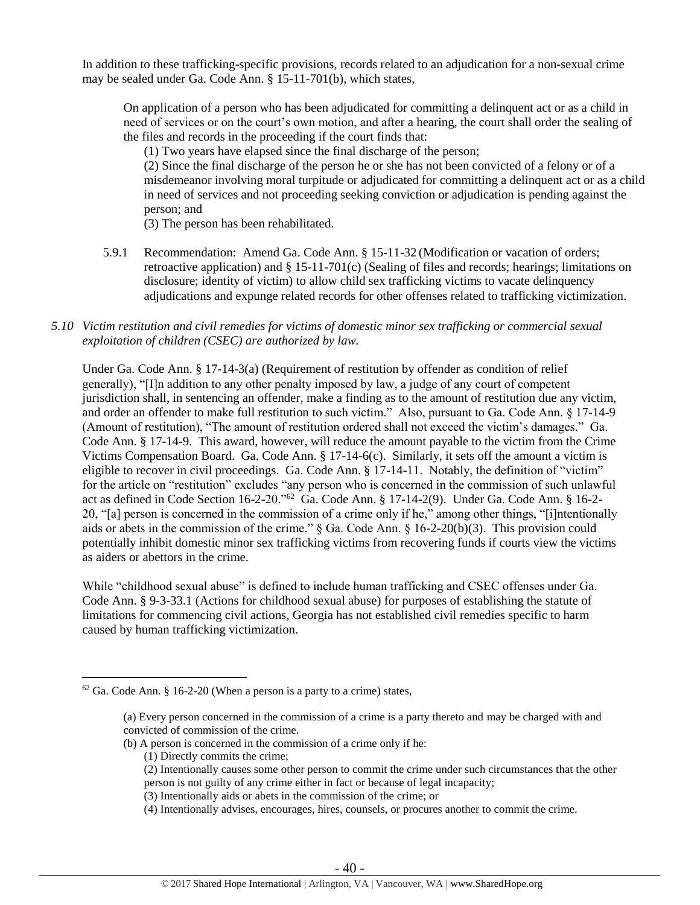In addition to these trafficking-specific provisions, records related to an adjudication for a non-sexual crime may be sealed under Ga. Code Ann. § 15-11-701(b), which states,

On application of a person who has been adjudicated for committing a delinquent act or as a child in need of services or on the court's own motion, and after a hearing, the court shall order the sealing of the files and records in the proceeding if the court finds that:

(1) Two years have elapsed since the final discharge of the person;

(2) Since the final discharge of the person he or she has not been convicted of a felony or of a misdemeanor involving moral turpitude or adjudicated for committing a delinquent act or as a child in need of services and not proceeding seeking conviction or adjudication is pending against the person; and

(3) The person has been rehabilitated.

5.9.1 Recommendation: Amend Ga. Code Ann. § 15-11-32 (Modification or vacation of orders; retroactive application) and § 15-11-701(c) (Sealing of files and records; hearings; limitations on disclosure; identity of victim) to allow child sex trafficking victims to vacate delinquency adjudications and expunge related records for other offenses related to trafficking victimization.

#### *5.10 Victim restitution and civil remedies for victims of domestic minor sex trafficking or commercial sexual exploitation of children (CSEC) are authorized by law.*

Under Ga. Code Ann. § 17-14-3(a) (Requirement of restitution by offender as condition of relief generally), "[I]n addition to any other penalty imposed by law, a judge of any court of competent jurisdiction shall, in sentencing an offender, make a finding as to the amount of restitution due any victim, and order an offender to make full restitution to such victim." Also, pursuant to Ga. Code Ann. § 17-14-9 (Amount of restitution), "The amount of restitution ordered shall not exceed the victim's damages." Ga. Code Ann. § 17-14-9. This award, however, will reduce the amount payable to the victim from the Crime Victims Compensation Board. Ga. Code Ann. § 17-14-6(c). Similarly, it sets off the amount a victim is eligible to recover in civil proceedings. Ga. Code Ann. § 17-14-11. Notably, the definition of "victim" for the article on "restitution" excludes "any person who is concerned in the commission of such unlawful act as defined in Code Section 16-2-20."<sup>62</sup> Ga. Code Ann. § 17-14-2(9). Under Ga. Code Ann. § 16-2- 20, "[a] person is concerned in the commission of a crime only if he," among other things, "[i]ntentionally aids or abets in the commission of the crime." § Ga. Code Ann. § 16-2-20(b)(3). This provision could potentially inhibit domestic minor sex trafficking victims from recovering funds if courts view the victims as aiders or abettors in the crime.

While "childhood sexual abuse" is defined to include human trafficking and CSEC offenses under Ga. Code Ann. § 9-3-33.1 (Actions for childhood sexual abuse) for purposes of establishing the statute of limitations for commencing civil actions, Georgia has not established civil remedies specific to harm caused by human trafficking victimization.

- (b) A person is concerned in the commission of a crime only if he:
	- (1) Directly commits the crime;

- (2) Intentionally causes some other person to commit the crime under such circumstances that the other person is not guilty of any crime either in fact or because of legal incapacity;
- (3) Intentionally aids or abets in the commission of the crime; or
- (4) Intentionally advises, encourages, hires, counsels, or procures another to commit the crime.

 $62$  Ga. Code Ann. § 16-2-20 (When a person is a party to a crime) states,

<sup>(</sup>a) Every person concerned in the commission of a crime is a party thereto and may be charged with and convicted of commission of the crime.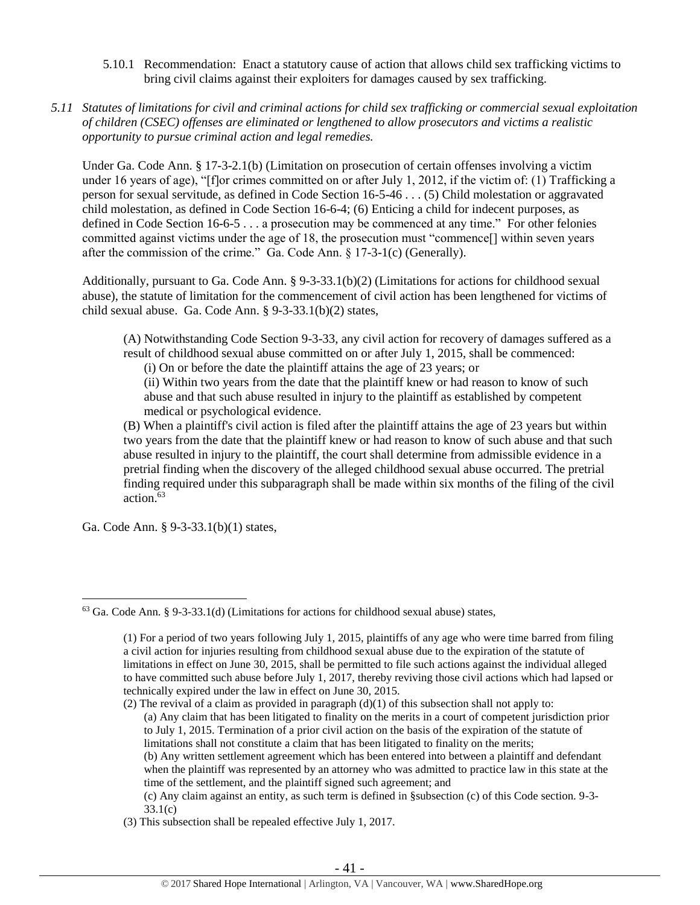- 5.10.1 Recommendation: Enact a statutory cause of action that allows child sex trafficking victims to bring civil claims against their exploiters for damages caused by sex trafficking.
- *5.11 Statutes of limitations for civil and criminal actions for child sex trafficking or commercial sexual exploitation of children (CSEC) offenses are eliminated or lengthened to allow prosecutors and victims a realistic opportunity to pursue criminal action and legal remedies.*

Under Ga. Code Ann. § 17-3-2.1(b) (Limitation on prosecution of certain offenses involving a victim under 16 years of age), "[f]or crimes committed on or after July 1, 2012, if the victim of: (1) Trafficking a person for sexual servitude, as defined in Code Section 16-5-46 . . . (5) Child molestation or aggravated child molestation, as defined in Code Section 16-6-4; (6) Enticing a child for indecent purposes, as defined in Code Section 16-6-5 . . . a prosecution may be commenced at any time." For other felonies committed against victims under the age of 18, the prosecution must "commence[] within seven years after the commission of the crime." Ga. Code Ann. § 17-3-1(c) (Generally).

Additionally, pursuant to Ga. Code Ann. § 9-3-33.1(b)(2) (Limitations for actions for childhood sexual abuse), the statute of limitation for the commencement of civil action has been lengthened for victims of child sexual abuse. Ga. Code Ann. § 9-3-33.1(b)(2) states,

(A) Notwithstanding Code Section 9-3-33, any civil action for recovery of damages suffered as a result of childhood sexual abuse committed on or after July 1, 2015, shall be commenced:

(i) On or before the date the plaintiff attains the age of 23 years; or

(ii) Within two years from the date that the plaintiff knew or had reason to know of such abuse and that such abuse resulted in injury to the plaintiff as established by competent medical or psychological evidence.

(B) When a plaintiff's civil action is filed after the plaintiff attains the age of 23 years but within two years from the date that the plaintiff knew or had reason to know of such abuse and that such abuse resulted in injury to the plaintiff, the court shall determine from admissible evidence in a pretrial finding when the discovery of the alleged childhood sexual abuse occurred. The pretrial finding required under this subparagraph shall be made within six months of the filing of the civil action.<sup>63</sup>

Ga. Code Ann. § 9-3-33.1(b)(1) states,

 $\overline{a}$ 

(2) The revival of a claim as provided in paragraph  $(d)(1)$  of this subsection shall not apply to: (a) Any claim that has been litigated to finality on the merits in a court of competent jurisdiction prior to July 1, 2015. Termination of a prior civil action on the basis of the expiration of the statute of limitations shall not constitute a claim that has been litigated to finality on the merits; (b) Any written settlement agreement which has been entered into between a plaintiff and defendant when the plaintiff was represented by an attorney who was admitted to practice law in this state at the time of the settlement, and the plaintiff signed such agreement; and

(c) Any claim against an entity, as such term is defined in §subsection (c) of this Code section. 9-3- 33.1(c)

 $63$  Ga. Code Ann. § 9-3-33.1(d) (Limitations for actions for childhood sexual abuse) states,

<sup>(1)</sup> For a period of two years following July 1, 2015, plaintiffs of any age who were time barred from filing a civil action for injuries resulting from childhood sexual abuse due to the expiration of the statute of limitations in effect on June 30, 2015, shall be permitted to file such actions against the individual alleged to have committed such abuse before July 1, 2017, thereby reviving those civil actions which had lapsed or technically expired under the law in effect on June 30, 2015.

<sup>(3)</sup> This subsection shall be repealed effective July 1, 2017.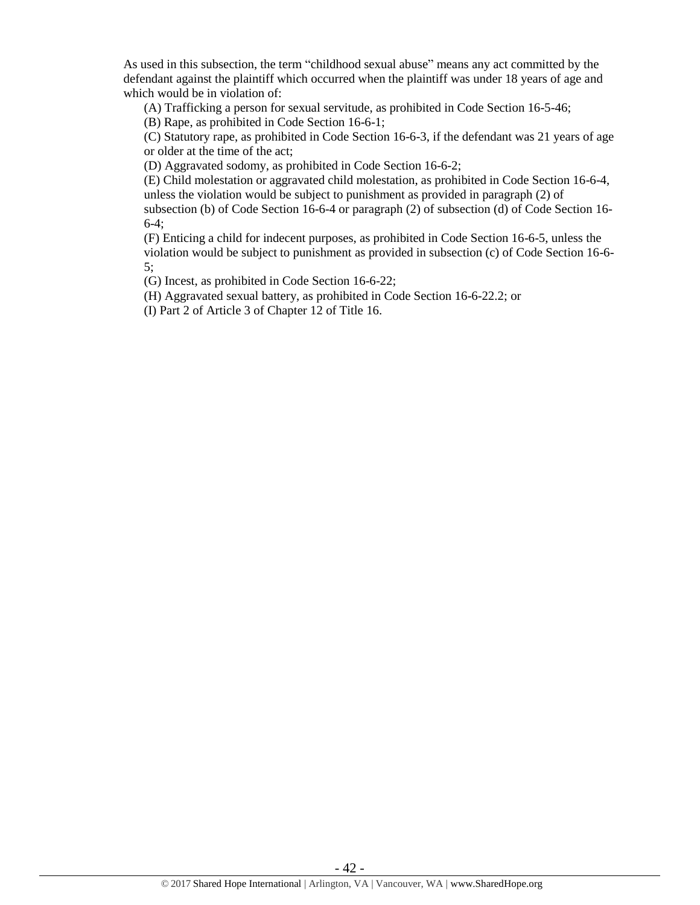As used in this subsection, the term "childhood sexual abuse" means any act committed by the defendant against the plaintiff which occurred when the plaintiff was under 18 years of age and which would be in violation of:

(A) Trafficking a person for sexual servitude, as prohibited in Code Section 16-5-46;

(B) Rape, as prohibited in Code Section 16-6-1;

(C) Statutory rape, as prohibited in Code Section 16-6-3, if the defendant was 21 years of age or older at the time of the act;

(D) Aggravated sodomy, as prohibited in Code Section 16-6-2;

(E) Child molestation or aggravated child molestation, as prohibited in Code Section 16-6-4, unless the violation would be subject to punishment as provided in paragraph (2) of subsection (b) of Code Section 16-6-4 or paragraph (2) of subsection (d) of Code Section 16- 6-4;

(F) Enticing a child for indecent purposes, as prohibited in Code Section 16-6-5, unless the violation would be subject to punishment as provided in subsection (c) of Code Section 16-6- 5;

(G) Incest, as prohibited in Code Section 16-6-22;

(H) Aggravated sexual battery, as prohibited in Code Section 16-6-22.2; or

(I) Part 2 of Article 3 of Chapter 12 of Title 16.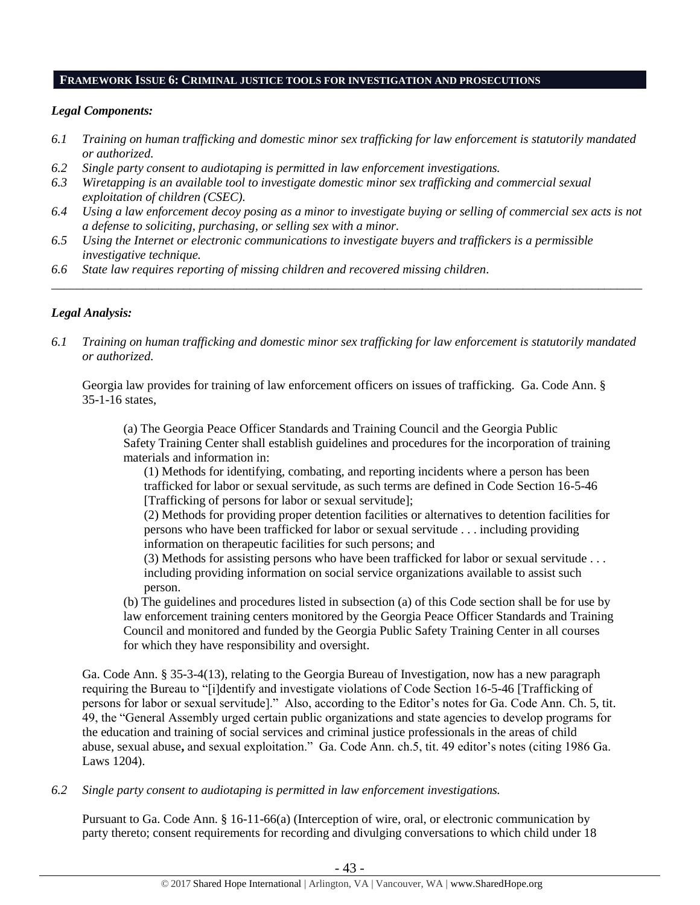#### **FRAMEWORK ISSUE 6: CRIMINAL JUSTICE TOOLS FOR INVESTIGATION AND PROSECUTIONS**

#### *Legal Components:*

- *6.1 Training on human trafficking and domestic minor sex trafficking for law enforcement is statutorily mandated or authorized.*
- *6.2 Single party consent to audiotaping is permitted in law enforcement investigations.*
- *6.3 Wiretapping is an available tool to investigate domestic minor sex trafficking and commercial sexual exploitation of children (CSEC).*
- *6.4 Using a law enforcement decoy posing as a minor to investigate buying or selling of commercial sex acts is not a defense to soliciting, purchasing, or selling sex with a minor.*

*\_\_\_\_\_\_\_\_\_\_\_\_\_\_\_\_\_\_\_\_\_\_\_\_\_\_\_\_\_\_\_\_\_\_\_\_\_\_\_\_\_\_\_\_\_\_\_\_\_\_\_\_\_\_\_\_\_\_\_\_\_\_\_\_\_\_\_\_\_\_\_\_\_\_\_\_\_\_\_\_\_\_\_\_\_\_\_\_\_\_\_\_\_\_*

- *6.5 Using the Internet or electronic communications to investigate buyers and traffickers is a permissible investigative technique.*
- *6.6 State law requires reporting of missing children and recovered missing children.*

## *Legal Analysis:*

*6.1 Training on human trafficking and domestic minor sex trafficking for law enforcement is statutorily mandated or authorized.*

Georgia law provides for training of law enforcement officers on issues of trafficking. Ga. Code Ann. § 35-1-16 states,

(a) The Georgia Peace Officer Standards and Training Council and the Georgia Public Safety Training Center shall establish guidelines and procedures for the incorporation of training materials and information in:

(1) Methods for identifying, combating, and reporting incidents where a person has been trafficked for labor or sexual servitude, as such terms are defined in Code Section 16-5-46 [Trafficking of persons for labor or sexual servitude];

(2) Methods for providing proper detention facilities or alternatives to detention facilities for persons who have been trafficked for labor or sexual servitude . . . including providing information on therapeutic facilities for such persons; and

(3) Methods for assisting persons who have been trafficked for labor or sexual servitude . . . including providing information on social service organizations available to assist such person.

(b) The guidelines and procedures listed in subsection (a) of this Code section shall be for use by law enforcement training centers monitored by the Georgia Peace Officer Standards and Training Council and monitored and funded by the Georgia Public Safety Training Center in all courses for which they have responsibility and oversight.

Ga. Code Ann. § 35-3-4(13), relating to the Georgia Bureau of Investigation, now has a new paragraph requiring the Bureau to "[i]dentify and investigate violations of Code Section 16-5-46 [Trafficking of persons for labor or sexual servitude]." Also, according to the Editor's notes for Ga. Code Ann. Ch. 5, tit. 49, the "General Assembly urged certain public organizations and state agencies to develop programs for the education and training of social services and criminal justice professionals in the areas of child abuse, sexual abuse**,** and sexual exploitation." Ga. Code Ann. ch.5, tit. 49 editor's notes (citing 1986 Ga. Laws 1204).

*6.2 Single party consent to audiotaping is permitted in law enforcement investigations.*

Pursuant to Ga. Code Ann. § 16-11-66(a) (Interception of wire, oral, or electronic communication by party thereto; consent requirements for recording and divulging conversations to which child under 18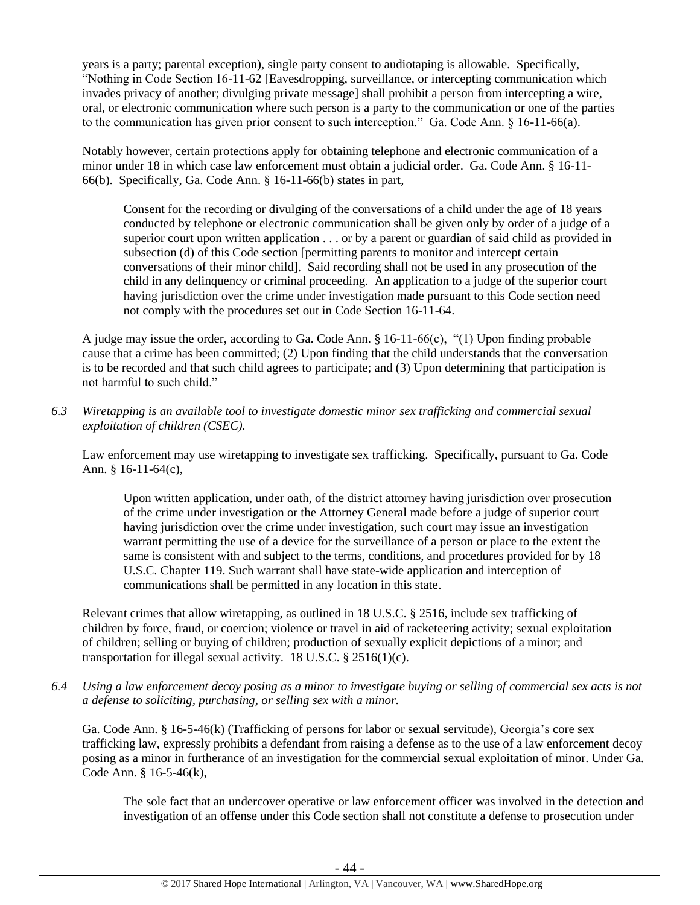years is a party; parental exception), single party consent to audiotaping is allowable. Specifically, "Nothing in Code Section 16-11-62 [Eavesdropping, surveillance, or intercepting communication which invades privacy of another; divulging private message] shall prohibit a person from intercepting a wire, oral, or electronic communication where such person is a party to the communication or one of the parties to the communication has given prior consent to such interception." Ga. Code Ann. § 16-11-66(a).

Notably however, certain protections apply for obtaining telephone and electronic communication of a minor under 18 in which case law enforcement must obtain a judicial order. Ga. Code Ann. § 16-11- 66(b). Specifically, Ga. Code Ann. § 16-11-66(b) states in part,

Consent for the recording or divulging of the conversations of a child under the age of 18 years conducted by telephone or electronic communication shall be given only by order of a judge of a superior court upon written application . . . or by a parent or guardian of said child as provided in subsection (d) of this Code section [permitting parents to monitor and intercept certain conversations of their minor child]. Said recording shall not be used in any prosecution of the child in any delinquency or criminal proceeding. An application to a judge of the superior court having jurisdiction over the crime under investigation made pursuant to this Code section need not comply with the procedures set out in Code Section 16-11-64.

A judge may issue the order, according to Ga. Code Ann. § 16-11-66(c), "(1) Upon finding probable cause that a crime has been committed; (2) Upon finding that the child understands that the conversation is to be recorded and that such child agrees to participate; and (3) Upon determining that participation is not harmful to such child."

*6.3 Wiretapping is an available tool to investigate domestic minor sex trafficking and commercial sexual exploitation of children (CSEC).* 

Law enforcement may use wiretapping to investigate sex trafficking. Specifically, pursuant to Ga. Code Ann. § 16-11-64(c),

Upon written application, under oath, of the district attorney having jurisdiction over prosecution of the crime under investigation or the Attorney General made before a judge of superior court having jurisdiction over the crime under investigation, such court may issue an investigation warrant permitting the use of a device for the surveillance of a person or place to the extent the same is consistent with and subject to the terms, conditions, and procedures provided for by 18 U.S.C. Chapter 119. Such warrant shall have state-wide application and interception of communications shall be permitted in any location in this state.

Relevant crimes that allow wiretapping, as outlined in 18 U.S.C. § 2516, include sex trafficking of children by force, fraud, or coercion; violence or travel in aid of racketeering activity; sexual exploitation of children; selling or buying of children; production of sexually explicit depictions of a minor; and transportation for illegal sexual activity. 18 U.S.C. § 2516(1)(c).

*6.4 Using a law enforcement decoy posing as a minor to investigate buying or selling of commercial sex acts is not a defense to soliciting, purchasing, or selling sex with a minor.*

Ga. Code Ann. § 16-5-46(k) (Trafficking of persons for labor or sexual servitude), Georgia's core sex trafficking law, expressly prohibits a defendant from raising a defense as to the use of a law enforcement decoy posing as a minor in furtherance of an investigation for the commercial sexual exploitation of minor. Under Ga. Code Ann. § 16-5-46(k),

The sole fact that an undercover operative or law enforcement officer was involved in the detection and investigation of an offense under this Code section shall not constitute a defense to prosecution under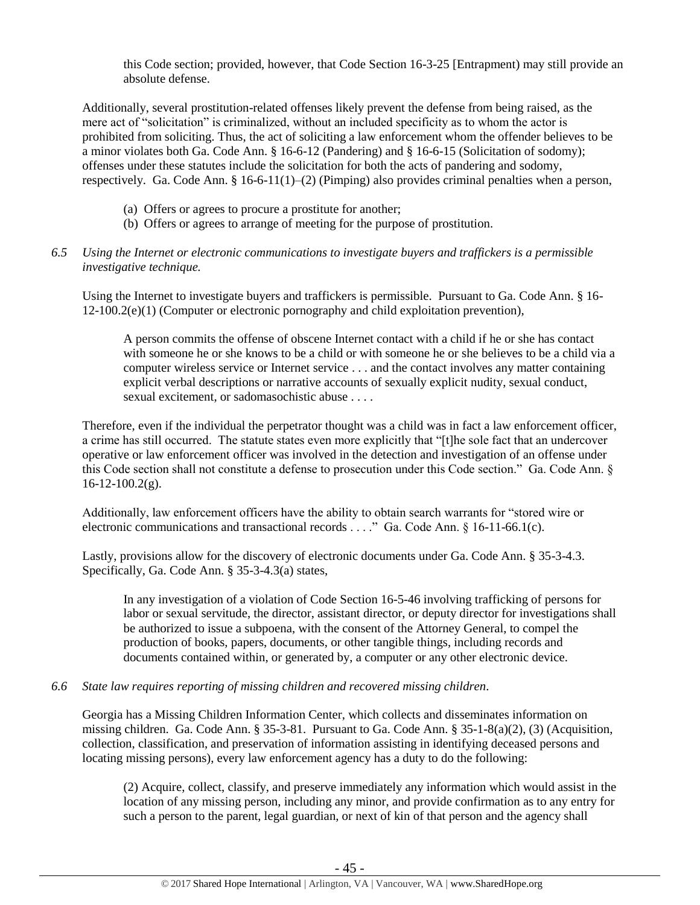this Code section; provided, however, that Code Section 16-3-25 [Entrapment) may still provide an absolute defense.

Additionally, several prostitution-related offenses likely prevent the defense from being raised, as the mere act of "solicitation" is criminalized, without an included specificity as to whom the actor is prohibited from soliciting. Thus, the act of soliciting a law enforcement whom the offender believes to be a minor violates both Ga. Code Ann. § 16-6-12 (Pandering) and § 16-6-15 (Solicitation of sodomy); offenses under these statutes include the solicitation for both the acts of pandering and sodomy, respectively. Ga. Code Ann. § 16-6-11(1)–(2) (Pimping) also provides criminal penalties when a person,

- (a) Offers or agrees to procure a prostitute for another;
- (b) Offers or agrees to arrange of meeting for the purpose of prostitution.

#### *6.5 Using the Internet or electronic communications to investigate buyers and traffickers is a permissible investigative technique.*

Using the Internet to investigate buyers and traffickers is permissible. Pursuant to Ga. Code Ann. § 16- 12-100.2(e)(1) (Computer or electronic pornography and child exploitation prevention),

A person commits the offense of obscene Internet contact with a child if he or she has contact with someone he or she knows to be a child or with someone he or she believes to be a child via a computer wireless service or Internet service . . . and the contact involves any matter containing explicit verbal descriptions or narrative accounts of sexually explicit nudity, sexual conduct, sexual excitement, or sadomasochistic abuse . . . .

Therefore, even if the individual the perpetrator thought was a child was in fact a law enforcement officer, a crime has still occurred. The statute states even more explicitly that "[t]he sole fact that an undercover operative or law enforcement officer was involved in the detection and investigation of an offense under this Code section shall not constitute a defense to prosecution under this Code section." Ga. Code Ann. § 16-12-100.2(g).

Additionally, law enforcement officers have the ability to obtain search warrants for "stored wire or electronic communications and transactional records . . . ." Ga. Code Ann. § 16-11-66.1(c).

Lastly, provisions allow for the discovery of electronic documents under Ga. Code Ann. § 35-3-4.3. Specifically, Ga. Code Ann. § 35-3-4.3(a) states,

In any investigation of a violation of Code Section 16-5-46 involving trafficking of persons for labor or sexual servitude, the director, assistant director, or deputy director for investigations shall be authorized to issue a subpoena, with the consent of the Attorney General, to compel the production of books, papers, documents, or other tangible things, including records and documents contained within, or generated by, a computer or any other electronic device.

#### *6.6 State law requires reporting of missing children and recovered missing children.*

Georgia has a Missing Children Information Center, which collects and disseminates information on missing children. Ga. Code Ann. § 35-3-81. Pursuant to Ga. Code Ann. § 35-1-8(a)(2), (3) (Acquisition, collection, classification, and preservation of information assisting in identifying deceased persons and locating missing persons), every law enforcement agency has a duty to do the following:

(2) Acquire, collect, classify, and preserve immediately any information which would assist in the location of any missing person, including any minor, and provide confirmation as to any entry for such a person to the parent, legal guardian, or next of kin of that person and the agency shall